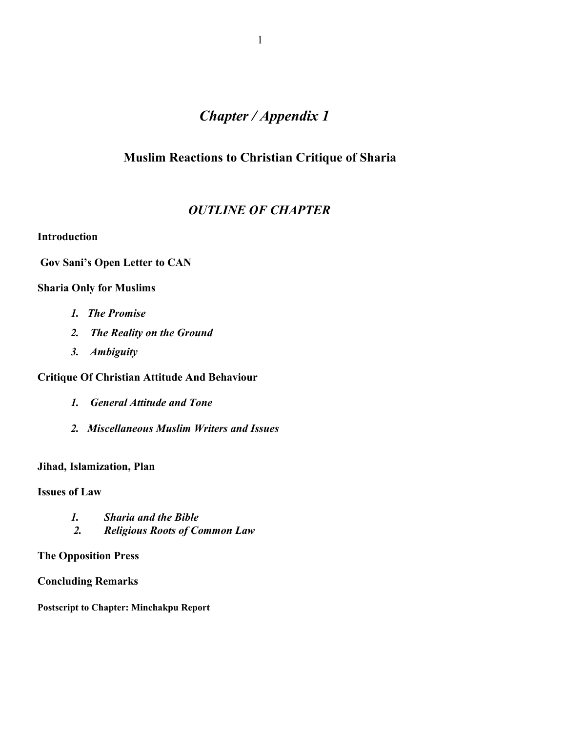# *Chapter / Appendix 1*

## **Muslim Reactions to Christian Critique of Sharia**

## *OUTLINE OF CHAPTER*

## **Introduction**

## **Gov Sani's Open Letter to CAN**

## **Sharia Only for Muslims**

- *1. The Promise*
- *2. The Reality on the Ground*
- *3. Ambiguity*

## **Critique Of Christian Attitude And Behaviour**

- *1. General Attitude and Tone*
- *2. Miscellaneous Muslim Writers and Issues*

## **Jihad, Islamization, Plan**

## **Issues of Law**

- *1. Sharia and the Bible*
- *2. Religious Roots of Common Law*

## **The Opposition Press**

## **Concluding Remarks**

**Postscript to Chapter: Minchakpu Report**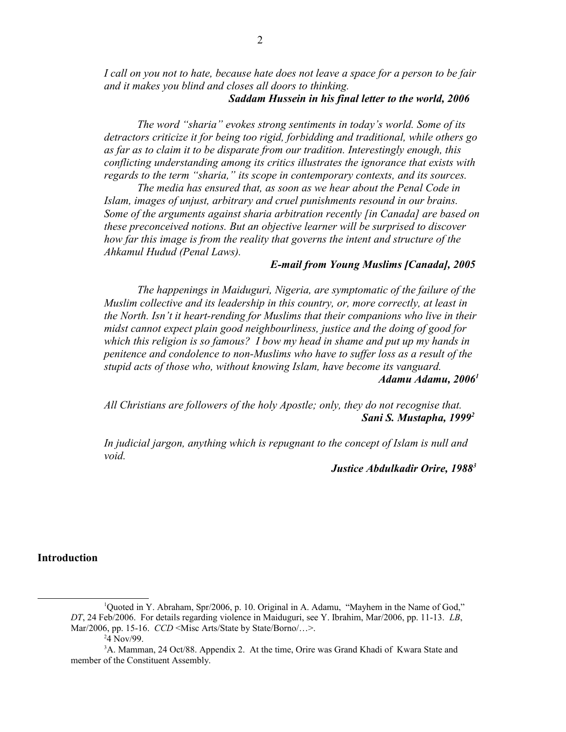*I call on you not to hate, because hate does not leave a space for a person to be fair and it makes you blind and closes all doors to thinking.* 

## *Saddam Hussein in his final letter to the world, 2006*

*The word "sharia" evokes strong sentiments in today's world. Some of its detractors criticize it for being too rigid, forbidding and traditional, while others go as far as to claim it to be disparate from our tradition. Interestingly enough, this conflicting understanding among its critics illustrates the ignorance that exists with regards to the term "sharia," its scope in contemporary contexts, and its sources.*

*The media has ensured that, as soon as we hear about the Penal Code in Islam, images of unjust, arbitrary and cruel punishments resound in our brains. Some of the arguments against sharia arbitration recently [in Canada] are based on these preconceived notions. But an objective learner will be surprised to discover how far this image is from the reality that governs the intent and structure of the Ahkamul Hudud (Penal Laws).*

#### *E-mail from Young Muslims [Canada], 2005*

*The happenings in Maiduguri, Nigeria, are symptomatic of the failure of the Muslim collective and its leadership in this country, or, more correctly, at least in the North. Isn't it heart-rending for Muslims that their companions who live in their midst cannot expect plain good neighbourliness, justice and the doing of good for which this religion is so famous? I bow my head in shame and put up my hands in penitence and condolence to non-Muslims who have to suffer loss as a result of the stupid acts of those who, without knowing Islam, have become its vanguard. Adamu Adamu, 2006[1](#page-1-0)*

*All Christians are followers of the holy Apostle; only, they do not recognise that. Sani S. Mustapha, 1999[2](#page-1-1)*

*In judicial jargon, anything which is repugnant to the concept of Islam is null and void.*

 *Justice Abdulkadir Orire, 1988[3](#page-1-2)*

### **Introduction**

<sup>1</sup>Quoted in Y. Abraham, Spr/2006, p. 10. Original in A. Adamu, "Mayhem in the Name of God," *DT*, 24 Feb/2006. For details regarding violence in Maiduguri, see Y. Ibrahim, Mar/2006, pp. 11-13. *LB*, Mar/2006, pp. 15-16. *CCD* < Misc Arts/State by State/Borno/...>.

<span id="page-1-2"></span><span id="page-1-1"></span><span id="page-1-0"></span><sup>&</sup>lt;sup>2</sup>4 Nov/99.

<sup>&</sup>lt;sup>3</sup>A. Mamman, 24 Oct/88. Appendix 2. At the time, Orire was Grand Khadi of Kwara State and member of the Constituent Assembly.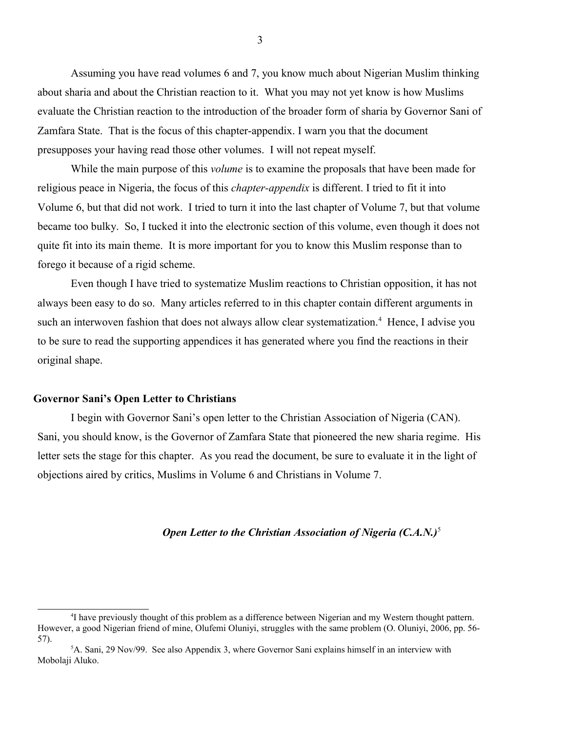Assuming you have read volumes 6 and 7, you know much about Nigerian Muslim thinking about sharia and about the Christian reaction to it. What you may not yet know is how Muslims evaluate the Christian reaction to the introduction of the broader form of sharia by Governor Sani of Zamfara State. That is the focus of this chapter-appendix. I warn you that the document presupposes your having read those other volumes. I will not repeat myself.

While the main purpose of this *volume* is to examine the proposals that have been made for religious peace in Nigeria, the focus of this *chapter-appendix* is different. I tried to fit it into Volume 6, but that did not work. I tried to turn it into the last chapter of Volume 7, but that volume became too bulky. So, I tucked it into the electronic section of this volume, even though it does not quite fit into its main theme. It is more important for you to know this Muslim response than to forego it because of a rigid scheme.

Even though I have tried to systematize Muslim reactions to Christian opposition, it has not always been easy to do so. Many articles referred to in this chapter contain different arguments in such an interwoven fashion that does not always allow clear systematization.<sup>[4](#page-2-0)</sup> Hence, I advise you to be sure to read the supporting appendices it has generated where you find the reactions in their original shape.

#### **Governor Sani's Open Letter to Christians**

I begin with Governor Sani's open letter to the Christian Association of Nigeria (CAN). Sani, you should know, is the Governor of Zamfara State that pioneered the new sharia regime. His letter sets the stage for this chapter. As you read the document, be sure to evaluate it in the light of objections aired by critics, Muslims in Volume 6 and Christians in Volume 7.

#### *Open Letter to the Christian Association of Nigeria (C.A.N.)*[5](#page-2-1)

<span id="page-2-0"></span><sup>4</sup> I have previously thought of this problem as a difference between Nigerian and my Western thought pattern. However, a good Nigerian friend of mine, Olufemi Oluniyi, struggles with the same problem (O. Oluniyi, 2006, pp. 56- 57).

<span id="page-2-1"></span><sup>5</sup>A. Sani, 29 Nov/99. See also Appendix 3, where Governor Sani explains himself in an interview with Mobolaji Aluko.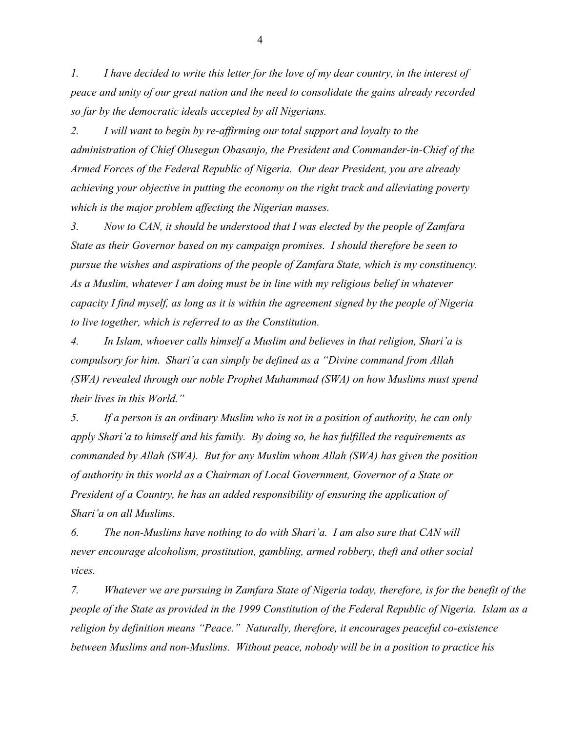*1. I have decided to write this letter for the love of my dear country, in the interest of peace and unity of our great nation and the need to consolidate the gains already recorded so far by the democratic ideals accepted by all Nigerians.*

*2. I will want to begin by re-affirming our total support and loyalty to the administration of Chief Olusegun Obasanjo, the President and Commander-in-Chief of the Armed Forces of the Federal Republic of Nigeria. Our dear President, you are already achieving your objective in putting the economy on the right track and alleviating poverty which is the major problem affecting the Nigerian masses.*

*3. Now to CAN, it should be understood that I was elected by the people of Zamfara State as their Governor based on my campaign promises. I should therefore be seen to pursue the wishes and aspirations of the people of Zamfara State, which is my constituency. As a Muslim, whatever I am doing must be in line with my religious belief in whatever capacity I find myself, as long as it is within the agreement signed by the people of Nigeria to live together, which is referred to as the Constitution.* 

*4. In Islam, whoever calls himself a Muslim and believes in that religion, Shari'a is compulsory for him. Shari'a can simply be defined as a "Divine command from Allah (SWA) revealed through our noble Prophet Muhammad (SWA) on how Muslims must spend their lives in this World."*

*5. If a person is an ordinary Muslim who is not in a position of authority, he can only apply Shari'a to himself and his family. By doing so, he has fulfilled the requirements as commanded by Allah (SWA). But for any Muslim whom Allah (SWA) has given the position of authority in this world as a Chairman of Local Government, Governor of a State or President of a Country, he has an added responsibility of ensuring the application of Shari'a on all Muslims.*

*6. The non-Muslims have nothing to do with Shari'a. I am also sure that CAN will never encourage alcoholism, prostitution, gambling, armed robbery, theft and other social vices.*

*7. Whatever we are pursuing in Zamfara State of Nigeria today, therefore, is for the benefit of the people of the State as provided in the 1999 Constitution of the Federal Republic of Nigeria. Islam as a religion by definition means "Peace." Naturally, therefore, it encourages peaceful co-existence between Muslims and non-Muslims. Without peace, nobody will be in a position to practice his*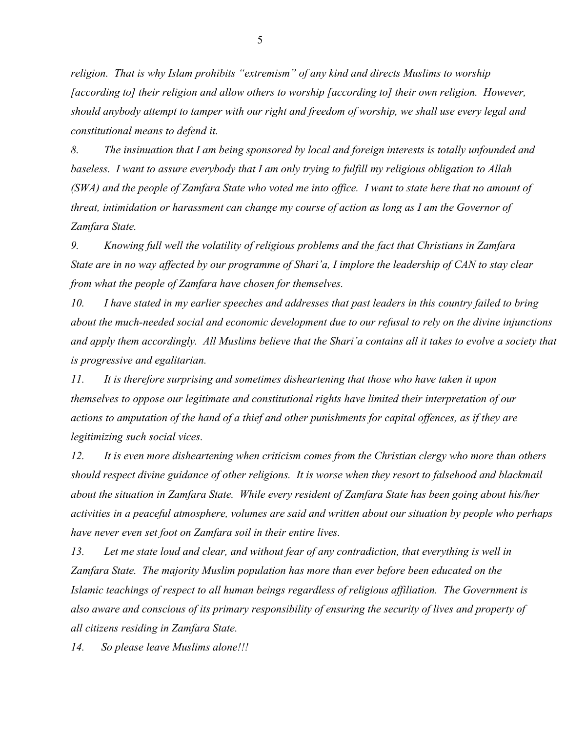*religion. That is why Islam prohibits "extremism" of any kind and directs Muslims to worship [according to] their religion and allow others to worship [according to] their own religion. However, should anybody attempt to tamper with our right and freedom of worship, we shall use every legal and constitutional means to defend it.*

*8. The insinuation that I am being sponsored by local and foreign interests is totally unfounded and baseless. I want to assure everybody that I am only trying to fulfill my religious obligation to Allah (SWA) and the people of Zamfara State who voted me into office. I want to state here that no amount of threat, intimidation or harassment can change my course of action as long as I am the Governor of Zamfara State.*

*9. Knowing full well the volatility of religious problems and the fact that Christians in Zamfara State are in no way affected by our programme of Shari'a, I implore the leadership of CAN to stay clear from what the people of Zamfara have chosen for themselves.*

*10. I have stated in my earlier speeches and addresses that past leaders in this country failed to bring about the much-needed social and economic development due to our refusal to rely on the divine injunctions and apply them accordingly. All Muslims believe that the Shari'a contains all it takes to evolve a society that is progressive and egalitarian.*

*11. It is therefore surprising and sometimes disheartening that those who have taken it upon themselves to oppose our legitimate and constitutional rights have limited their interpretation of our actions to amputation of the hand of a thief and other punishments for capital offences, as if they are legitimizing such social vices.*

*12. It is even more disheartening when criticism comes from the Christian clergy who more than others should respect divine guidance of other religions. It is worse when they resort to falsehood and blackmail about the situation in Zamfara State. While every resident of Zamfara State has been going about his/her activities in a peaceful atmosphere, volumes are said and written about our situation by people who perhaps have never even set foot on Zamfara soil in their entire lives.*

*13. Let me state loud and clear, and without fear of any contradiction, that everything is well in Zamfara State. The majority Muslim population has more than ever before been educated on the Islamic teachings of respect to all human beings regardless of religious affiliation. The Government is also aware and conscious of its primary responsibility of ensuring the security of lives and property of all citizens residing in Zamfara State.*

*14. So please leave Muslims alone!!!*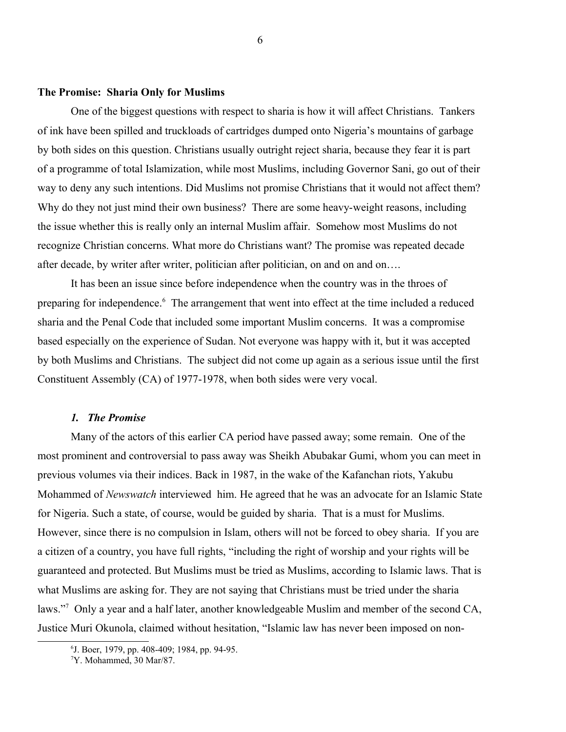#### **The Promise: Sharia Only for Muslims**

One of the biggest questions with respect to sharia is how it will affect Christians. Tankers of ink have been spilled and truckloads of cartridges dumped onto Nigeria's mountains of garbage by both sides on this question. Christians usually outright reject sharia, because they fear it is part of a programme of total Islamization, while most Muslims, including Governor Sani, go out of their way to deny any such intentions. Did Muslims not promise Christians that it would not affect them? Why do they not just mind their own business? There are some heavy-weight reasons, including the issue whether this is really only an internal Muslim affair. Somehow most Muslims do not recognize Christian concerns. What more do Christians want? The promise was repeated decade after decade, by writer after writer, politician after politician, on and on and on….

It has been an issue since before independence when the country was in the throes of preparing for independence.<sup>[6](#page-5-0)</sup> The arrangement that went into effect at the time included a reduced sharia and the Penal Code that included some important Muslim concerns. It was a compromise based especially on the experience of Sudan. Not everyone was happy with it, but it was accepted by both Muslims and Christians. The subject did not come up again as a serious issue until the first Constituent Assembly (CA) of 1977-1978, when both sides were very vocal.

### *1. The Promise*

Many of the actors of this earlier CA period have passed away; some remain. One of the most prominent and controversial to pass away was Sheikh Abubakar Gumi, whom you can meet in previous volumes via their indices. Back in 1987, in the wake of the Kafanchan riots, Yakubu Mohammed of *Newswatch* interviewed him. He agreed that he was an advocate for an Islamic State for Nigeria. Such a state, of course, would be guided by sharia. That is a must for Muslims. However, since there is no compulsion in Islam, others will not be forced to obey sharia. If you are a citizen of a country, you have full rights, "including the right of worship and your rights will be guaranteed and protected. But Muslims must be tried as Muslims, according to Islamic laws. That is what Muslims are asking for. They are not saying that Christians must be tried under the sharia laws."<sup>[7](#page-5-1)</sup> Only a year and a half later, another knowledgeable Muslim and member of the second CA, Justice Muri Okunola, claimed without hesitation, "Islamic law has never been imposed on non-

<span id="page-5-0"></span><sup>6</sup> J. Boer, 1979, pp. 408-409; 1984, pp. 94-95.

<span id="page-5-1"></span><sup>7</sup>Y. Mohammed, 30 Mar/87.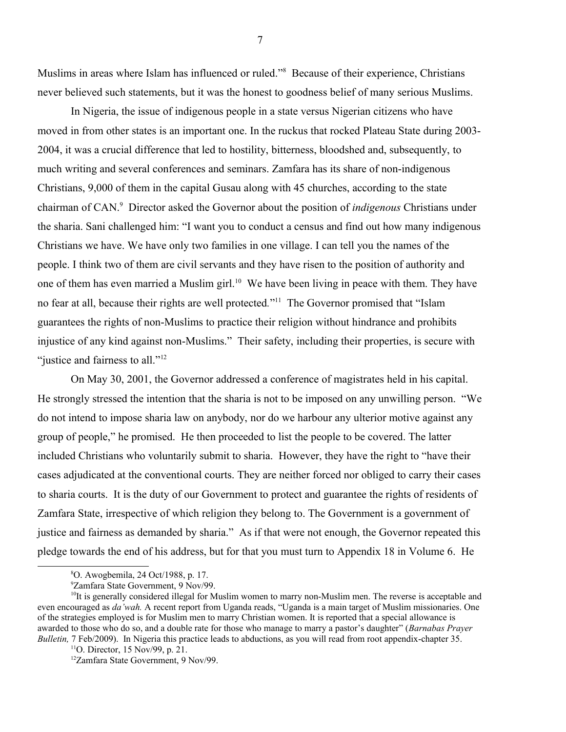Muslims in areas where Islam has influenced or ruled."<sup>[8](#page-6-0)</sup> Because of their experience, Christians never believed such statements, but it was the honest to goodness belief of many serious Muslims.

In Nigeria, the issue of indigenous people in a state versus Nigerian citizens who have moved in from other states is an important one. In the ruckus that rocked Plateau State during 2003- 2004, it was a crucial difference that led to hostility, bitterness, bloodshed and, subsequently, to much writing and several conferences and seminars. Zamfara has its share of non-indigenous Christians, 9,000 of them in the capital Gusau along with 45 churches, according to the state chairman of CAN.[9](#page-6-1) Director asked the Governor about the position of *indigenous* Christians under the sharia. Sani challenged him: "I want you to conduct a census and find out how many indigenous Christians we have. We have only two families in one village. I can tell you the names of the people. I think two of them are civil servants and they have risen to the position of authority and one of them has even married a Muslim girl.<sup>[10](#page-6-2)</sup> We have been living in peace with them. They have no fear at all, because their rights are well protected."<sup>[11](#page-6-3)</sup> The Governor promised that "Islam guarantees the rights of non-Muslims to practice their religion without hindrance and prohibits injustice of any kind against non-Muslims." Their safety, including their properties, is secure with "justice and fairness to all."<sup>[12](#page-6-4)</sup>

On May 30, 2001, the Governor addressed a conference of magistrates held in his capital. He strongly stressed the intention that the sharia is not to be imposed on any unwilling person. "We do not intend to impose sharia law on anybody, nor do we harbour any ulterior motive against any group of people," he promised. He then proceeded to list the people to be covered. The latter included Christians who voluntarily submit to sharia. However, they have the right to "have their cases adjudicated at the conventional courts. They are neither forced nor obliged to carry their cases to sharia courts. It is the duty of our Government to protect and guarantee the rights of residents of Zamfara State, irrespective of which religion they belong to. The Government is a government of justice and fairness as demanded by sharia." As if that were not enough, the Governor repeated this pledge towards the end of his address, but for that you must turn to Appendix 18 in Volume 6. He

<span id="page-6-0"></span><sup>8</sup>O. Awogbemila, 24 Oct/1988, p. 17.

<span id="page-6-2"></span><span id="page-6-1"></span><sup>9</sup>Zamfara State Government, 9 Nov/99.

<sup>&</sup>lt;sup>10</sup>It is generally considered illegal for Muslim women to marry non-Muslim men. The reverse is acceptable and even encouraged as *da'wah.* A recent report from Uganda reads, "Uganda is a main target of Muslim missionaries. One of the strategies employed is for Muslim men to marry Christian women. It is reported that a special allowance is awarded to those who do so, and a double rate for those who manage to marry a pastor's daughter" (*Barnabas Prayer Bulletin, 7 Feb/2009*). In Nigeria this practice leads to abductions, as you will read from root appendix-chapter 35.

<span id="page-6-3"></span> $11$ O. Director, 15 Nov/99, p. 21.

<span id="page-6-4"></span><sup>12</sup>Zamfara State Government, 9 Nov/99.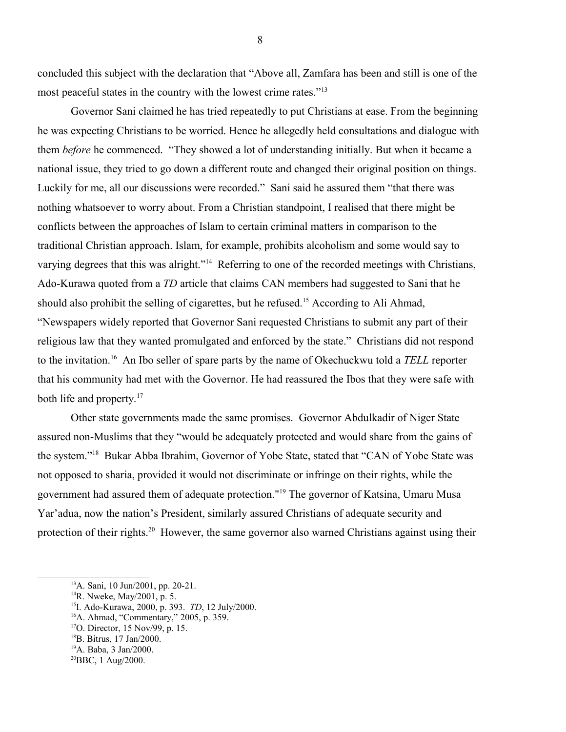concluded this subject with the declaration that "Above all, Zamfara has been and still is one of the most peaceful states in the country with the lowest crime rates."[13](#page-7-0)

Governor Sani claimed he has tried repeatedly to put Christians at ease. From the beginning he was expecting Christians to be worried. Hence he allegedly held consultations and dialogue with them *before* he commenced. "They showed a lot of understanding initially. But when it became a national issue, they tried to go down a different route and changed their original position on things. Luckily for me, all our discussions were recorded." Sani said he assured them "that there was nothing whatsoever to worry about. From a Christian standpoint, I realised that there might be conflicts between the approaches of Islam to certain criminal matters in comparison to the traditional Christian approach. Islam, for example, prohibits alcoholism and some would say to varying degrees that this was alright."<sup>[14](#page-7-1)</sup> Referring to one of the recorded meetings with Christians, Ado-Kurawa quoted from a *TD* article that claims CAN members had suggested to Sani that he should also prohibit the selling of cigarettes, but he refused.<sup>[15](#page-7-2)</sup> According to Ali Ahmad, "Newspapers widely reported that Governor Sani requested Christians to submit any part of their religious law that they wanted promulgated and enforced by the state." Christians did not respond to the invitation.[16](#page-7-3) An Ibo seller of spare parts by the name of Okechuckwu told a *TELL* reporter that his community had met with the Governor. He had reassured the Ibos that they were safe with both life and property.<sup>[17](#page-7-4)</sup>

Other state governments made the same promises. Governor Abdulkadir of Niger State assured non-Muslims that they "would be adequately protected and would share from the gains of the system."[18](#page-7-5) Bukar Abba Ibrahim, Governor of Yobe State, stated that "CAN of Yobe State was not opposed to sharia, provided it would not discriminate or infringe on their rights, while the government had assured them of adequate protection."[19](#page-7-6) The governor of Katsina, Umaru Musa Yar'adua, now the nation's President, similarly assured Christians of adequate security and protection of their rights.<sup>[20](#page-7-7)</sup> However, the same governor also warned Christians against using their

<span id="page-7-0"></span><sup>13</sup>A. Sani, 10 Jun/2001, pp. 20-21.

<span id="page-7-1"></span><sup>14</sup>R. Nweke, May/2001, p. 5.

<span id="page-7-2"></span><sup>15</sup>I. Ado-Kurawa, 2000, p. 393. *TD*, 12 July/2000.

<span id="page-7-3"></span><sup>&</sup>lt;sup>16</sup>A. Ahmad, "Commentary," 2005, p. 359.

<span id="page-7-4"></span><sup>17</sup>O. Director, 15 Nov/99, p. 15.

<span id="page-7-5"></span><sup>18</sup>B. Bitrus, 17 Jan/2000.

<span id="page-7-6"></span><sup>19</sup>A. Baba, 3 Jan/2000.

<span id="page-7-7"></span><sup>20</sup>BBC, 1 Aug/2000.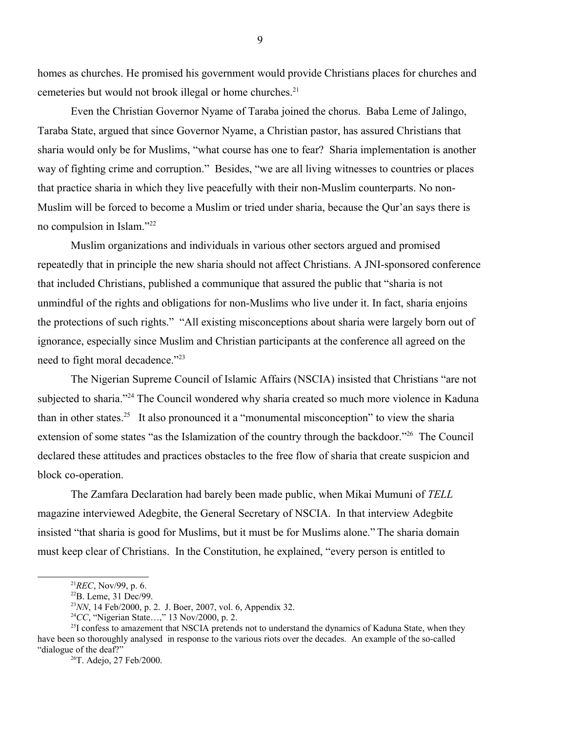homes as churches. He promised his government would provide Christians places for churches and cemeteries but would not brook illegal or home churches.<sup>[21](#page-8-0)</sup>

Even the Christian Governor Nyame of Taraba joined the chorus. Baba Leme of Jalingo, Taraba State, argued that since Governor Nyame, a Christian pastor, has assured Christians that sharia would only be for Muslims, "what course has one to fear? Sharia implementation is another way of fighting crime and corruption." Besides, "we are all living witnesses to countries or places that practice sharia in which they live peacefully with their non-Muslim counterparts. No non-Muslim will be forced to become a Muslim or tried under sharia, because the Qur'an says there is no compulsion in Islam."[22](#page-8-1)

Muslim organizations and individuals in various other sectors argued and promised repeatedly that in principle the new sharia should not affect Christians. A JNI-sponsored conference that included Christians, published a communique that assured the public that "sharia is not unmindful of the rights and obligations for non-Muslims who live under it. In fact, sharia enjoins the protections of such rights." "All existing misconceptions about sharia were largely born out of ignorance, especially since Muslim and Christian participants at the conference all agreed on the need to fight moral decadence."<sup>[23](#page-8-2)</sup>

The Nigerian Supreme Council of Islamic Affairs (NSCIA) insisted that Christians "are not subjected to sharia."<sup>[24](#page-8-3)</sup> The Council wondered why sharia created so much more violence in Kaduna than in other states.<sup>[25](#page-8-4)</sup> It also pronounced it a "monumental misconception" to view the sharia extension of some states "as the Islamization of the country through the backdoor."<sup>[26](#page-8-5)</sup> The Council declared these attitudes and practices obstacles to the free flow of sharia that create suspicion and block co-operation.

The Zamfara Declaration had barely been made public, when Mikai Mumuni of *TELL* magazine interviewed Adegbite, the General Secretary of NSCIA. In that interview Adegbite insisted "that sharia is good for Muslims, but it must be for Muslims alone." The sharia domain must keep clear of Christians. In the Constitution, he explained, "every person is entitled to

9

<span id="page-8-0"></span><sup>21</sup>*REC*, Nov/99, p. 6.

<span id="page-8-1"></span><sup>22</sup>B. Leme, 31 Dec/99.

<span id="page-8-2"></span><sup>23</sup>*NN*, 14 Feb/2000, p. 2. J. Boer, 2007, vol. 6, Appendix 32.

<span id="page-8-4"></span><span id="page-8-3"></span><sup>24</sup>*CC*, "Nigerian State…," 13 Nov/2000, p. 2.

<sup>&</sup>lt;sup>25</sup>I confess to amazement that NSCIA pretends not to understand the dynamics of Kaduna State, when they have been so thoroughly analysed in response to the various riots over the decades. An example of the so-called "dialogue of the deaf?"

<span id="page-8-5"></span><sup>26</sup>T. Adejo, 27 Feb/2000.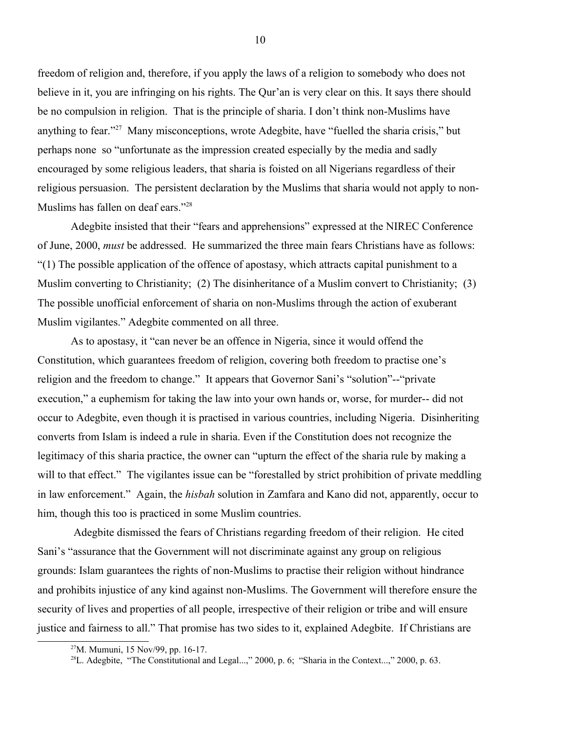freedom of religion and, therefore, if you apply the laws of a religion to somebody who does not believe in it, you are infringing on his rights. The Qur'an is very clear on this. It says there should be no compulsion in religion. That is the principle of sharia. I don't think non-Muslims have anything to fear."<sup>[27](#page-9-0)</sup> Many misconceptions, wrote Adegbite, have "fuelled the sharia crisis," but perhaps none so "unfortunate as the impression created especially by the media and sadly encouraged by some religious leaders, that sharia is foisted on all Nigerians regardless of their religious persuasion. The persistent declaration by the Muslims that sharia would not apply to non-Muslims has fallen on deaf ears."[28](#page-9-1)

Adegbite insisted that their "fears and apprehensions" expressed at the NIREC Conference of June, 2000, *must* be addressed. He summarized the three main fears Christians have as follows: "(1) The possible application of the offence of apostasy, which attracts capital punishment to a Muslim converting to Christianity; (2) The disinheritance of a Muslim convert to Christianity; (3) The possible unofficial enforcement of sharia on non-Muslims through the action of exuberant Muslim vigilantes." Adegbite commented on all three.

As to apostasy, it "can never be an offence in Nigeria, since it would offend the Constitution, which guarantees freedom of religion, covering both freedom to practise one's religion and the freedom to change." It appears that Governor Sani's "solution"--"private execution," a euphemism for taking the law into your own hands or, worse, for murder-- did not occur to Adegbite, even though it is practised in various countries, including Nigeria. Disinheriting converts from Islam is indeed a rule in sharia. Even if the Constitution does not recognize the legitimacy of this sharia practice, the owner can "upturn the effect of the sharia rule by making a will to that effect." The vigilantes issue can be "forestalled by strict prohibition of private meddling in law enforcement." Again, the *hisbah* solution in Zamfara and Kano did not, apparently, occur to him, though this too is practiced in some Muslim countries.

 Adegbite dismissed the fears of Christians regarding freedom of their religion. He cited Sani's "assurance that the Government will not discriminate against any group on religious grounds: Islam guarantees the rights of non-Muslims to practise their religion without hindrance and prohibits injustice of any kind against non-Muslims. The Government will therefore ensure the security of lives and properties of all people, irrespective of their religion or tribe and will ensure justice and fairness to all." That promise has two sides to it, explained Adegbite. If Christians are

<span id="page-9-0"></span><sup>27</sup>M. Mumuni, 15 Nov/99, pp. 16-17.

<span id="page-9-1"></span><sup>&</sup>lt;sup>28</sup>L. Adegbite, "The Constitutional and Legal...," 2000, p. 6; "Sharia in the Context...," 2000, p. 63.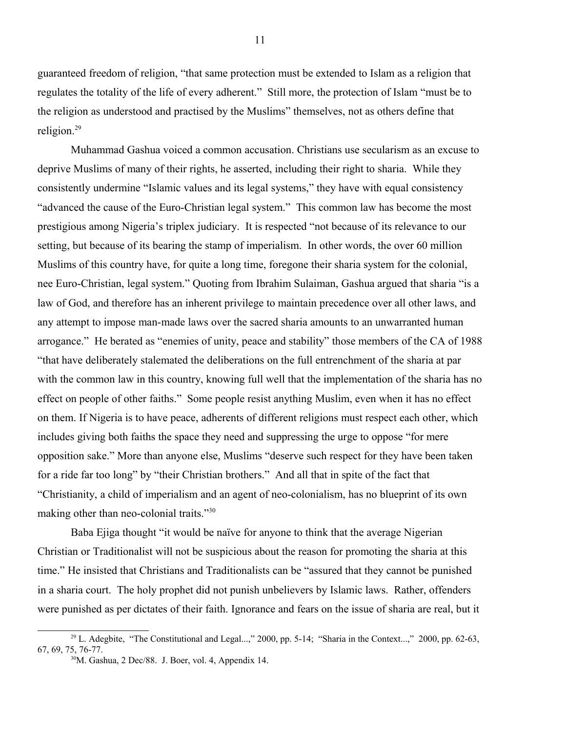guaranteed freedom of religion, "that same protection must be extended to Islam as a religion that regulates the totality of the life of every adherent." Still more, the protection of Islam "must be to the religion as understood and practised by the Muslims" themselves, not as others define that religion.[29](#page-10-0)

Muhammad Gashua voiced a common accusation. Christians use secularism as an excuse to deprive Muslims of many of their rights, he asserted, including their right to sharia. While they consistently undermine "Islamic values and its legal systems," they have with equal consistency "advanced the cause of the Euro-Christian legal system." This common law has become the most prestigious among Nigeria's triplex judiciary. It is respected "not because of its relevance to our setting, but because of its bearing the stamp of imperialism. In other words, the over 60 million Muslims of this country have, for quite a long time, foregone their sharia system for the colonial, nee Euro-Christian, legal system." Quoting from Ibrahim Sulaiman, Gashua argued that sharia "is a law of God, and therefore has an inherent privilege to maintain precedence over all other laws, and any attempt to impose man-made laws over the sacred sharia amounts to an unwarranted human arrogance." He berated as "enemies of unity, peace and stability" those members of the CA of 1988 "that have deliberately stalemated the deliberations on the full entrenchment of the sharia at par with the common law in this country, knowing full well that the implementation of the sharia has no effect on people of other faiths." Some people resist anything Muslim, even when it has no effect on them. If Nigeria is to have peace, adherents of different religions must respect each other, which includes giving both faiths the space they need and suppressing the urge to oppose "for mere opposition sake." More than anyone else, Muslims "deserve such respect for they have been taken for a ride far too long" by "their Christian brothers." And all that in spite of the fact that "Christianity, a child of imperialism and an agent of neo-colonialism, has no blueprint of its own making other than neo-colonial traits."<sup>[30](#page-10-1)</sup>

Baba Ejiga thought "it would be naïve for anyone to think that the average Nigerian Christian or Traditionalist will not be suspicious about the reason for promoting the sharia at this time." He insisted that Christians and Traditionalists can be "assured that they cannot be punished in a sharia court. The holy prophet did not punish unbelievers by Islamic laws. Rather, offenders were punished as per dictates of their faith. Ignorance and fears on the issue of sharia are real, but it

 $29$  L. Adegbite, "The Constitutional and Legal...," 2000, pp. 5-14; "Sharia in the Context...," 2000, pp. 62-63, 67, 69, 75, 76-77.

<span id="page-10-1"></span><span id="page-10-0"></span> $30$ M. Gashua, 2 Dec/88. J. Boer, vol. 4, Appendix 14.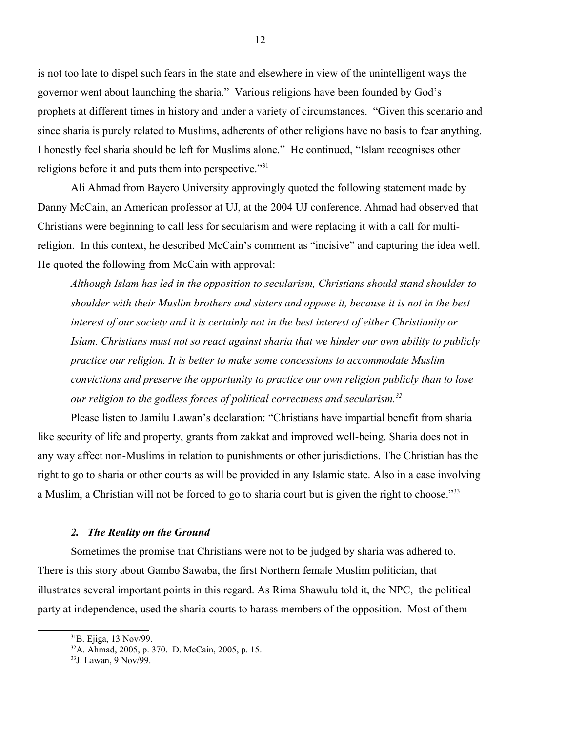is not too late to dispel such fears in the state and elsewhere in view of the unintelligent ways the governor went about launching the sharia." Various religions have been founded by God's prophets at different times in history and under a variety of circumstances. "Given this scenario and since sharia is purely related to Muslims, adherents of other religions have no basis to fear anything. I honestly feel sharia should be left for Muslims alone." He continued, "Islam recognises other religions before it and puts them into perspective."[31](#page-11-0)

Ali Ahmad from Bayero University approvingly quoted the following statement made by Danny McCain, an American professor at UJ, at the 2004 UJ conference. Ahmad had observed that Christians were beginning to call less for secularism and were replacing it with a call for multireligion. In this context, he described McCain's comment as "incisive" and capturing the idea well. He quoted the following from McCain with approval:

*Although Islam has led in the opposition to secularism, Christians should stand shoulder to shoulder with their Muslim brothers and sisters and oppose it, because it is not in the best interest of our society and it is certainly not in the best interest of either Christianity or Islam. Christians must not so react against sharia that we hinder our own ability to publicly practice our religion. It is better to make some concessions to accommodate Muslim convictions and preserve the opportunity to practice our own religion publicly than to lose our religion to the godless forces of political correctness and secularism.[32](#page-11-1)*

Please listen to Jamilu Lawan's declaration: "Christians have impartial benefit from sharia like security of life and property, grants from zakkat and improved well-being. Sharia does not in any way affect non-Muslims in relation to punishments or other jurisdictions. The Christian has the right to go to sharia or other courts as will be provided in any Islamic state. Also in a case involving a Muslim, a Christian will not be forced to go to sharia court but is given the right to choose."<sup>[33](#page-11-2)</sup>

#### *2. The Reality on the Ground*

Sometimes the promise that Christians were not to be judged by sharia was adhered to. There is this story about Gambo Sawaba, the first Northern female Muslim politician, that illustrates several important points in this regard. As Rima Shawulu told it, the NPC, the political party at independence, used the sharia courts to harass members of the opposition. Most of them

<span id="page-11-0"></span><sup>31</sup>B. Ejiga, 13 Nov/99.

<span id="page-11-1"></span><sup>32</sup>A. Ahmad, 2005, p. 370. D. McCain, 2005, p. 15.

<span id="page-11-2"></span><sup>33</sup>J. Lawan, 9 Nov/99.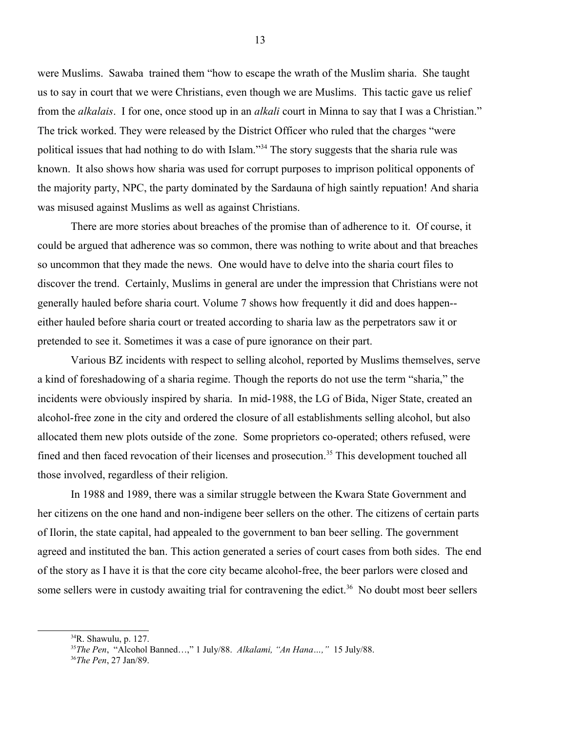were Muslims. Sawaba trained them "how to escape the wrath of the Muslim sharia. She taught us to say in court that we were Christians, even though we are Muslims. This tactic gave us relief from the *alkalais*. I for one, once stood up in an *alkali* court in Minna to say that I was a Christian." The trick worked. They were released by the District Officer who ruled that the charges "were political issues that had nothing to do with Islam."<sup>[34](#page-12-0)</sup> The story suggests that the sharia rule was known. It also shows how sharia was used for corrupt purposes to imprison political opponents of the majority party, NPC, the party dominated by the Sardauna of high saintly repuation! And sharia was misused against Muslims as well as against Christians.

There are more stories about breaches of the promise than of adherence to it. Of course, it could be argued that adherence was so common, there was nothing to write about and that breaches so uncommon that they made the news. One would have to delve into the sharia court files to discover the trend. Certainly, Muslims in general are under the impression that Christians were not generally hauled before sharia court. Volume 7 shows how frequently it did and does happen- either hauled before sharia court or treated according to sharia law as the perpetrators saw it or pretended to see it. Sometimes it was a case of pure ignorance on their part.

Various BZ incidents with respect to selling alcohol, reported by Muslims themselves, serve a kind of foreshadowing of a sharia regime. Though the reports do not use the term "sharia," the incidents were obviously inspired by sharia. In mid-1988, the LG of Bida, Niger State, created an alcohol-free zone in the city and ordered the closure of all establishments selling alcohol, but also allocated them new plots outside of the zone. Some proprietors co-operated; others refused, were fined and then faced revocation of their licenses and prosecution.<sup>[35](#page-12-1)</sup> This development touched all those involved, regardless of their religion.

In 1988 and 1989, there was a similar struggle between the Kwara State Government and her citizens on the one hand and non-indigene beer sellers on the other. The citizens of certain parts of Ilorin, the state capital, had appealed to the government to ban beer selling. The government agreed and instituted the ban. This action generated a series of court cases from both sides. The end of the story as I have it is that the core city became alcohol-free, the beer parlors were closed and some sellers were in custody awaiting trial for contravening the edict.<sup>[36](#page-12-2)</sup> No doubt most beer sellers

<span id="page-12-0"></span><sup>34</sup>R. Shawulu, p. 127.

<span id="page-12-1"></span><sup>35</sup>*The Pen*, "Alcohol Banned…," 1 July/88. *Alkalami, "An Hana…,"* 15 July/88.

<span id="page-12-2"></span><sup>36</sup>*The Pen*, 27 Jan/89.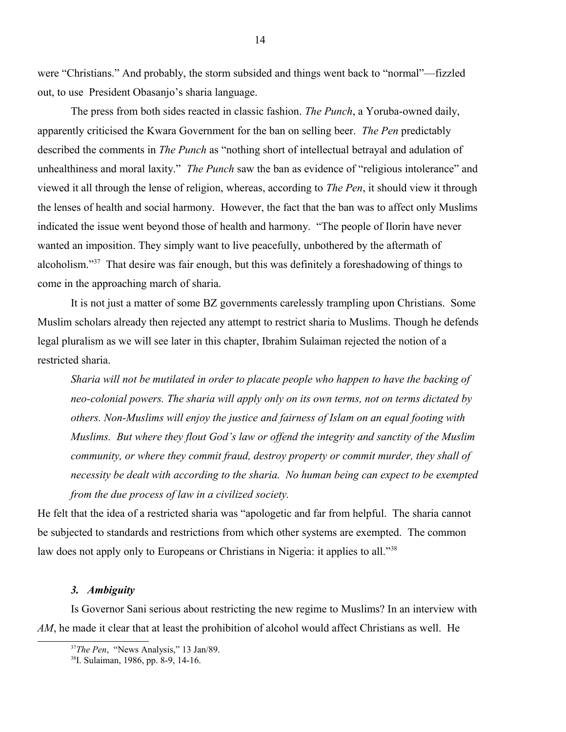were "Christians." And probably, the storm subsided and things went back to "normal"—fizzled out, to use President Obasanjo's sharia language.

The press from both sides reacted in classic fashion. *The Punch*, a Yoruba-owned daily, apparently criticised the Kwara Government for the ban on selling beer. *The Pen* predictably described the comments in *The Punch* as "nothing short of intellectual betrayal and adulation of unhealthiness and moral laxity." *The Punch* saw the ban as evidence of "religious intolerance" and viewed it all through the lense of religion, whereas, according to *The Pen*, it should view it through the lenses of health and social harmony. However, the fact that the ban was to affect only Muslims indicated the issue went beyond those of health and harmony. "The people of Ilorin have never wanted an imposition. They simply want to live peacefully, unbothered by the aftermath of alcoholism."[37](#page-13-0) That desire was fair enough, but this was definitely a foreshadowing of things to come in the approaching march of sharia.

It is not just a matter of some BZ governments carelessly trampling upon Christians. Some Muslim scholars already then rejected any attempt to restrict sharia to Muslims. Though he defends legal pluralism as we will see later in this chapter, Ibrahim Sulaiman rejected the notion of a restricted sharia.

*Sharia will not be mutilated in order to placate people who happen to have the backing of neo-colonial powers. The sharia will apply only on its own terms, not on terms dictated by others. Non-Muslims will enjoy the justice and fairness of Islam on an equal footing with Muslims. But where they flout God's law or offend the integrity and sanctity of the Muslim community, or where they commit fraud, destroy property or commit murder, they shall of necessity be dealt with according to the sharia. No human being can expect to be exempted from the due process of law in a civilized society.* 

He felt that the idea of a restricted sharia was "apologetic and far from helpful. The sharia cannot be subjected to standards and restrictions from which other systems are exempted. The common law does not apply only to Europeans or Christians in Nigeria: it applies to all."<sup>[38](#page-13-1)</sup>

### *3. Ambiguity*

Is Governor Sani serious about restricting the new regime to Muslims? In an interview with *AM*, he made it clear that at least the prohibition of alcohol would affect Christians as well. He

<span id="page-13-0"></span><sup>37</sup>*The Pen*, "News Analysis," 13 Jan/89.

<span id="page-13-1"></span><sup>38</sup>I. Sulaiman, 1986, pp. 8-9, 14-16.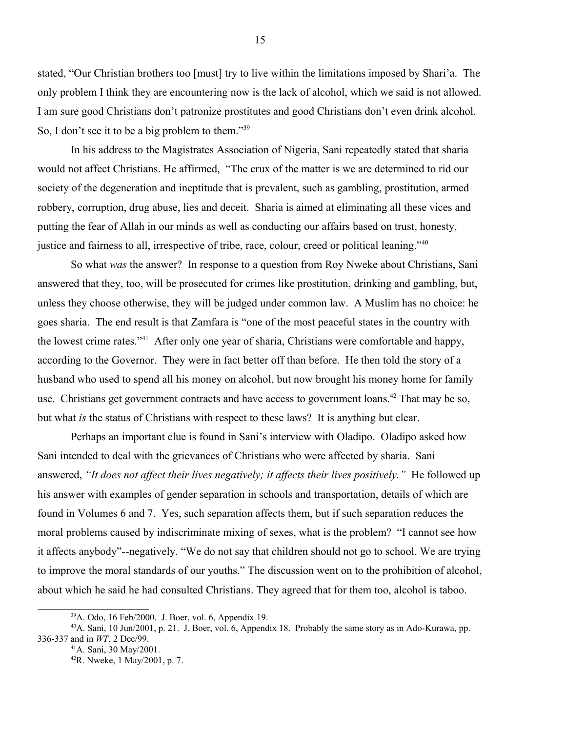stated, "Our Christian brothers too [must] try to live within the limitations imposed by Shari'a. The only problem I think they are encountering now is the lack of alcohol, which we said is not allowed. I am sure good Christians don't patronize prostitutes and good Christians don't even drink alcohol. So, I don't see it to be a big problem to them."<sup>[39](#page-14-0)</sup>

In his address to the Magistrates Association of Nigeria, Sani repeatedly stated that sharia would not affect Christians. He affirmed, "The crux of the matter is we are determined to rid our society of the degeneration and ineptitude that is prevalent, such as gambling, prostitution, armed robbery, corruption, drug abuse, lies and deceit. Sharia is aimed at eliminating all these vices and putting the fear of Allah in our minds as well as conducting our affairs based on trust, honesty, justice and fairness to all, irrespective of tribe, race, colour, creed or political leaning."<sup>[40](#page-14-1)</sup>

So what *was* the answer? In response to a question from Roy Nweke about Christians, Sani answered that they, too, will be prosecuted for crimes like prostitution, drinking and gambling, but, unless they choose otherwise, they will be judged under common law. A Muslim has no choice: he goes sharia. The end result is that Zamfara is "one of the most peaceful states in the country with the lowest crime rates."[41](#page-14-2) After only one year of sharia, Christians were comfortable and happy, according to the Governor. They were in fact better off than before. He then told the story of a husband who used to spend all his money on alcohol, but now brought his money home for family use. Christians get government contracts and have access to government loans.<sup>[42](#page-14-3)</sup> That may be so, but what *is* the status of Christians with respect to these laws? It is anything but clear.

Perhaps an important clue is found in Sani's interview with Oladipo. Oladipo asked how Sani intended to deal with the grievances of Christians who were affected by sharia. Sani answered, *"It does not affect their lives negatively; it affects their lives positively."* He followed up his answer with examples of gender separation in schools and transportation, details of which are found in Volumes 6 and 7. Yes, such separation affects them, but if such separation reduces the moral problems caused by indiscriminate mixing of sexes, what is the problem? "I cannot see how it affects anybody"--negatively. "We do not say that children should not go to school. We are trying to improve the moral standards of our youths." The discussion went on to the prohibition of alcohol, about which he said he had consulted Christians. They agreed that for them too, alcohol is taboo.

<span id="page-14-1"></span><span id="page-14-0"></span><sup>39</sup>A. Odo, 16 Feb/2000. J. Boer, vol. 6, Appendix 19.

<sup>40</sup>A. Sani, 10 Jun/2001, p. 21. J. Boer, vol. 6, Appendix 18. Probably the same story as in Ado-Kurawa, pp. 336-337 and in *WT*, 2 Dec/99.

<span id="page-14-2"></span><sup>41</sup>A. Sani, 30 May/2001.

<span id="page-14-3"></span><sup>42</sup>R. Nweke, 1 May/2001, p. 7.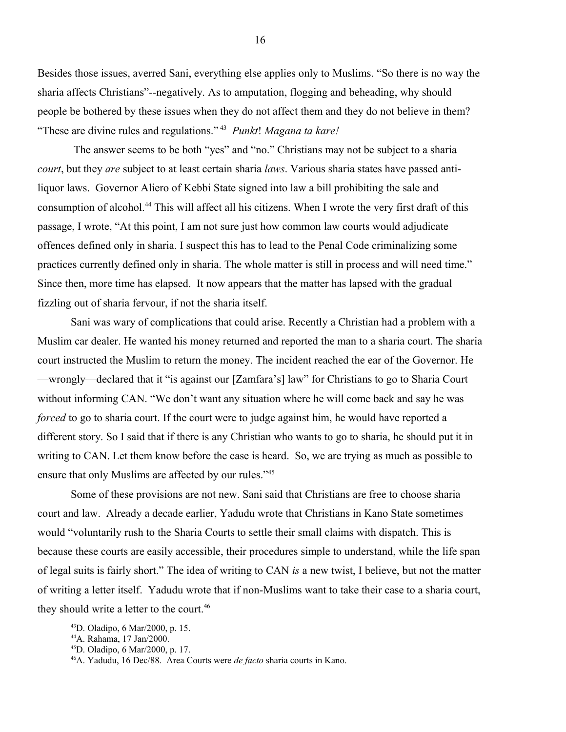Besides those issues, averred Sani, everything else applies only to Muslims. "So there is no way the sharia affects Christians"--negatively. As to amputation, flogging and beheading, why should people be bothered by these issues when they do not affect them and they do not believe in them? "These are divine rules and regulations." [43](#page-15-0) *Punkt*! *Magana ta kare!*

 The answer seems to be both "yes" and "no." Christians may not be subject to a sharia *court*, but they *are* subject to at least certain sharia *laws*. Various sharia states have passed antiliquor laws. Governor Aliero of Kebbi State signed into law a bill prohibiting the sale and consumption of alcohol.[44](#page-15-1) This will affect all his citizens. When I wrote the very first draft of this passage, I wrote, "At this point, I am not sure just how common law courts would adjudicate offences defined only in sharia. I suspect this has to lead to the Penal Code criminalizing some practices currently defined only in sharia. The whole matter is still in process and will need time." Since then, more time has elapsed. It now appears that the matter has lapsed with the gradual fizzling out of sharia fervour, if not the sharia itself.

Sani was wary of complications that could arise. Recently a Christian had a problem with a Muslim car dealer. He wanted his money returned and reported the man to a sharia court. The sharia court instructed the Muslim to return the money. The incident reached the ear of the Governor. He —wrongly—declared that it "is against our [Zamfara's] law" for Christians to go to Sharia Court without informing CAN. "We don't want any situation where he will come back and say he was *forced* to go to sharia court. If the court were to judge against him, he would have reported a different story. So I said that if there is any Christian who wants to go to sharia, he should put it in writing to CAN. Let them know before the case is heard. So, we are trying as much as possible to ensure that only Muslims are affected by our rules."<sup>[45](#page-15-2)</sup>

Some of these provisions are not new. Sani said that Christians are free to choose sharia court and law. Already a decade earlier, Yadudu wrote that Christians in Kano State sometimes would "voluntarily rush to the Sharia Courts to settle their small claims with dispatch. This is because these courts are easily accessible, their procedures simple to understand, while the life span of legal suits is fairly short." The idea of writing to CAN *is* a new twist, I believe, but not the matter of writing a letter itself. Yadudu wrote that if non-Muslims want to take their case to a sharia court, they should write a letter to the court.<sup>[46](#page-15-3)</sup>

<span id="page-15-0"></span><sup>43</sup>D. Oladipo, 6 Mar/2000, p. 15.

<span id="page-15-1"></span><sup>44</sup>A. Rahama, 17 Jan/2000.

<span id="page-15-2"></span><sup>45</sup>D. Oladipo, 6 Mar/2000, p. 17.

<span id="page-15-3"></span><sup>46</sup>A. Yadudu, 16 Dec/88. Area Courts were *de facto* sharia courts in Kano.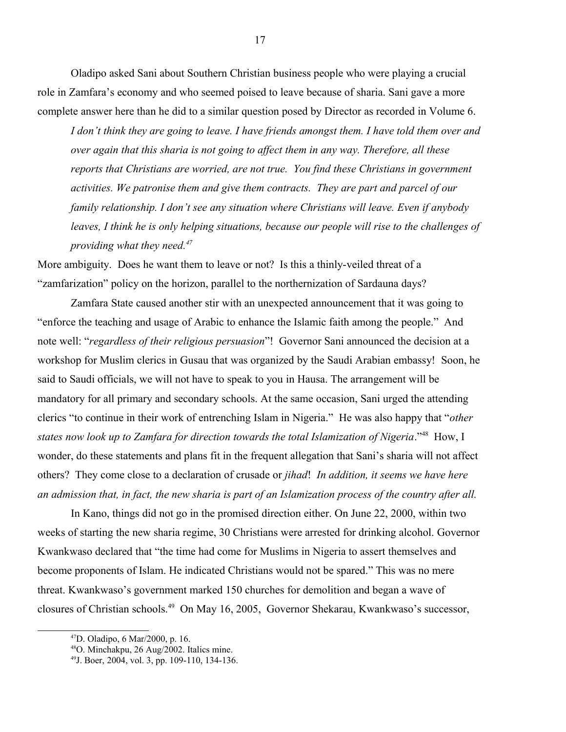Oladipo asked Sani about Southern Christian business people who were playing a crucial role in Zamfara's economy and who seemed poised to leave because of sharia. Sani gave a more complete answer here than he did to a similar question posed by Director as recorded in Volume 6.

*I don't think they are going to leave. I have friends amongst them. I have told them over and over again that this sharia is not going to affect them in any way. Therefore, all these reports that Christians are worried, are not true. You find these Christians in government activities. We patronise them and give them contracts. They are part and parcel of our family relationship. I don't see any situation where Christians will leave. Even if anybody leaves, I think he is only helping situations, because our people will rise to the challenges of providing what they need.[47](#page-16-0)*

More ambiguity. Does he want them to leave or not? Is this a thinly-veiled threat of a "zamfarization" policy on the horizon, parallel to the northernization of Sardauna days?

Zamfara State caused another stir with an unexpected announcement that it was going to "enforce the teaching and usage of Arabic to enhance the Islamic faith among the people." And note well: "*regardless of their religious persuasion*"! Governor Sani announced the decision at a workshop for Muslim clerics in Gusau that was organized by the Saudi Arabian embassy! Soon, he said to Saudi officials, we will not have to speak to you in Hausa. The arrangement will be mandatory for all primary and secondary schools. At the same occasion, Sani urged the attending clerics "to continue in their work of entrenching Islam in Nigeria." He was also happy that "*other states now look up to Zamfara for direction towards the total Islamization of Nigeria*."[48](#page-16-1) How, I wonder, do these statements and plans fit in the frequent allegation that Sani's sharia will not affect others? They come close to a declaration of crusade or *jihad*! *In addition, it seems we have here an admission that, in fact, the new sharia is part of an Islamization process of the country after all.*

In Kano, things did not go in the promised direction either. On June 22, 2000, within two weeks of starting the new sharia regime, 30 Christians were arrested for drinking alcohol. Governor Kwankwaso declared that "the time had come for Muslims in Nigeria to assert themselves and become proponents of Islam. He indicated Christians would not be spared." This was no mere threat. Kwankwaso's government marked 150 churches for demolition and began a wave of closures of Christian schools.[49](#page-16-2) On May 16, 2005, Governor Shekarau, Kwankwaso's successor,

17

<span id="page-16-0"></span><sup>47</sup>D. Oladipo, 6 Mar/2000, p. 16.

<span id="page-16-1"></span><sup>48</sup>O. Minchakpu, 26 Aug/2002. Italics mine.

<span id="page-16-2"></span><sup>49</sup>J. Boer, 2004, vol. 3, pp. 109-110, 134-136.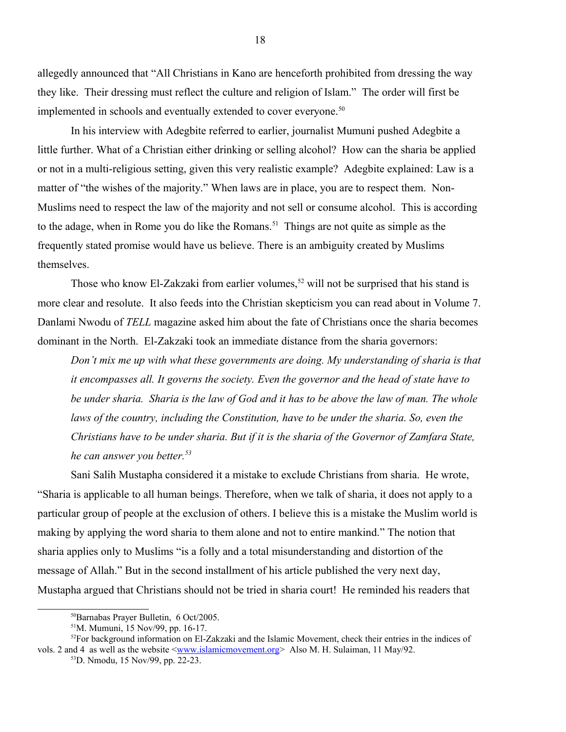allegedly announced that "All Christians in Kano are henceforth prohibited from dressing the way they like. Their dressing must reflect the culture and religion of Islam." The order will first be implemented in schools and eventually extended to cover everyone.<sup>[50](#page-17-0)</sup>

In his interview with Adegbite referred to earlier, journalist Mumuni pushed Adegbite a little further. What of a Christian either drinking or selling alcohol? How can the sharia be applied or not in a multi-religious setting, given this very realistic example? Adegbite explained: Law is a matter of "the wishes of the majority." When laws are in place, you are to respect them. Non-Muslims need to respect the law of the majority and not sell or consume alcohol. This is according to the adage, when in Rome you do like the Romans.<sup>[51](#page-17-1)</sup> Things are not quite as simple as the frequently stated promise would have us believe. There is an ambiguity created by Muslims themselves.

Those who know El-Zakzaki from earlier volumes,<sup>[52](#page-17-2)</sup> will not be surprised that his stand is more clear and resolute. It also feeds into the Christian skepticism you can read about in Volume 7. Danlami Nwodu of *TELL* magazine asked him about the fate of Christians once the sharia becomes dominant in the North. El-Zakzaki took an immediate distance from the sharia governors:

*Don't mix me up with what these governments are doing. My understanding of sharia is that it encompasses all. It governs the society. Even the governor and the head of state have to be under sharia. Sharia is the law of God and it has to be above the law of man. The whole laws of the country, including the Constitution, have to be under the sharia. So, even the Christians have to be under sharia. But if it is the sharia of the Governor of Zamfara State, he can answer you better.[53](#page-17-3)*

Sani Salih Mustapha considered it a mistake to exclude Christians from sharia. He wrote, "Sharia is applicable to all human beings. Therefore, when we talk of sharia, it does not apply to a particular group of people at the exclusion of others. I believe this is a mistake the Muslim world is making by applying the word sharia to them alone and not to entire mankind." The notion that sharia applies only to Muslims "is a folly and a total misunderstanding and distortion of the message of Allah." But in the second installment of his article published the very next day, Mustapha argued that Christians should not be tried in sharia court! He reminded his readers that

<span id="page-17-0"></span><sup>50</sup>Barnabas Prayer Bulletin, 6 Oct/2005.

<span id="page-17-2"></span><span id="page-17-1"></span><sup>51</sup>M. Mumuni, 15 Nov/99, pp. 16-17.

 $52$ For background information on El-Zakzaki and the Islamic Movement, check their entries in the indices of vols. 2 and 4 as well as the website  $\langle$ www.islamicmovement.org > Also M. H. Sulaiman, 11 May/92.

<span id="page-17-3"></span><sup>53</sup>D. Nmodu, 15 Nov/99, pp. 22-23.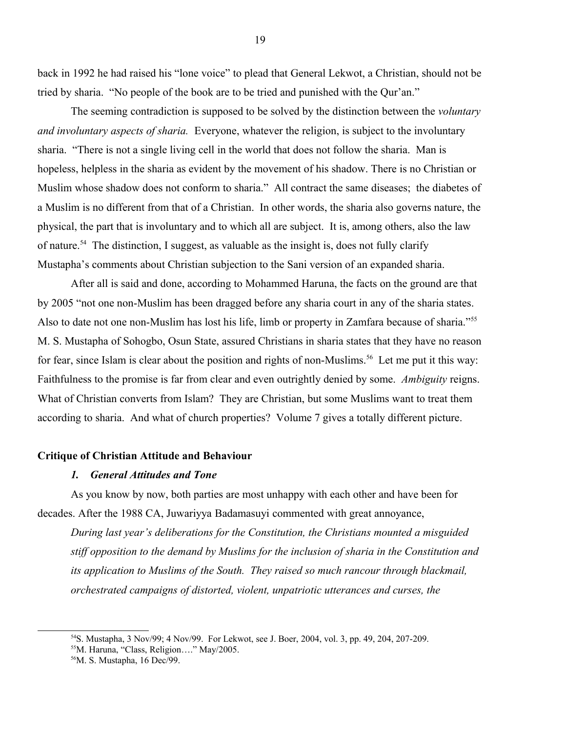back in 1992 he had raised his "lone voice" to plead that General Lekwot, a Christian, should not be tried by sharia. "No people of the book are to be tried and punished with the Qur'an."

The seeming contradiction is supposed to be solved by the distinction between the *voluntary and involuntary aspects of sharia.* Everyone, whatever the religion, is subject to the involuntary sharia. "There is not a single living cell in the world that does not follow the sharia. Man is hopeless, helpless in the sharia as evident by the movement of his shadow. There is no Christian or Muslim whose shadow does not conform to sharia." All contract the same diseases; the diabetes of a Muslim is no different from that of a Christian. In other words, the sharia also governs nature, the physical, the part that is involuntary and to which all are subject. It is, among others, also the law of nature.<sup>[54](#page-18-0)</sup> The distinction, I suggest, as valuable as the insight is, does not fully clarify Mustapha's comments about Christian subjection to the Sani version of an expanded sharia.

After all is said and done, according to Mohammed Haruna, the facts on the ground are that by 2005 "not one non-Muslim has been dragged before any sharia court in any of the sharia states. Also to date not one non-Muslim has lost his life, limb or property in Zamfara because of sharia."[55](#page-18-1) M. S. Mustapha of Sohogbo, Osun State, assured Christians in sharia states that they have no reason for fear, since Islam is clear about the position and rights of non-Muslims.<sup>[56](#page-18-2)</sup> Let me put it this way: Faithfulness to the promise is far from clear and even outrightly denied by some. *Ambiguity* reigns. What of Christian converts from Islam? They are Christian, but some Muslims want to treat them according to sharia. And what of church properties? Volume 7 gives a totally different picture.

#### **Critique of Christian Attitude and Behaviour**

## *1. General Attitudes and Tone*

As you know by now, both parties are most unhappy with each other and have been for decades. After the 1988 CA, Juwariyya Badamasuyi commented with great annoyance,

*During last year's deliberations for the Constitution, the Christians mounted a misguided stiff opposition to the demand by Muslims for the inclusion of sharia in the Constitution and its application to Muslims of the South. They raised so much rancour through blackmail, orchestrated campaigns of distorted, violent, unpatriotic utterances and curses, the* 

<span id="page-18-0"></span><sup>54</sup>S. Mustapha, 3 Nov/99; 4 Nov/99. For Lekwot, see J. Boer, 2004, vol. 3, pp. 49, 204, 207-209.

<span id="page-18-1"></span><sup>55</sup>M. Haruna, "Class, Religion…." May/2005.

<span id="page-18-2"></span><sup>56</sup>M. S. Mustapha, 16 Dec/99.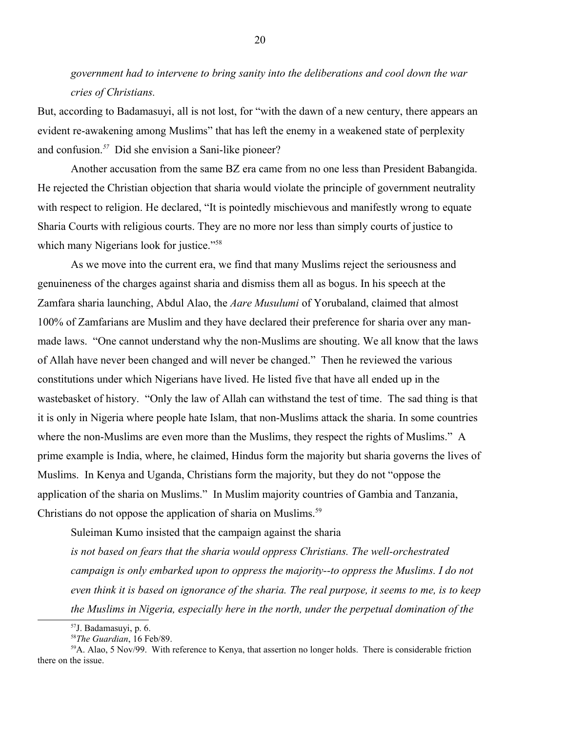*government had to intervene to bring sanity into the deliberations and cool down the war cries of Christians.*

But, according to Badamasuyi, all is not lost, for "with the dawn of a new century, there appears an evident re-awakening among Muslims" that has left the enemy in a weakened state of perplexity and confusion.*[57](#page-19-0)* Did she envision a Sani-like pioneer?

Another accusation from the same BZ era came from no one less than President Babangida. He rejected the Christian objection that sharia would violate the principle of government neutrality with respect to religion. He declared, "It is pointedly mischievous and manifestly wrong to equate Sharia Courts with religious courts. They are no more nor less than simply courts of justice to which many Nigerians look for justice."<sup>[58](#page-19-1)</sup>

As we move into the current era, we find that many Muslims reject the seriousness and genuineness of the charges against sharia and dismiss them all as bogus. In his speech at the Zamfara sharia launching, Abdul Alao, the *Aare Musulumi* of Yorubaland, claimed that almost 100% of Zamfarians are Muslim and they have declared their preference for sharia over any manmade laws. "One cannot understand why the non-Muslims are shouting. We all know that the laws of Allah have never been changed and will never be changed." Then he reviewed the various constitutions under which Nigerians have lived. He listed five that have all ended up in the wastebasket of history. "Only the law of Allah can withstand the test of time. The sad thing is that it is only in Nigeria where people hate Islam, that non-Muslims attack the sharia. In some countries where the non-Muslims are even more than the Muslims, they respect the rights of Muslims." A prime example is India, where, he claimed, Hindus form the majority but sharia governs the lives of Muslims. In Kenya and Uganda, Christians form the majority, but they do not "oppose the application of the sharia on Muslims." In Muslim majority countries of Gambia and Tanzania, Christians do not oppose the application of sharia on Muslims.<sup>[59](#page-19-2)</sup>

Suleiman Kumo insisted that the campaign against the sharia

*is not based on fears that the sharia would oppress Christians. The well-orchestrated campaign is only embarked upon to oppress the majority--to oppress the Muslims. I do not even think it is based on ignorance of the sharia. The real purpose, it seems to me, is to keep the Muslims in Nigeria, especially here in the north, under the perpetual domination of the* 

<span id="page-19-0"></span><sup>57</sup>J. Badamasuyi, p. 6.

<span id="page-19-2"></span><span id="page-19-1"></span><sup>58</sup>*The Guardian*, 16 Feb/89.

<sup>&</sup>lt;sup>59</sup>A. Alao, 5 Nov/99. With reference to Kenya, that assertion no longer holds. There is considerable friction there on the issue.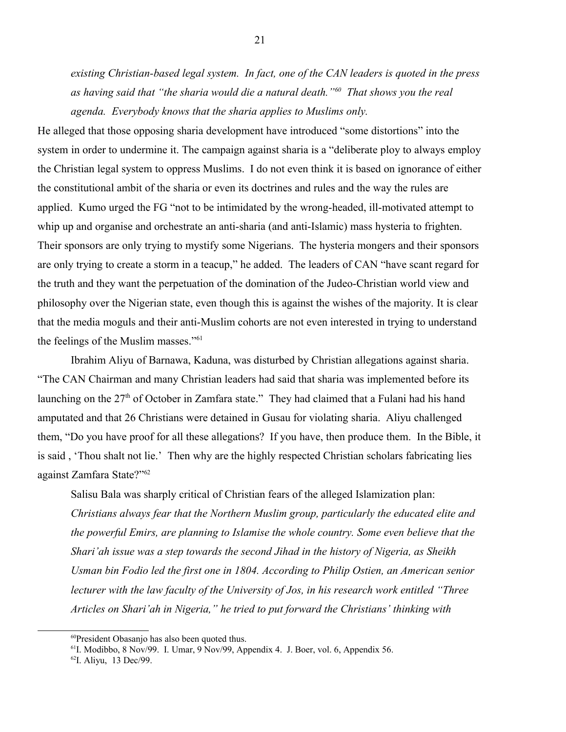*existing Christian-based legal system. In fact, one of the CAN leaders is quoted in the press as having said that "the sharia would die a natural death."[60](#page-20-0) That shows you the real agenda. Everybody knows that the sharia applies to Muslims only.*

He alleged that those opposing sharia development have introduced "some distortions" into the system in order to undermine it. The campaign against sharia is a "deliberate ploy to always employ the Christian legal system to oppress Muslims. I do not even think it is based on ignorance of either the constitutional ambit of the sharia or even its doctrines and rules and the way the rules are applied. Kumo urged the FG "not to be intimidated by the wrong-headed, ill-motivated attempt to whip up and organise and orchestrate an anti-sharia (and anti-Islamic) mass hysteria to frighten. Their sponsors are only trying to mystify some Nigerians. The hysteria mongers and their sponsors are only trying to create a storm in a teacup," he added. The leaders of CAN "have scant regard for the truth and they want the perpetuation of the domination of the Judeo-Christian world view and philosophy over the Nigerian state, even though this is against the wishes of the majority. It is clear that the media moguls and their anti-Muslim cohorts are not even interested in trying to understand the feelings of the Muslim masses."<sup>[61](#page-20-1)</sup>

Ibrahim Aliyu of Barnawa, Kaduna, was disturbed by Christian allegations against sharia. "The CAN Chairman and many Christian leaders had said that sharia was implemented before its launching on the  $27<sup>th</sup>$  of October in Zamfara state." They had claimed that a Fulani had his hand amputated and that 26 Christians were detained in Gusau for violating sharia. Aliyu challenged them, "Do you have proof for all these allegations? If you have, then produce them. In the Bible, it is said , 'Thou shalt not lie.' Then why are the highly respected Christian scholars fabricating lies against Zamfara State?"[62](#page-20-2)

Salisu Bala was sharply critical of Christian fears of the alleged Islamization plan: *Christians always fear that the Northern Muslim group, particularly the educated elite and the powerful Emirs, are planning to Islamise the whole country. Some even believe that the Shari'ah issue was a step towards the second Jihad in the history of Nigeria, as Sheikh Usman bin Fodio led the first one in 1804. According to Philip Ostien, an American senior lecturer with the law faculty of the University of Jos, in his research work entitled "Three Articles on Shari'ah in Nigeria," he tried to put forward the Christians' thinking with* 

<span id="page-20-0"></span><sup>&</sup>lt;sup>60</sup>President Obasanjo has also been quoted thus.

<span id="page-20-1"></span><sup>61</sup>I. Modibbo, 8 Nov/99. I. Umar, 9 Nov/99, Appendix 4. J. Boer, vol. 6, Appendix 56.

<span id="page-20-2"></span><sup>62</sup>I. Aliyu, 13 Dec/99.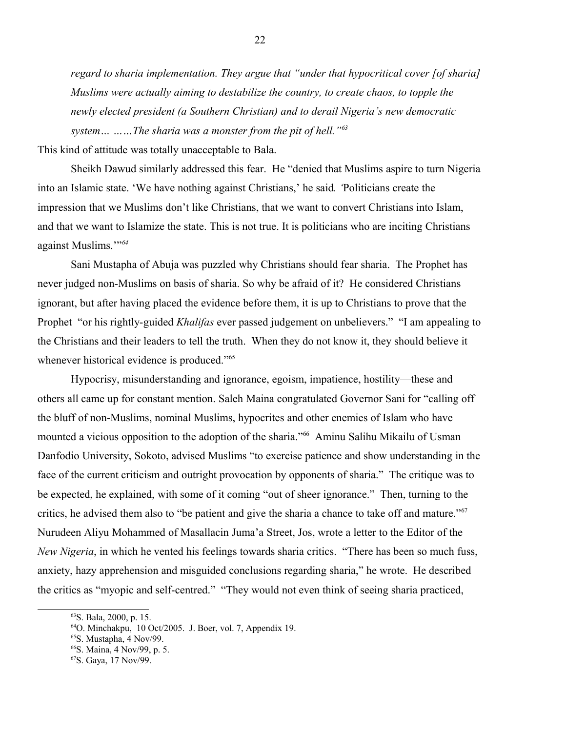*regard to sharia implementation. They argue that "under that hypocritical cover [of sharia] Muslims were actually aiming to destabilize the country, to create chaos, to topple the newly elected president (a Southern Christian) and to derail Nigeria's new democratic system… ……The sharia was a monster from the pit of hell."[63](#page-21-0)*

This kind of attitude was totally unacceptable to Bala.

Sheikh Dawud similarly addressed this fear. He "denied that Muslims aspire to turn Nigeria into an Islamic state. 'We have nothing against Christians,' he said*. '*Politicians create the impression that we Muslims don't like Christians, that we want to convert Christians into Islam, and that we want to Islamize the state. This is not true. It is politicians who are inciting Christians against Muslims.'"*[64](#page-21-1)*

Sani Mustapha of Abuja was puzzled why Christians should fear sharia. The Prophet has never judged non-Muslims on basis of sharia. So why be afraid of it? He considered Christians ignorant, but after having placed the evidence before them, it is up to Christians to prove that the Prophet "or his rightly-guided *Khalifas* ever passed judgement on unbelievers." "I am appealing to the Christians and their leaders to tell the truth. When they do not know it, they should believe it whenever historical evidence is produced."<sup>[65](#page-21-2)</sup>

Hypocrisy, misunderstanding and ignorance, egoism, impatience, hostility—these and others all came up for constant mention. Saleh Maina congratulated Governor Sani for "calling off the bluff of non-Muslims, nominal Muslims, hypocrites and other enemies of Islam who have mounted a vicious opposition to the adoption of the sharia."<sup>[66](#page-21-3)</sup> Aminu Salihu Mikailu of Usman Danfodio University, Sokoto, advised Muslims "to exercise patience and show understanding in the face of the current criticism and outright provocation by opponents of sharia." The critique was to be expected, he explained, with some of it coming "out of sheer ignorance." Then, turning to the critics, he advised them also to "be patient and give the sharia a chance to take off and mature."<sup>[67](#page-21-4)</sup> Nurudeen Aliyu Mohammed of Masallacin Juma'a Street, Jos, wrote a letter to the Editor of the *New Nigeria*, in which he vented his feelings towards sharia critics. "There has been so much fuss, anxiety, hazy apprehension and misguided conclusions regarding sharia," he wrote. He described the critics as "myopic and self-centred." "They would not even think of seeing sharia practiced,

<span id="page-21-0"></span><sup>63</sup>S. Bala, 2000, p. 15.

<span id="page-21-1"></span> $64$ O. Minchakpu, 10 Oct/2005. J. Boer, vol. 7, Appendix 19.

<span id="page-21-2"></span><sup>65</sup>S. Mustapha, 4 Nov/99.

<span id="page-21-3"></span><sup>66</sup>S. Maina, 4 Nov/99, p. 5.

<span id="page-21-4"></span><sup>67</sup>S. Gaya, 17 Nov/99.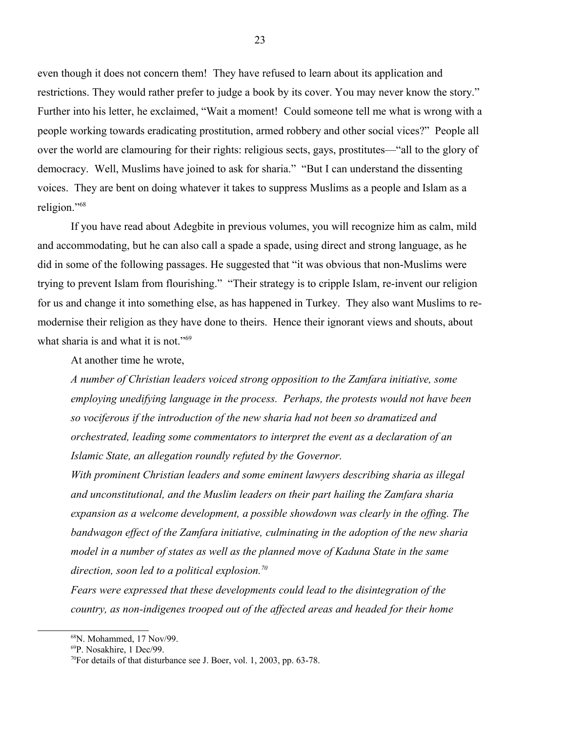even though it does not concern them! They have refused to learn about its application and restrictions. They would rather prefer to judge a book by its cover. You may never know the story." Further into his letter, he exclaimed, "Wait a moment! Could someone tell me what is wrong with a people working towards eradicating prostitution, armed robbery and other social vices?" People all over the world are clamouring for their rights: religious sects, gays, prostitutes—"all to the glory of democracy. Well, Muslims have joined to ask for sharia." "But I can understand the dissenting voices. They are bent on doing whatever it takes to suppress Muslims as a people and Islam as a religion."[68](#page-22-0)

If you have read about Adegbite in previous volumes, you will recognize him as calm, mild and accommodating, but he can also call a spade a spade, using direct and strong language, as he did in some of the following passages. He suggested that "it was obvious that non-Muslims were trying to prevent Islam from flourishing." "Their strategy is to cripple Islam, re-invent our religion for us and change it into something else, as has happened in Turkey. They also want Muslims to remodernise their religion as they have done to theirs. Hence their ignorant views and shouts, about what sharia is and what it is not."<sup>[69](#page-22-1)</sup>

At another time he wrote,

*A number of Christian leaders voiced strong opposition to the Zamfara initiative, some employing unedifying language in the process. Perhaps, the protests would not have been so vociferous if the introduction of the new sharia had not been so dramatized and orchestrated, leading some commentators to interpret the event as a declaration of an Islamic State, an allegation roundly refuted by the Governor.*

*With prominent Christian leaders and some eminent lawyers describing sharia as illegal and unconstitutional, and the Muslim leaders on their part hailing the Zamfara sharia expansion as a welcome development, a possible showdown was clearly in the offing. The bandwagon effect of the Zamfara initiative, culminating in the adoption of the new sharia model in a number of states as well as the planned move of Kaduna State in the same direction, soon led to a political explosion.[70](#page-22-2)* 

*Fears were expressed that these developments could lead to the disintegration of the country, as non-indigenes trooped out of the affected areas and headed for their home* 

<span id="page-22-0"></span><sup>68</sup>N. Mohammed, 17 Nov/99.

<span id="page-22-1"></span><sup>69</sup>P. Nosakhire, 1 Dec/99.

<span id="page-22-2"></span><sup>70</sup>For details of that disturbance see J. Boer, vol. 1, 2003, pp. 63-78.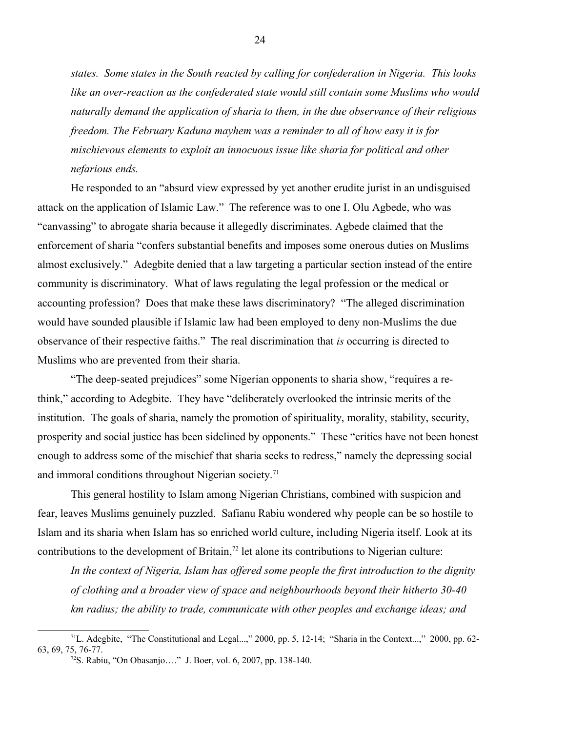*states. Some states in the South reacted by calling for confederation in Nigeria. This looks like an over-reaction as the confederated state would still contain some Muslims who would naturally demand the application of sharia to them, in the due observance of their religious freedom. The February Kaduna mayhem was a reminder to all of how easy it is for mischievous elements to exploit an innocuous issue like sharia for political and other nefarious ends.* 

He responded to an "absurd view expressed by yet another erudite jurist in an undisguised attack on the application of Islamic Law." The reference was to one I. Olu Agbede, who was "canvassing" to abrogate sharia because it allegedly discriminates. Agbede claimed that the enforcement of sharia "confers substantial benefits and imposes some onerous duties on Muslims almost exclusively." Adegbite denied that a law targeting a particular section instead of the entire community is discriminatory. What of laws regulating the legal profession or the medical or accounting profession? Does that make these laws discriminatory? "The alleged discrimination would have sounded plausible if Islamic law had been employed to deny non-Muslims the due observance of their respective faiths." The real discrimination that *is* occurring is directed to Muslims who are prevented from their sharia.

"The deep-seated prejudices" some Nigerian opponents to sharia show, "requires a rethink," according to Adegbite. They have "deliberately overlooked the intrinsic merits of the institution. The goals of sharia, namely the promotion of spirituality, morality, stability, security, prosperity and social justice has been sidelined by opponents." These "critics have not been honest enough to address some of the mischief that sharia seeks to redress," namely the depressing social and immoral conditions throughout Nigerian society.<sup>[71](#page-23-0)</sup>

This general hostility to Islam among Nigerian Christians, combined with suspicion and fear, leaves Muslims genuinely puzzled. Safianu Rabiu wondered why people can be so hostile to Islam and its sharia when Islam has so enriched world culture, including Nigeria itself. Look at its contributions to the development of Britain,<sup>[72](#page-23-1)</sup> let alone its contributions to Nigerian culture:

*In the context of Nigeria, Islam has offered some people the first introduction to the dignity of clothing and a broader view of space and neighbourhoods beyond their hitherto 30-40 km radius; the ability to trade, communicate with other peoples and exchange ideas; and* 

<sup>&</sup>lt;sup>71</sup>L. Adegbite, "The Constitutional and Legal...," 2000, pp. 5, 12-14; "Sharia in the Context...," 2000, pp. 62-63, 69, 75, 76-77.

<span id="page-23-1"></span><span id="page-23-0"></span><sup>72</sup>S. Rabiu, "On Obasanjo…." J. Boer, vol. 6, 2007, pp. 138-140.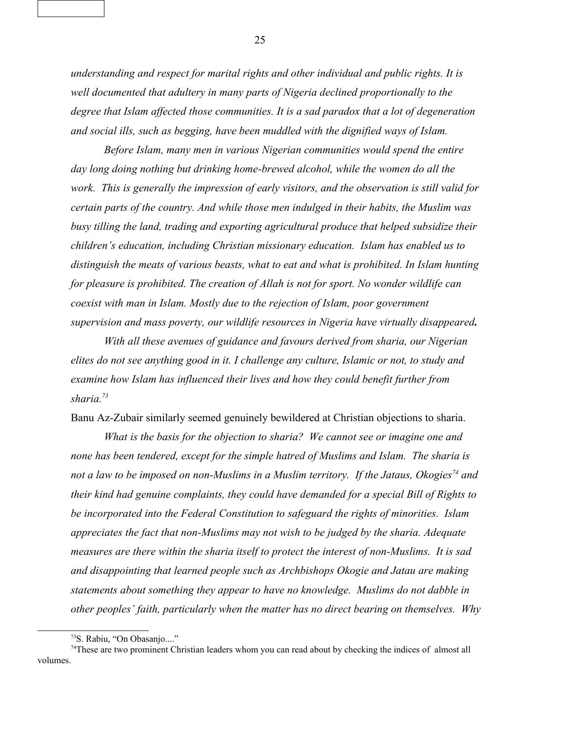*understanding and respect for marital rights and other individual and public rights. It is well documented that adultery in many parts of Nigeria declined proportionally to the degree that Islam affected those communities. It is a sad paradox that a lot of degeneration and social ills, such as begging, have been muddled with the dignified ways of Islam.* 

*Before Islam, many men in various Nigerian communities would spend the entire day long doing nothing but drinking home-brewed alcohol, while the women do all the work. This is generally the impression of early visitors, and the observation is still valid for certain parts of the country. And while those men indulged in their habits, the Muslim was busy tilling the land, trading and exporting agricultural produce that helped subsidize their children's education, including Christian missionary education. Islam has enabled us to distinguish the meats of various beasts, what to eat and what is prohibited. In Islam hunting for pleasure is prohibited. The creation of Allah is not for sport. No wonder wildlife can coexist with man in Islam. Mostly due to the rejection of Islam, poor government supervision and mass poverty, our wildlife resources in Nigeria have virtually disappeared.*

*With all these avenues of guidance and favours derived from sharia, our Nigerian elites do not see anything good in it. I challenge any culture, Islamic or not, to study and examine how Islam has influenced their lives and how they could benefit further from sharia.[73](#page-24-0)* 

Banu Az-Zubair similarly seemed genuinely bewildered at Christian objections to sharia.

*What is the basis for the objection to sharia? We cannot see or imagine one and none has been tendered, except for the simple hatred of Muslims and Islam. The sharia is not a law to be imposed on non-Muslims in a Muslim territory. If the Jataus, Okogies[74](#page-24-1) and their kind had genuine complaints, they could have demanded for a special Bill of Rights to be incorporated into the Federal Constitution to safeguard the rights of minorities. Islam appreciates the fact that non-Muslims may not wish to be judged by the sharia. Adequate measures are there within the sharia itself to protect the interest of non-Muslims. It is sad and disappointing that learned people such as Archbishops Okogie and Jatau are making statements about something they appear to have no knowledge. Muslims do not dabble in other peoples' faith, particularly when the matter has no direct bearing on themselves. Why*

<span id="page-24-1"></span><span id="page-24-0"></span><sup>73</sup>S. Rabiu, "On Obasanjo...."

<sup>74</sup>These are two prominent Christian leaders whom you can read about by checking the indices of almost all volumes.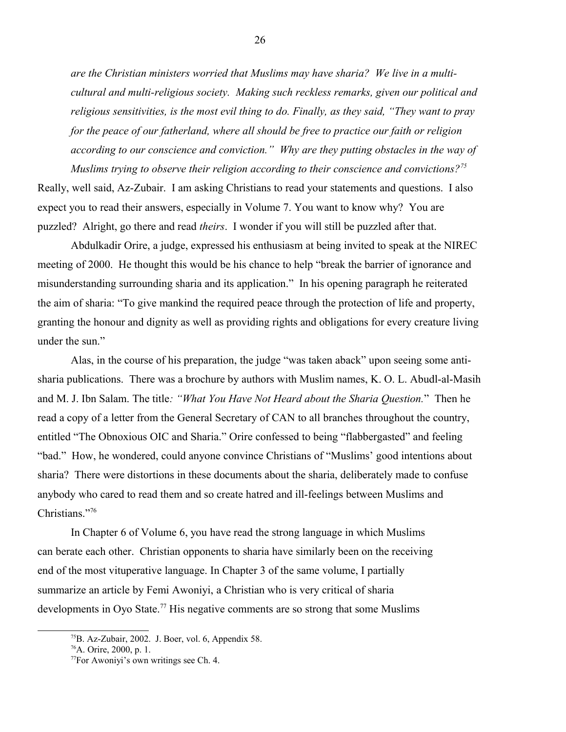*are the Christian ministers worried that Muslims may have sharia? We live in a multicultural and multi-religious society. Making such reckless remarks, given our political and religious sensitivities, is the most evil thing to do. Finally, as they said, "They want to pray for the peace of our fatherland, where all should be free to practice our faith or religion according to our conscience and conviction." Why are they putting obstacles in the way of* 

*Muslims trying to observe their religion according to their conscience and convictions?[75](#page-25-0)* Really, well said, Az-Zubair. I am asking Christians to read your statements and questions. I also expect you to read their answers, especially in Volume 7. You want to know why? You are puzzled? Alright, go there and read *theirs*. I wonder if you will still be puzzled after that.

Abdulkadir Orire, a judge, expressed his enthusiasm at being invited to speak at the NIREC meeting of 2000. He thought this would be his chance to help "break the barrier of ignorance and misunderstanding surrounding sharia and its application." In his opening paragraph he reiterated the aim of sharia: "To give mankind the required peace through the protection of life and property, granting the honour and dignity as well as providing rights and obligations for every creature living under the sun."

Alas, in the course of his preparation, the judge "was taken aback" upon seeing some antisharia publications. There was a brochure by authors with Muslim names, K. O. L. Abudl-al-Masih and M. J. Ibn Salam. The title*: "What You Have Not Heard about the Sharia Question.*" Then he read a copy of a letter from the General Secretary of CAN to all branches throughout the country, entitled "The Obnoxious OIC and Sharia." Orire confessed to being "flabbergasted" and feeling "bad." How, he wondered, could anyone convince Christians of "Muslims' good intentions about sharia? There were distortions in these documents about the sharia, deliberately made to confuse anybody who cared to read them and so create hatred and ill-feelings between Muslims and Christians."[76](#page-25-1)

In Chapter 6 of Volume 6, you have read the strong language in which Muslims can berate each other. Christian opponents to sharia have similarly been on the receiving end of the most vituperative language. In Chapter 3 of the same volume, I partially summarize an article by Femi Awoniyi, a Christian who is very critical of sharia developments in Oyo State.<sup>[77](#page-25-2)</sup> His negative comments are so strong that some Muslims

<span id="page-25-0"></span> $^{75}$ B. Az-Zubair, 2002. J. Boer, vol. 6, Appendix 58.

<span id="page-25-1"></span><sup>76</sup>A. Orire, 2000, p. 1.

<span id="page-25-2"></span><sup>77</sup>For Awoniyi's own writings see Ch. 4.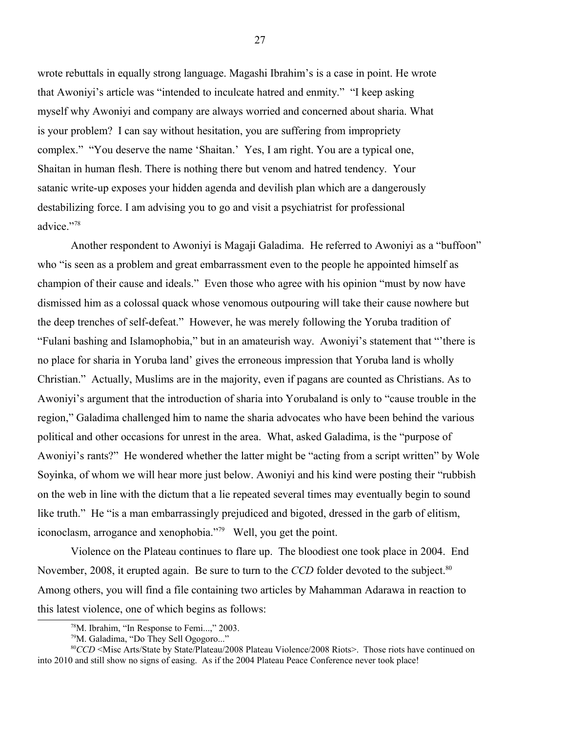wrote rebuttals in equally strong language. Magashi Ibrahim's is a case in point. He wrote that Awoniyi's article was "intended to inculcate hatred and enmity." "I keep asking myself why Awoniyi and company are always worried and concerned about sharia. What is your problem? I can say without hesitation, you are suffering from impropriety complex." "You deserve the name 'Shaitan.' Yes, I am right. You are a typical one, Shaitan in human flesh. There is nothing there but venom and hatred tendency. Your satanic write-up exposes your hidden agenda and devilish plan which are a dangerously destabilizing force. I am advising you to go and visit a psychiatrist for professional advice."[78](#page-26-0)

Another respondent to Awoniyi is Magaji Galadima. He referred to Awoniyi as a "buffoon" who "is seen as a problem and great embarrassment even to the people he appointed himself as champion of their cause and ideals." Even those who agree with his opinion "must by now have dismissed him as a colossal quack whose venomous outpouring will take their cause nowhere but the deep trenches of self-defeat." However, he was merely following the Yoruba tradition of "Fulani bashing and Islamophobia," but in an amateurish way. Awoniyi's statement that "'there is no place for sharia in Yoruba land' gives the erroneous impression that Yoruba land is wholly Christian." Actually, Muslims are in the majority, even if pagans are counted as Christians. As to Awoniyi's argument that the introduction of sharia into Yorubaland is only to "cause trouble in the region," Galadima challenged him to name the sharia advocates who have been behind the various political and other occasions for unrest in the area. What, asked Galadima, is the "purpose of Awoniyi's rants?" He wondered whether the latter might be "acting from a script written" by Wole Soyinka, of whom we will hear more just below. Awoniyi and his kind were posting their "rubbish on the web in line with the dictum that a lie repeated several times may eventually begin to sound like truth." He "is a man embarrassingly prejudiced and bigoted, dressed in the garb of elitism, iconoclasm, arrogance and xenophobia."[79](#page-26-1) Well, you get the point.

Violence on the Plateau continues to flare up. The bloodiest one took place in 2004. End November, 2008, it erupted again. Be sure to turn to the *CCD* folder devoted to the subject.<sup>[80](#page-26-2)</sup> Among others, you will find a file containing two articles by Mahamman Adarawa in reaction to this latest violence, one of which begins as follows:

<span id="page-26-0"></span> $78$ M. Ibrahim, "In Response to Femi...," 2003.

<span id="page-26-2"></span><span id="page-26-1"></span><sup>&</sup>lt;sup>79</sup>M. Galadima, "Do They Sell Ogogoro..."

<sup>80</sup>*CCD* <Misc Arts/State by State/Plateau/2008 Plateau Violence/2008 Riots>. Those riots have continued on into 2010 and still show no signs of easing. As if the 2004 Plateau Peace Conference never took place!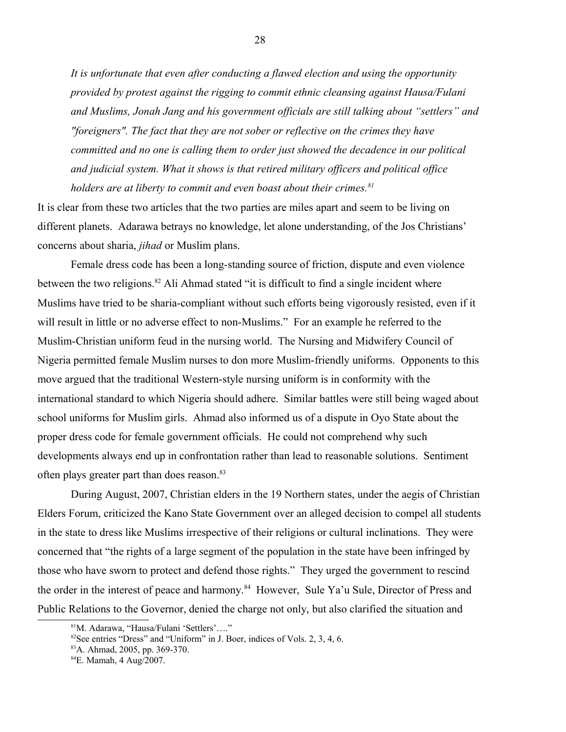*It is unfortunate that even after conducting a flawed election and using the opportunity provided by protest against the rigging to commit ethnic cleansing against Hausa/Fulani and Muslims, Jonah Jang and his government officials are still talking about "settlers" and "foreigners". The fact that they are not sober or reflective on the crimes they have committed and no one is calling them to order just showed the decadence in our political and judicial system. What it shows is that retired military officers and political office holders are at liberty to commit and even boast about their crimes.[81](#page-27-0)*

It is clear from these two articles that the two parties are miles apart and seem to be living on different planets. Adarawa betrays no knowledge, let alone understanding, of the Jos Christians' concerns about sharia, *jihad* or Muslim plans.

Female dress code has been a long-standing source of friction, dispute and even violence between the two religions.<sup>[82](#page-27-1)</sup> Ali Ahmad stated "it is difficult to find a single incident where Muslims have tried to be sharia-compliant without such efforts being vigorously resisted, even if it will result in little or no adverse effect to non-Muslims." For an example he referred to the Muslim-Christian uniform feud in the nursing world. The Nursing and Midwifery Council of Nigeria permitted female Muslim nurses to don more Muslim-friendly uniforms. Opponents to this move argued that the traditional Western-style nursing uniform is in conformity with the international standard to which Nigeria should adhere. Similar battles were still being waged about school uniforms for Muslim girls. Ahmad also informed us of a dispute in Oyo State about the proper dress code for female government officials. He could not comprehend why such developments always end up in confrontation rather than lead to reasonable solutions. Sentiment often plays greater part than does reason.<sup>[83](#page-27-2)</sup>

During August, 2007, Christian elders in the 19 Northern states, under the aegis of Christian Elders Forum, criticized the Kano State Government over an alleged decision to compel all students in the state to dress like Muslims irrespective of their religions or cultural inclinations. They were concerned that "the rights of a large segment of the population in the state have been infringed by those who have sworn to protect and defend those rights." They urged the government to rescind the order in the interest of peace and harmony.<sup>[84](#page-27-3)</sup> However, Sule Ya'u Sule, Director of Press and Public Relations to the Governor, denied the charge not only, but also clarified the situation and

<span id="page-27-0"></span><sup>81</sup>M. Adarawa, "Hausa/Fulani 'Settlers'…."

<span id="page-27-1"></span> $82$ See entries "Dress" and "Uniform" in J. Boer, indices of Vols. 2, 3, 4, 6.

<span id="page-27-2"></span><sup>83</sup>A. Ahmad, 2005, pp. 369-370.

<span id="page-27-3"></span><sup>84</sup>E. Mamah, 4 Aug/2007.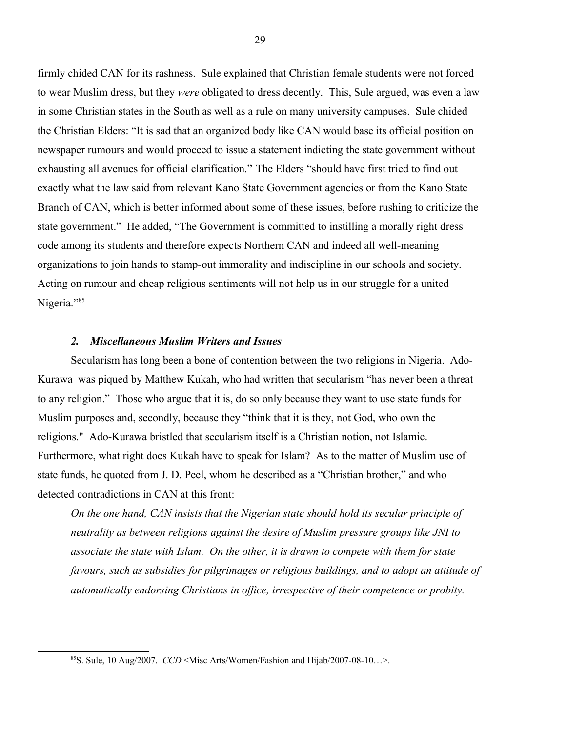firmly chided CAN for its rashness. Sule explained that Christian female students were not forced to wear Muslim dress, but they *were* obligated to dress decently. This, Sule argued, was even a law in some Christian states in the South as well as a rule on many university campuses. Sule chided the Christian Elders: "It is sad that an organized body like CAN would base its official position on newspaper rumours and would proceed to issue a statement indicting the state government without exhausting all avenues for official clarification." The Elders "should have first tried to find out exactly what the law said from relevant Kano State Government agencies or from the Kano State Branch of CAN, which is better informed about some of these issues, before rushing to criticize the state government." He added, "The Government is committed to instilling a morally right dress code among its students and therefore expects Northern CAN and indeed all well-meaning organizations to join hands to stamp-out immorality and indiscipline in our schools and society. Acting on rumour and cheap religious sentiments will not help us in our struggle for a united Nigeria."<sup>[85](#page-28-0)</sup>

## *2. Miscellaneous Muslim Writers and Issues*

Secularism has long been a bone of contention between the two religions in Nigeria. Ado-Kurawa was piqued by Matthew Kukah, who had written that secularism "has never been a threat to any religion." Those who argue that it is, do so only because they want to use state funds for Muslim purposes and, secondly, because they "think that it is they, not God, who own the religions." Ado-Kurawa bristled that secularism itself is a Christian notion, not Islamic. Furthermore, what right does Kukah have to speak for Islam? As to the matter of Muslim use of state funds, he quoted from J. D. Peel, whom he described as a "Christian brother," and who detected contradictions in CAN at this front:

*On the one hand, CAN insists that the Nigerian state should hold its secular principle of neutrality as between religions against the desire of Muslim pressure groups like JNI to associate the state with Islam. On the other, it is drawn to compete with them for state favours, such as subsidies for pilgrimages or religious buildings, and to adopt an attitude of automatically endorsing Christians in office, irrespective of their competence or probity.* 

<span id="page-28-0"></span><sup>85</sup>S. Sule, 10 Aug/2007. *CCD* <Misc Arts/Women/Fashion and Hijab/2007-08-10…>.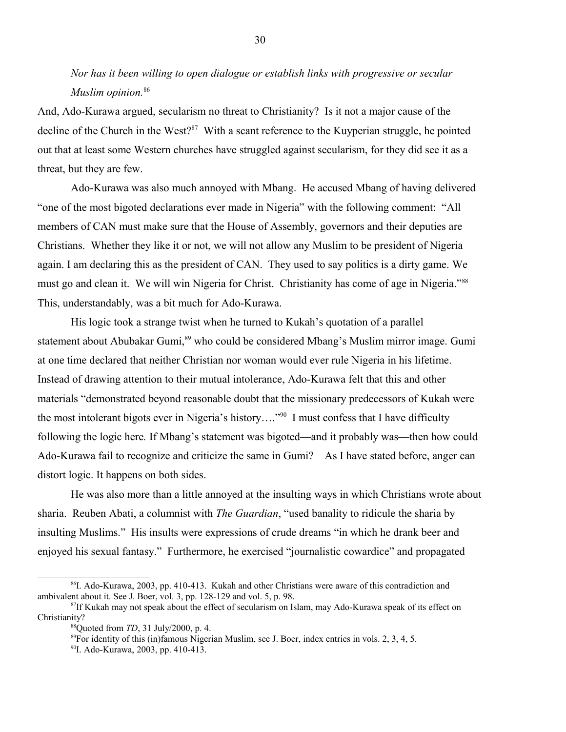*Nor has it been willing to open dialogue or establish links with progressive or secular Muslim opinion.*[86](#page-29-0)

And, Ado-Kurawa argued, secularism no threat to Christianity? Is it not a major cause of the decline of the Church in the West?<sup>[87](#page-29-1)</sup> With a scant reference to the Kuyperian struggle, he pointed out that at least some Western churches have struggled against secularism, for they did see it as a threat, but they are few.

Ado-Kurawa was also much annoyed with Mbang. He accused Mbang of having delivered "one of the most bigoted declarations ever made in Nigeria" with the following comment: "All members of CAN must make sure that the House of Assembly, governors and their deputies are Christians. Whether they like it or not, we will not allow any Muslim to be president of Nigeria again. I am declaring this as the president of CAN. They used to say politics is a dirty game. We must go and clean it. We will win Nigeria for Christ. Christianity has come of age in Nigeria."<sup>[88](#page-29-2)</sup> This, understandably, was a bit much for Ado-Kurawa.

His logic took a strange twist when he turned to Kukah's quotation of a parallel statement about Abubakar Gumi,<sup>[89](#page-29-3)</sup> who could be considered Mbang's Muslim mirror image. Gumi at one time declared that neither Christian nor woman would ever rule Nigeria in his lifetime. Instead of drawing attention to their mutual intolerance, Ado-Kurawa felt that this and other materials "demonstrated beyond reasonable doubt that the missionary predecessors of Kukah were the most intolerant bigots ever in Nigeria's history...."<sup>[90](#page-29-4)</sup> I must confess that I have difficulty following the logic here*.* If Mbang's statement was bigoted—and it probably was—then how could Ado-Kurawa fail to recognize and criticize the same in Gumi? As I have stated before, anger can distort logic. It happens on both sides.

He was also more than a little annoyed at the insulting ways in which Christians wrote about sharia. Reuben Abati, a columnist with *The Guardian*, "used banality to ridicule the sharia by insulting Muslims." His insults were expressions of crude dreams "in which he drank beer and enjoyed his sexual fantasy." Furthermore, he exercised "journalistic cowardice" and propagated

<span id="page-29-0"></span><sup>86</sup>I. Ado-Kurawa, 2003, pp. 410-413. Kukah and other Christians were aware of this contradiction and ambivalent about it. See J. Boer, vol. 3, pp. 128-129 and vol. 5, p. 98.

<sup>&</sup>lt;sup>87</sup>If Kukah may not speak about the effect of secularism on Islam, may Ado-Kurawa speak of its effect on Christianity?

<span id="page-29-2"></span><span id="page-29-1"></span><sup>88</sup>Quoted from *TD*, 31 July/2000, p. 4.

<span id="page-29-3"></span> $89$ For identity of this (in)famous Nigerian Muslim, see J. Boer, index entries in vols. 2, 3, 4, 5.

<span id="page-29-4"></span><sup>90</sup>I. Ado-Kurawa, 2003, pp. 410-413.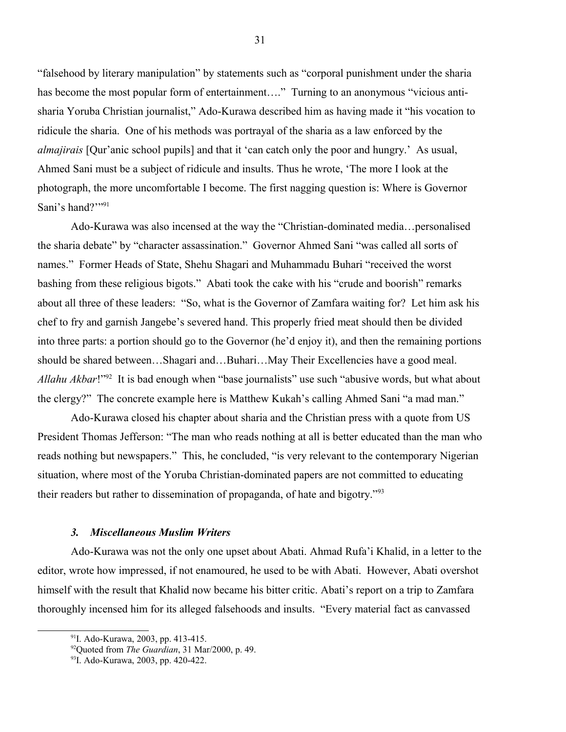"falsehood by literary manipulation" by statements such as "corporal punishment under the sharia has become the most popular form of entertainment...." Turning to an anonymous "vicious antisharia Yoruba Christian journalist," Ado-Kurawa described him as having made it "his vocation to ridicule the sharia. One of his methods was portrayal of the sharia as a law enforced by the *almajirais* [Qur'anic school pupils] and that it 'can catch only the poor and hungry.' As usual, Ahmed Sani must be a subject of ridicule and insults. Thus he wrote, 'The more I look at the photograph, the more uncomfortable I become. The first nagging question is: Where is Governor Sani's hand?""[91](#page-30-0)

Ado-Kurawa was also incensed at the way the "Christian-dominated media…personalised the sharia debate" by "character assassination." Governor Ahmed Sani "was called all sorts of names." Former Heads of State, Shehu Shagari and Muhammadu Buhari "received the worst bashing from these religious bigots." Abati took the cake with his "crude and boorish" remarks about all three of these leaders: "So, what is the Governor of Zamfara waiting for? Let him ask his chef to fry and garnish Jangebe's severed hand. This properly fried meat should then be divided into three parts: a portion should go to the Governor (he'd enjoy it), and then the remaining portions should be shared between…Shagari and…Buhari…May Their Excellencies have a good meal. *Allahu Akbar*!"[92](#page-30-1) It is bad enough when "base journalists" use such "abusive words, but what about the clergy?" The concrete example here is Matthew Kukah's calling Ahmed Sani "a mad man."

Ado-Kurawa closed his chapter about sharia and the Christian press with a quote from US President Thomas Jefferson: "The man who reads nothing at all is better educated than the man who reads nothing but newspapers." This, he concluded, "is very relevant to the contemporary Nigerian situation, where most of the Yoruba Christian-dominated papers are not committed to educating their readers but rather to dissemination of propaganda, of hate and bigotry."<sup>[93](#page-30-2)</sup>

#### *3. Miscellaneous Muslim Writers*

Ado-Kurawa was not the only one upset about Abati. Ahmad Rufa'i Khalid, in a letter to the editor, wrote how impressed, if not enamoured, he used to be with Abati. However, Abati overshot himself with the result that Khalid now became his bitter critic. Abati's report on a trip to Zamfara thoroughly incensed him for its alleged falsehoods and insults. "Every material fact as canvassed

<span id="page-30-0"></span><sup>&</sup>lt;sup>91</sup>I. Ado-Kurawa, 2003, pp. 413-415.

<span id="page-30-1"></span><sup>92</sup>Quoted from *The Guardian*, 31 Mar/2000, p. 49.

<span id="page-30-2"></span><sup>93</sup>I. Ado-Kurawa, 2003, pp. 420-422.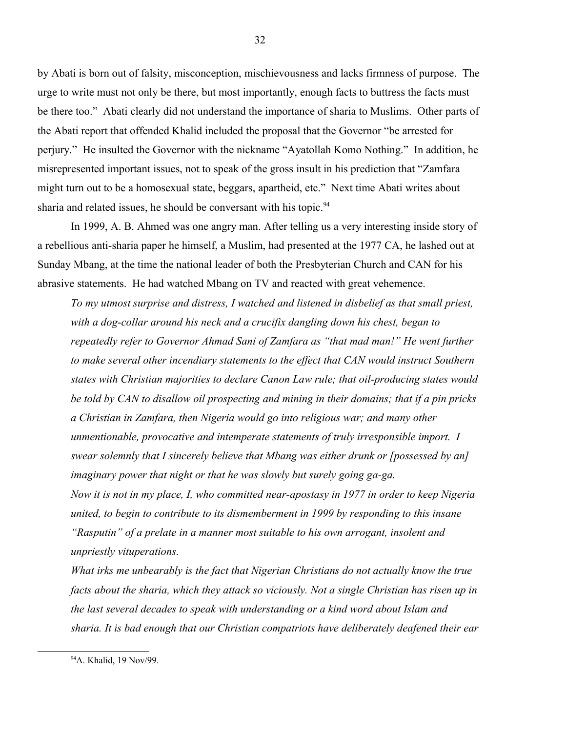by Abati is born out of falsity, misconception, mischievousness and lacks firmness of purpose. The urge to write must not only be there, but most importantly, enough facts to buttress the facts must be there too." Abati clearly did not understand the importance of sharia to Muslims. Other parts of the Abati report that offended Khalid included the proposal that the Governor "be arrested for perjury." He insulted the Governor with the nickname "Ayatollah Komo Nothing." In addition, he misrepresented important issues, not to speak of the gross insult in his prediction that "Zamfara might turn out to be a homosexual state, beggars, apartheid, etc." Next time Abati writes about sharia and related issues, he should be conversant with his topic.<sup>[94](#page-31-0)</sup>

In 1999, A. B. Ahmed was one angry man. After telling us a very interesting inside story of a rebellious anti-sharia paper he himself, a Muslim, had presented at the 1977 CA, he lashed out at Sunday Mbang, at the time the national leader of both the Presbyterian Church and CAN for his abrasive statements. He had watched Mbang on TV and reacted with great vehemence.

*To my utmost surprise and distress, I watched and listened in disbelief as that small priest, with a dog-collar around his neck and a crucifix dangling down his chest, began to repeatedly refer to Governor Ahmad Sani of Zamfara as "that mad man!" He went further to make several other incendiary statements to the effect that CAN would instruct Southern states with Christian majorities to declare Canon Law rule; that oil-producing states would be told by CAN to disallow oil prospecting and mining in their domains; that if a pin pricks a Christian in Zamfara, then Nigeria would go into religious war; and many other unmentionable, provocative and intemperate statements of truly irresponsible import. I swear solemnly that I sincerely believe that Mbang was either drunk or [possessed by an] imaginary power that night or that he was slowly but surely going ga-ga. Now it is not in my place, I, who committed near-apostasy in 1977 in order to keep Nigeria united, to begin to contribute to its dismemberment in 1999 by responding to this insane "Rasputin" of a prelate in a manner most suitable to his own arrogant, insolent and unpriestly vituperations.*

*What irks me unbearably is the fact that Nigerian Christians do not actually know the true facts about the sharia, which they attack so viciously. Not a single Christian has risen up in the last several decades to speak with understanding or a kind word about Islam and sharia. It is bad enough that our Christian compatriots have deliberately deafened their ear* 

<span id="page-31-0"></span><sup>94</sup>A. Khalid, 19 Nov/99.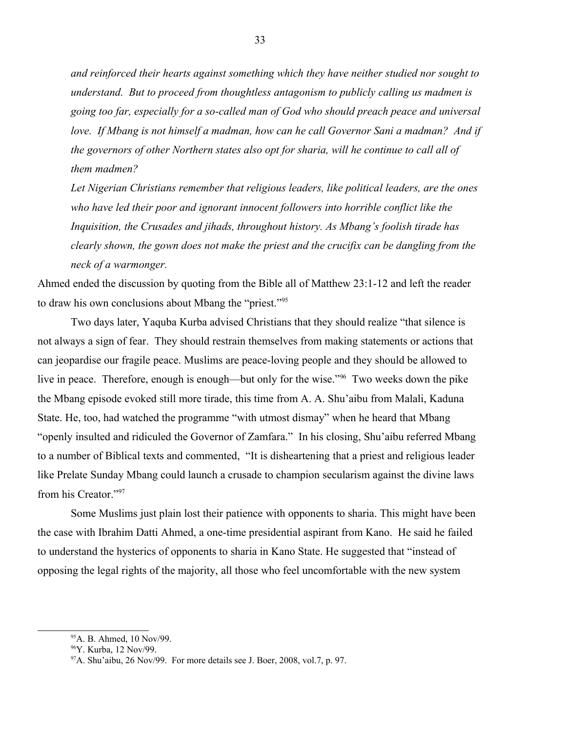*and reinforced their hearts against something which they have neither studied nor sought to understand. But to proceed from thoughtless antagonism to publicly calling us madmen is going too far, especially for a so-called man of God who should preach peace and universal love. If Mbang is not himself a madman, how can he call Governor Sani a madman? And if the governors of other Northern states also opt for sharia, will he continue to call all of them madmen?* 

*Let Nigerian Christians remember that religious leaders, like political leaders, are the ones who have led their poor and ignorant innocent followers into horrible conflict like the Inquisition, the Crusades and jihads, throughout history. As Mbang's foolish tirade has clearly shown, the gown does not make the priest and the crucifix can be dangling from the neck of a warmonger.* 

Ahmed ended the discussion by quoting from the Bible all of Matthew 23:1-12 and left the reader to draw his own conclusions about Mbang the "priest."<sup>[95](#page-32-0)</sup>

Two days later, Yaquba Kurba advised Christians that they should realize "that silence is not always a sign of fear. They should restrain themselves from making statements or actions that can jeopardise our fragile peace. Muslims are peace-loving people and they should be allowed to live in peace. Therefore, enough is enough—but only for the wise."<sup>[96](#page-32-1)</sup> Two weeks down the pike the Mbang episode evoked still more tirade, this time from A. A. Shu'aibu from Malali, Kaduna State. He, too, had watched the programme "with utmost dismay" when he heard that Mbang "openly insulted and ridiculed the Governor of Zamfara." In his closing, Shu'aibu referred Mbang to a number of Biblical texts and commented, "It is disheartening that a priest and religious leader like Prelate Sunday Mbang could launch a crusade to champion secularism against the divine laws from his Creator."[97](#page-32-2)

Some Muslims just plain lost their patience with opponents to sharia. This might have been the case with Ibrahim Datti Ahmed, a one-time presidential aspirant from Kano. He said he failed to understand the hysterics of opponents to sharia in Kano State. He suggested that "instead of opposing the legal rights of the majority, all those who feel uncomfortable with the new system

<span id="page-32-0"></span><sup>95</sup>A. B. Ahmed, 10 Nov/99.

<span id="page-32-1"></span><sup>96</sup>Y. Kurba, 12 Nov/99.

<span id="page-32-2"></span> $97$ A. Shu'aibu, 26 Nov/99. For more details see J. Boer, 2008, vol.7, p. 97.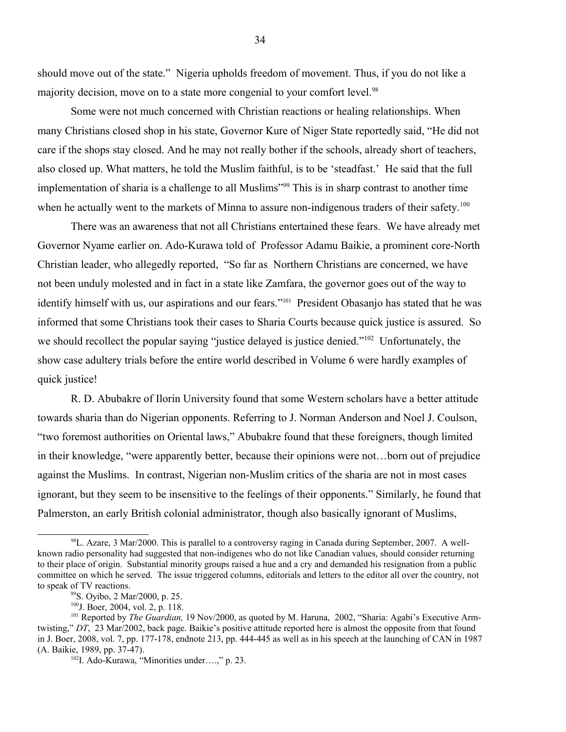should move out of the state." Nigeria upholds freedom of movement. Thus, if you do not like a majority decision, move on to a state more congenial to your comfort level.<sup>[98](#page-33-0)</sup>

Some were not much concerned with Christian reactions or healing relationships. When many Christians closed shop in his state, Governor Kure of Niger State reportedly said, "He did not care if the shops stay closed. And he may not really bother if the schools, already short of teachers, also closed up. What matters, he told the Muslim faithful, is to be 'steadfast.' He said that the full implementation of sharia is a challenge to all Muslims<sup>"[99](#page-33-1)</sup> This is in sharp contrast to another time when he actually went to the markets of Minna to assure non-indigenous traders of their safety.<sup>[100](#page-33-2)</sup>

There was an awareness that not all Christians entertained these fears. We have already met Governor Nyame earlier on. Ado-Kurawa told of Professor Adamu Baikie, a prominent core-North Christian leader, who allegedly reported, "So far as Northern Christians are concerned, we have not been unduly molested and in fact in a state like Zamfara, the governor goes out of the way to identify himself with us, our aspirations and our fears."<sup>[101](#page-33-3)</sup> President Obasanjo has stated that he was informed that some Christians took their cases to Sharia Courts because quick justice is assured. So we should recollect the popular saying "justice delayed is justice denied."<sup>[102](#page-33-4)</sup> Unfortunately, the show case adultery trials before the entire world described in Volume 6 were hardly examples of quick justice!

R. D. Abubakre of Ilorin University found that some Western scholars have a better attitude towards sharia than do Nigerian opponents. Referring to J. Norman Anderson and Noel J. Coulson, "two foremost authorities on Oriental laws," Abubakre found that these foreigners, though limited in their knowledge, "were apparently better, because their opinions were not…born out of prejudice against the Muslims. In contrast, Nigerian non-Muslim critics of the sharia are not in most cases ignorant, but they seem to be insensitive to the feelings of their opponents." Similarly, he found that Palmerston, an early British colonial administrator, though also basically ignorant of Muslims,

<span id="page-33-0"></span><sup>98</sup>L. Azare, 3 Mar/2000. This is parallel to a controversy raging in Canada during September, 2007. A wellknown radio personality had suggested that non-indigenes who do not like Canadian values, should consider returning to their place of origin. Substantial minority groups raised a hue and a cry and demanded his resignation from a public committee on which he served. The issue triggered columns, editorials and letters to the editor all over the country, not to speak of TV reactions.

<span id="page-33-1"></span><sup>99</sup>S. Oyibo, 2 Mar/2000, p. 25.

<span id="page-33-3"></span><span id="page-33-2"></span><sup>100</sup>J. Boer, 2004, vol. 2, p. 118.

<sup>&</sup>lt;sup>101</sup> Reported by *The Guardian*, 19 Nov/2000, as quoted by M. Haruna, 2002, "Sharia: Agabi's Executive Armtwisting," *DT*, 23 Mar/2002, back page. Baikie's positive attitude reported here is almost the opposite from that found in J. Boer, 2008, vol. 7, pp. 177-178, endnote 213, pp. 444-445 as well as in his speech at the launching of CAN in 1987 (A. Baikie, 1989, pp. 37-47).

<span id="page-33-4"></span><sup>102</sup>I. Ado-Kurawa, "Minorities under….," p. 23.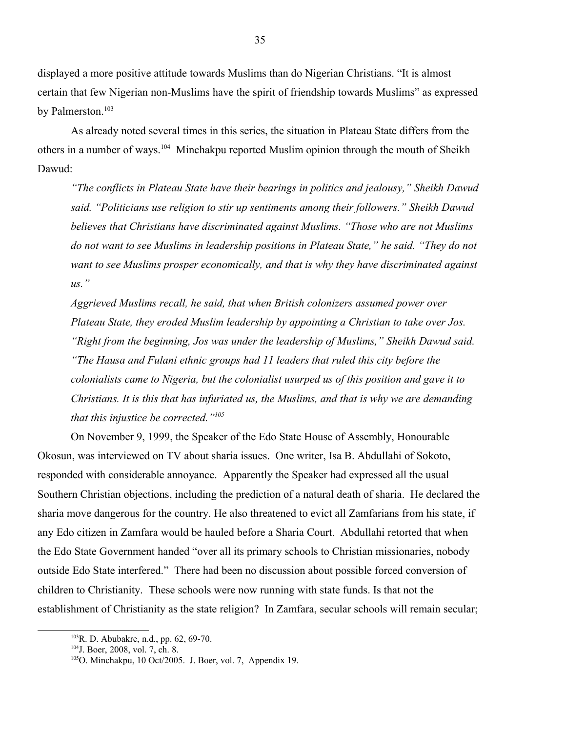displayed a more positive attitude towards Muslims than do Nigerian Christians. "It is almost certain that few Nigerian non-Muslims have the spirit of friendship towards Muslims" as expressed by Palmerston.<sup>[103](#page-34-0)</sup>

As already noted several times in this series, the situation in Plateau State differs from the others in a number of ways.<sup>[104](#page-34-1)</sup> Minchakpu reported Muslim opinion through the mouth of Sheikh Dawud:

*"The conflicts in Plateau State have their bearings in politics and jealousy," Sheikh Dawud said. "Politicians use religion to stir up sentiments among their followers." Sheikh Dawud believes that Christians have discriminated against Muslims. "Those who are not Muslims do not want to see Muslims in leadership positions in Plateau State," he said. "They do not want to see Muslims prosper economically, and that is why they have discriminated against us."* 

*Aggrieved Muslims recall, he said, that when British colonizers assumed power over Plateau State, they eroded Muslim leadership by appointing a Christian to take over Jos. "Right from the beginning, Jos was under the leadership of Muslims," Sheikh Dawud said. "The Hausa and Fulani ethnic groups had 11 leaders that ruled this city before the colonialists came to Nigeria, but the colonialist usurped us of this position and gave it to Christians. It is this that has infuriated us, the Muslims, and that is why we are demanding that this injustice be corrected."[105](#page-34-2)*

On November 9, 1999, the Speaker of the Edo State House of Assembly, Honourable Okosun, was interviewed on TV about sharia issues. One writer, Isa B. Abdullahi of Sokoto, responded with considerable annoyance. Apparently the Speaker had expressed all the usual Southern Christian objections, including the prediction of a natural death of sharia. He declared the sharia move dangerous for the country. He also threatened to evict all Zamfarians from his state, if any Edo citizen in Zamfara would be hauled before a Sharia Court. Abdullahi retorted that when the Edo State Government handed "over all its primary schools to Christian missionaries, nobody outside Edo State interfered." There had been no discussion about possible forced conversion of children to Christianity. These schools were now running with state funds. Is that not the establishment of Christianity as the state religion? In Zamfara, secular schools will remain secular;

<span id="page-34-0"></span> $103R$ . D. Abubakre, n.d., pp. 62, 69-70.

<span id="page-34-1"></span><sup>104</sup>J. Boer, 2008, vol. 7, ch. 8.

<span id="page-34-2"></span><sup>&</sup>lt;sup>105</sup>O. Minchakpu, 10 Oct/2005. J. Boer, vol. 7, Appendix 19.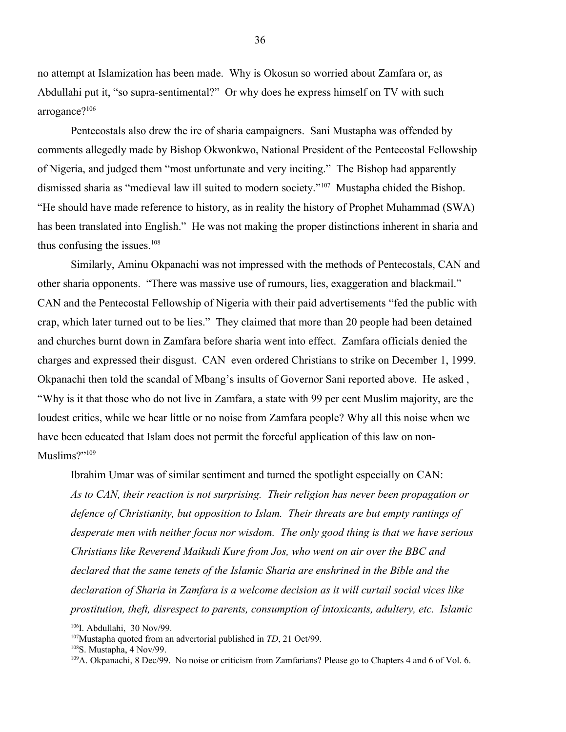no attempt at Islamization has been made. Why is Okosun so worried about Zamfara or, as Abdullahi put it, "so supra-sentimental?" Or why does he express himself on TV with such arrogance?<sup>[106](#page-35-0)</sup>

Pentecostals also drew the ire of sharia campaigners. Sani Mustapha was offended by comments allegedly made by Bishop Okwonkwo, National President of the Pentecostal Fellowship of Nigeria, and judged them "most unfortunate and very inciting." The Bishop had apparently dismissed sharia as "medieval law ill suited to modern society."[107](#page-35-1) Mustapha chided the Bishop. "He should have made reference to history, as in reality the history of Prophet Muhammad (SWA) has been translated into English." He was not making the proper distinctions inherent in sharia and thus confusing the issues. $108$ 

Similarly, Aminu Okpanachi was not impressed with the methods of Pentecostals, CAN and other sharia opponents. "There was massive use of rumours, lies, exaggeration and blackmail." CAN and the Pentecostal Fellowship of Nigeria with their paid advertisements "fed the public with crap, which later turned out to be lies." They claimed that more than 20 people had been detained and churches burnt down in Zamfara before sharia went into effect. Zamfara officials denied the charges and expressed their disgust. CAN even ordered Christians to strike on December 1, 1999. Okpanachi then told the scandal of Mbang's insults of Governor Sani reported above. He asked , "Why is it that those who do not live in Zamfara, a state with 99 per cent Muslim majority, are the loudest critics, while we hear little or no noise from Zamfara people? Why all this noise when we have been educated that Islam does not permit the forceful application of this law on non-Muslims?"<sup>[109](#page-35-3)</sup>

Ibrahim Umar was of similar sentiment and turned the spotlight especially on CAN: *As to CAN, their reaction is not surprising. Their religion has never been propagation or defence of Christianity, but opposition to Islam. Their threats are but empty rantings of desperate men with neither focus nor wisdom. The only good thing is that we have serious Christians like Reverend Maikudi Kure from Jos, who went on air over the BBC and declared that the same tenets of the Islamic Sharia are enshrined in the Bible and the declaration of Sharia in Zamfara is a welcome decision as it will curtail social vices like prostitution, theft, disrespect to parents, consumption of intoxicants, adultery, etc. Islamic* 

<span id="page-35-0"></span> $106$ I. Abdullahi, 30 Nov/99.

<span id="page-35-1"></span><sup>107</sup>Mustapha quoted from an advertorial published in *TD*, 21 Oct/99.

<span id="page-35-2"></span><sup>108</sup>S. Mustapha, 4 Nov/99.

<span id="page-35-3"></span><sup>&</sup>lt;sup>109</sup>A. Okpanachi, 8 Dec/99. No noise or criticism from Zamfarians? Please go to Chapters 4 and 6 of Vol. 6.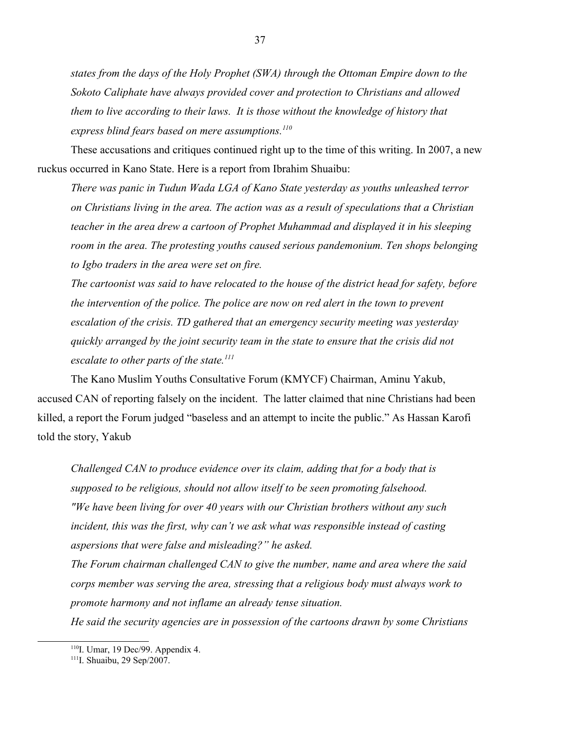*states from the days of the Holy Prophet (SWA) through the Ottoman Empire down to the Sokoto Caliphate have always provided cover and protection to Christians and allowed them to live according to their laws. It is those without the knowledge of history that express blind fears based on mere assumptions.[110](#page-36-0)*

These accusations and critiques continued right up to the time of this writing. In 2007, a new ruckus occurred in Kano State. Here is a report from Ibrahim Shuaibu:

*There was panic in Tudun Wada LGA of Kano State yesterday as youths unleashed terror on Christians living in the area. The action was as a result of speculations that a Christian teacher in the area drew a cartoon of Prophet Muhammad and displayed it in his sleeping room in the area. The protesting youths caused serious pandemonium. Ten shops belonging to Igbo traders in the area were set on fire.*

*The cartoonist was said to have relocated to the house of the district head for safety, before the intervention of the police. The police are now on red alert in the town to prevent escalation of the crisis. TD gathered that an emergency security meeting was yesterday quickly arranged by the joint security team in the state to ensure that the crisis did not escalate to other parts of the state.[111](#page-36-1)*

The Kano Muslim Youths Consultative Forum (KMYCF) Chairman, Aminu Yakub, accused CAN of reporting falsely on the incident. The latter claimed that nine Christians had been killed, a report the Forum judged "baseless and an attempt to incite the public." As Hassan Karofi told the story, Yakub

*Challenged CAN to produce evidence over its claim, adding that for a body that is supposed to be religious, should not allow itself to be seen promoting falsehood. "We have been living for over 40 years with our Christian brothers without any such incident, this was the first, why can't we ask what was responsible instead of casting aspersions that were false and misleading?" he asked.*

*The Forum chairman challenged CAN to give the number, name and area where the said corps member was serving the area, stressing that a religious body must always work to promote harmony and not inflame an already tense situation.*

*He said the security agencies are in possession of the cartoons drawn by some Christians*

<span id="page-36-0"></span><sup>&</sup>lt;sup>110</sup>I. Umar, 19 Dec/99. Appendix 4.

<span id="page-36-1"></span><sup>111</sup>I. Shuaibu, 29 Sep/2007.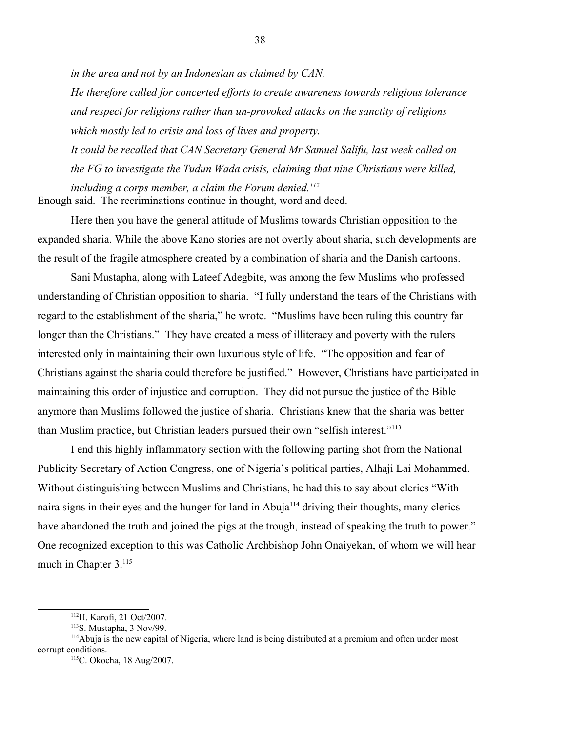*in the area and not by an Indonesian as claimed by CAN.*

*He therefore called for concerted efforts to create awareness towards religious tolerance and respect for religions rather than un-provoked attacks on the sanctity of religions which mostly led to crisis and loss of lives and property.*

*It could be recalled that CAN Secretary General Mr Samuel Salifu, last week called on the FG to investigate the Tudun Wada crisis, claiming that nine Christians were killed, including a corps member, a claim the Forum denied.[112](#page-37-0)* Enough said. The recriminations continue in thought, word and deed.

Here then you have the general attitude of Muslims towards Christian opposition to the expanded sharia. While the above Kano stories are not overtly about sharia, such developments are the result of the fragile atmosphere created by a combination of sharia and the Danish cartoons.

Sani Mustapha, along with Lateef Adegbite, was among the few Muslims who professed understanding of Christian opposition to sharia. "I fully understand the tears of the Christians with regard to the establishment of the sharia," he wrote. "Muslims have been ruling this country far longer than the Christians." They have created a mess of illiteracy and poverty with the rulers interested only in maintaining their own luxurious style of life. "The opposition and fear of Christians against the sharia could therefore be justified." However, Christians have participated in maintaining this order of injustice and corruption. They did not pursue the justice of the Bible anymore than Muslims followed the justice of sharia. Christians knew that the sharia was better than Muslim practice, but Christian leaders pursued their own "selfish interest."<sup>[113](#page-37-1)</sup>

I end this highly inflammatory section with the following parting shot from the National Publicity Secretary of Action Congress, one of Nigeria's political parties, Alhaji Lai Mohammed. Without distinguishing between Muslims and Christians, he had this to say about clerics "With naira signs in their eyes and the hunger for land in Abuja<sup>[114](#page-37-2)</sup> driving their thoughts, many clerics have abandoned the truth and joined the pigs at the trough, instead of speaking the truth to power." One recognized exception to this was Catholic Archbishop John Onaiyekan, of whom we will hear much in Chapter 3.<sup>[115](#page-37-3)</sup>

<span id="page-37-0"></span><sup>112</sup>H. Karofi, 21 Oct/2007.

<span id="page-37-2"></span><span id="page-37-1"></span> $113$ S. Mustapha, 3 Nov/99.

<sup>&</sup>lt;sup>114</sup>Abuja is the new capital of Nigeria, where land is being distributed at a premium and often under most corrupt conditions.

<span id="page-37-3"></span><sup>115</sup>C. Okocha, 18 Aug/2007.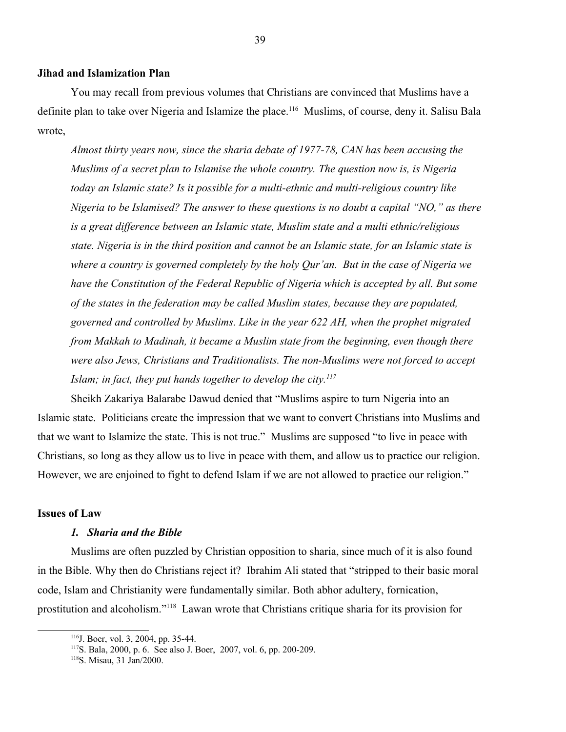#### **Jihad and Islamization Plan**

You may recall from previous volumes that Christians are convinced that Muslims have a definite plan to take over Nigeria and Islamize the place.<sup>[116](#page-38-0)</sup> Muslims, of course, deny it. Salisu Bala wrote,

*Almost thirty years now, since the sharia debate of 1977-78, CAN has been accusing the Muslims of a secret plan to Islamise the whole country. The question now is, is Nigeria today an Islamic state? Is it possible for a multi-ethnic and multi-religious country like Nigeria to be Islamised? The answer to these questions is no doubt a capital "NO," as there is a great difference between an Islamic state, Muslim state and a multi ethnic/religious state. Nigeria is in the third position and cannot be an Islamic state, for an Islamic state is where a country is governed completely by the holy Qur'an. But in the case of Nigeria we have the Constitution of the Federal Republic of Nigeria which is accepted by all. But some of the states in the federation may be called Muslim states, because they are populated, governed and controlled by Muslims. Like in the year 622 AH, when the prophet migrated from Makkah to Madinah, it became a Muslim state from the beginning, even though there were also Jews, Christians and Traditionalists. The non-Muslims were not forced to accept Islam; in fact, they put hands together to develop the city.[117](#page-38-1)*

Sheikh Zakariya Balarabe Dawud denied that "Muslims aspire to turn Nigeria into an Islamic state. Politicians create the impression that we want to convert Christians into Muslims and that we want to Islamize the state. This is not true." Muslims are supposed "to live in peace with Christians, so long as they allow us to live in peace with them, and allow us to practice our religion. However, we are enjoined to fight to defend Islam if we are not allowed to practice our religion."

### **Issues of Law**

#### *1. Sharia and the Bible*

Muslims are often puzzled by Christian opposition to sharia, since much of it is also found in the Bible. Why then do Christians reject it? Ibrahim Ali stated that "stripped to their basic moral code, Islam and Christianity were fundamentally similar. Both abhor adultery, fornication, prostitution and alcoholism."[118](#page-38-2) Lawan wrote that Christians critique sharia for its provision for

<span id="page-38-0"></span><sup>116</sup>J. Boer, vol. 3, 2004, pp. 35-44.

<span id="page-38-1"></span><sup>117</sup>S. Bala, 2000, p. 6. See also J. Boer, 2007, vol. 6, pp. 200-209.

<span id="page-38-2"></span><sup>118</sup>S. Misau, 31 Jan/2000.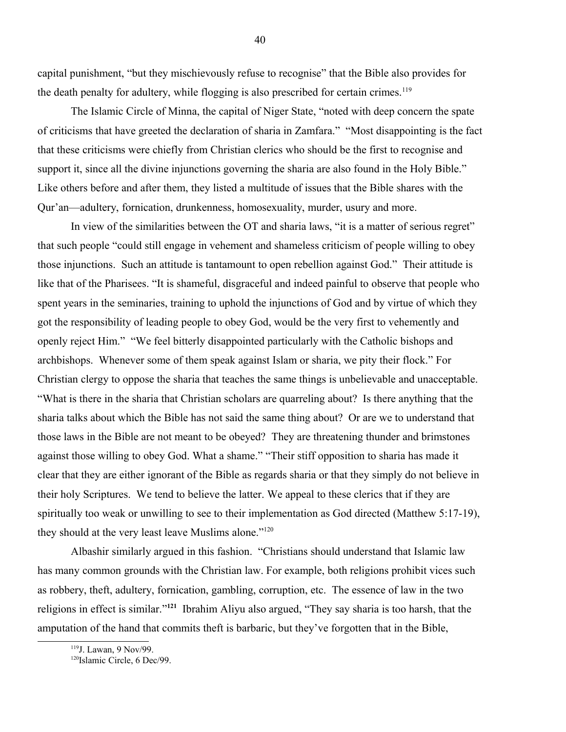capital punishment, "but they mischievously refuse to recognise" that the Bible also provides for the death penalty for adultery, while flogging is also prescribed for certain crimes.<sup>[119](#page-39-0)</sup>

The Islamic Circle of Minna, the capital of Niger State, "noted with deep concern the spate of criticisms that have greeted the declaration of sharia in Zamfara." "Most disappointing is the fact that these criticisms were chiefly from Christian clerics who should be the first to recognise and support it, since all the divine injunctions governing the sharia are also found in the Holy Bible." Like others before and after them, they listed a multitude of issues that the Bible shares with the Qur'an—adultery, fornication, drunkenness, homosexuality, murder, usury and more.

In view of the similarities between the OT and sharia laws, "it is a matter of serious regret" that such people "could still engage in vehement and shameless criticism of people willing to obey those injunctions. Such an attitude is tantamount to open rebellion against God." Their attitude is like that of the Pharisees. "It is shameful, disgraceful and indeed painful to observe that people who spent years in the seminaries, training to uphold the injunctions of God and by virtue of which they got the responsibility of leading people to obey God, would be the very first to vehemently and openly reject Him." "We feel bitterly disappointed particularly with the Catholic bishops and archbishops. Whenever some of them speak against Islam or sharia, we pity their flock." For Christian clergy to oppose the sharia that teaches the same things is unbelievable and unacceptable. "What is there in the sharia that Christian scholars are quarreling about? Is there anything that the sharia talks about which the Bible has not said the same thing about? Or are we to understand that those laws in the Bible are not meant to be obeyed? They are threatening thunder and brimstones against those willing to obey God. What a shame." "Their stiff opposition to sharia has made it clear that they are either ignorant of the Bible as regards sharia or that they simply do not believe in their holy Scriptures. We tend to believe the latter. We appeal to these clerics that if they are spiritually too weak or unwilling to see to their implementation as God directed (Matthew 5:17-19), they should at the very least leave Muslims alone."<sup>[120](#page-39-1)</sup>

Albashir similarly argued in this fashion. "Christians should understand that Islamic law has many common grounds with the Christian law. For example, both religions prohibit vices such as robbery, theft, adultery, fornication, gambling, corruption, etc. The essence of law in the two religions in effect is similar."**[121](#page-40-0)** Ibrahim Aliyu also argued, "They say sharia is too harsh, that the amputation of the hand that commits theft is barbaric, but they've forgotten that in the Bible,

<span id="page-39-0"></span><sup>119</sup>J. Lawan, 9 Nov/99.

<span id="page-39-1"></span><sup>&</sup>lt;sup>120</sup>Islamic Circle, 6 Dec/99.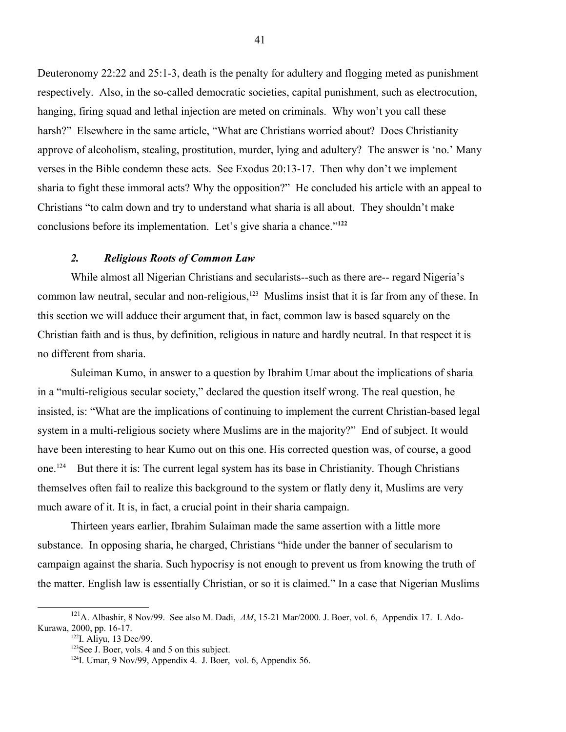Deuteronomy 22:22 and 25:1-3, death is the penalty for adultery and flogging meted as punishment respectively. Also, in the so-called democratic societies, capital punishment, such as electrocution, hanging, firing squad and lethal injection are meted on criminals. Why won't you call these harsh?" Elsewhere in the same article, "What are Christians worried about? Does Christianity approve of alcoholism, stealing, prostitution, murder, lying and adultery? The answer is 'no.' Many verses in the Bible condemn these acts. See Exodus 20:13-17. Then why don't we implement sharia to fight these immoral acts? Why the opposition?" He concluded his article with an appeal to Christians "to calm down and try to understand what sharia is all about. They shouldn't make conclusions before its implementation. Let's give sharia a chance."**[122](#page-40-1)**

## *2. Religious Roots of Common Law*

While almost all Nigerian Christians and secularists--such as there are-- regard Nigeria's common law neutral, secular and non-religious,<sup>[123](#page-40-2)</sup> Muslims insist that it is far from any of these. In this section we will adduce their argument that, in fact, common law is based squarely on the Christian faith and is thus, by definition, religious in nature and hardly neutral. In that respect it is no different from sharia.

Suleiman Kumo, in answer to a question by Ibrahim Umar about the implications of sharia in a "multi-religious secular society," declared the question itself wrong. The real question, he insisted, is: "What are the implications of continuing to implement the current Christian-based legal system in a multi-religious society where Muslims are in the majority?" End of subject. It would have been interesting to hear Kumo out on this one. His corrected question was, of course, a good one.<sup>[124](#page-40-3)</sup> But there it is: The current legal system has its base in Christianity. Though Christians themselves often fail to realize this background to the system or flatly deny it, Muslims are very much aware of it. It is, in fact, a crucial point in their sharia campaign.

Thirteen years earlier, Ibrahim Sulaiman made the same assertion with a little more substance. In opposing sharia, he charged, Christians "hide under the banner of secularism to campaign against the sharia. Such hypocrisy is not enough to prevent us from knowing the truth of the matter. English law is essentially Christian, or so it is claimed." In a case that Nigerian Muslims

<sup>121</sup>A. Albashir, 8 Nov/99. See also M. Dadi, *AM*, 15-21 Mar/2000. J. Boer, vol. 6, Appendix 17. I. Ado-Kurawa, 2000, pp. 16-17.

<span id="page-40-1"></span><span id="page-40-0"></span><sup>&</sup>lt;sup>122</sup>I. Aliyu, 13 Dec/99.

<span id="page-40-2"></span><sup>&</sup>lt;sup>123</sup>See J. Boer, vols. 4 and 5 on this subject.

<span id="page-40-3"></span><sup>124</sup>I. Umar, 9 Nov/99, Appendix 4. J. Boer, vol. 6, Appendix 56.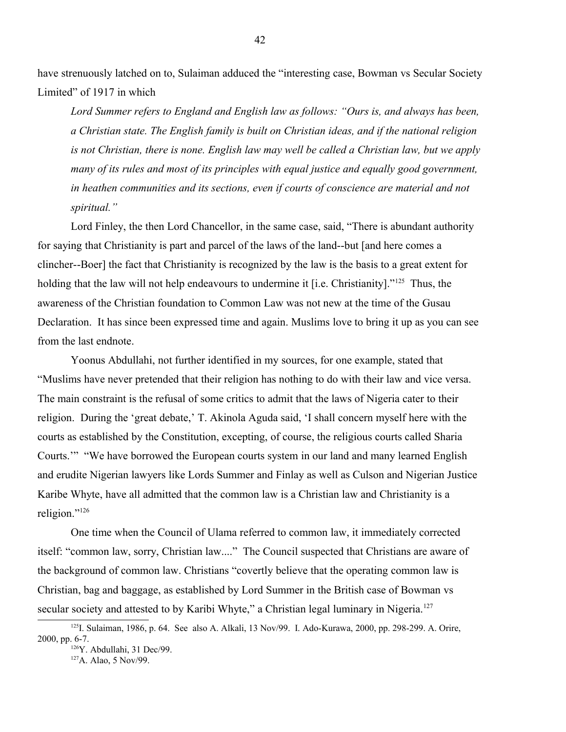have strenuously latched on to, Sulaiman adduced the "interesting case, Bowman vs Secular Society Limited" of 1917 in which

*Lord Summer refers to England and English law as follows: "Ours is, and always has been, a Christian state. The English family is built on Christian ideas, and if the national religion is not Christian, there is none. English law may well be called a Christian law, but we apply many of its rules and most of its principles with equal justice and equally good government, in heathen communities and its sections, even if courts of conscience are material and not spiritual."*

Lord Finley, the then Lord Chancellor, in the same case, said, "There is abundant authority for saying that Christianity is part and parcel of the laws of the land--but [and here comes a clincher--Boer] the fact that Christianity is recognized by the law is the basis to a great extent for holding that the law will not help endeavours to undermine it [i.e. Christianity]."<sup>[125](#page-41-0)</sup> Thus, the awareness of the Christian foundation to Common Law was not new at the time of the Gusau Declaration. It has since been expressed time and again. Muslims love to bring it up as you can see from the last endnote.

Yoonus Abdullahi, not further identified in my sources, for one example, stated that "Muslims have never pretended that their religion has nothing to do with their law and vice versa. The main constraint is the refusal of some critics to admit that the laws of Nigeria cater to their religion. During the 'great debate,' T. Akinola Aguda said, 'I shall concern myself here with the courts as established by the Constitution, excepting, of course, the religious courts called Sharia Courts.'" "We have borrowed the European courts system in our land and many learned English and erudite Nigerian lawyers like Lords Summer and Finlay as well as Culson and Nigerian Justice Karibe Whyte, have all admitted that the common law is a Christian law and Christianity is a religion."[126](#page-41-1)

One time when the Council of Ulama referred to common law, it immediately corrected itself: "common law, sorry, Christian law...." The Council suspected that Christians are aware of the background of common law. Christians "covertly believe that the operating common law is Christian, bag and baggage, as established by Lord Summer in the British case of Bowman vs secular society and attested to by Karibi Whyte," a Christian legal luminary in Nigeria.<sup>[127](#page-41-2)</sup>

<sup>125</sup>I. Sulaiman, 1986, p. 64. See also A. Alkali, 13 Nov/99. I. Ado-Kurawa, 2000, pp. 298-299. A. Orire, 2000, pp. 6-7.

<span id="page-41-1"></span><span id="page-41-0"></span><sup>126</sup>Y. Abdullahi, 31 Dec/99.

<span id="page-41-2"></span><sup>127</sup>A. Alao, 5 Nov/99.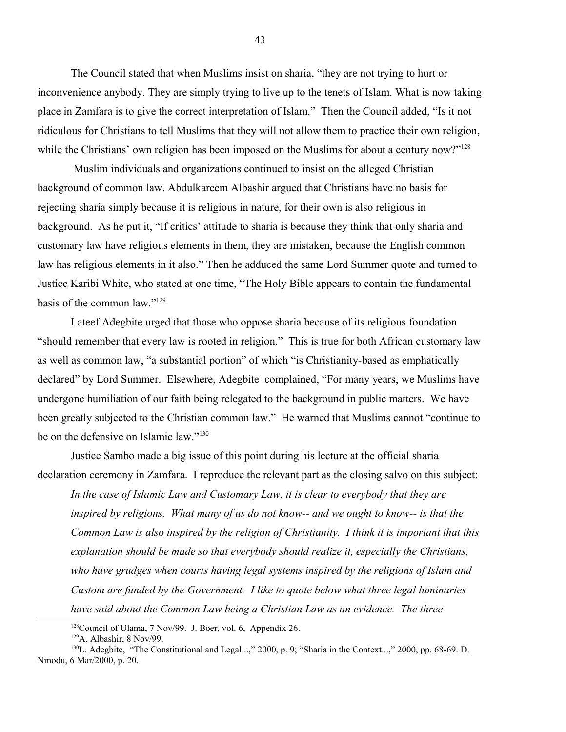The Council stated that when Muslims insist on sharia, "they are not trying to hurt or inconvenience anybody. They are simply trying to live up to the tenets of Islam. What is now taking place in Zamfara is to give the correct interpretation of Islam." Then the Council added, "Is it not ridiculous for Christians to tell Muslims that they will not allow them to practice their own religion, while the Christians' own religion has been imposed on the Muslims for about a century now?"<sup>[128](#page-42-0)</sup>

 Muslim individuals and organizations continued to insist on the alleged Christian background of common law. Abdulkareem Albashir argued that Christians have no basis for rejecting sharia simply because it is religious in nature, for their own is also religious in background. As he put it, "If critics' attitude to sharia is because they think that only sharia and customary law have religious elements in them, they are mistaken, because the English common law has religious elements in it also." Then he adduced the same Lord Summer quote and turned to Justice Karibi White, who stated at one time, "The Holy Bible appears to contain the fundamental basis of the common law."<sup>[129](#page-42-1)</sup>

Lateef Adegbite urged that those who oppose sharia because of its religious foundation "should remember that every law is rooted in religion." This is true for both African customary law as well as common law, "a substantial portion" of which "is Christianity-based as emphatically declared" by Lord Summer. Elsewhere, Adegbite complained, "For many years, we Muslims have undergone humiliation of our faith being relegated to the background in public matters. We have been greatly subjected to the Christian common law." He warned that Muslims cannot "continue to be on the defensive on Islamic law."<sup>[130](#page-42-2)</sup>

Justice Sambo made a big issue of this point during his lecture at the official sharia declaration ceremony in Zamfara. I reproduce the relevant part as the closing salvo on this subject:

*In the case of Islamic Law and Customary Law, it is clear to everybody that they are inspired by religions. What many of us do not know-- and we ought to know-- is that the Common Law is also inspired by the religion of Christianity. I think it is important that this explanation should be made so that everybody should realize it, especially the Christians, who have grudges when courts having legal systems inspired by the religions of Islam and Custom are funded by the Government. I like to quote below what three legal luminaries have said about the Common Law being a Christian Law as an evidence. The three* 

<span id="page-42-0"></span><sup>&</sup>lt;sup>128</sup>Council of Ulama, 7 Nov/99. J. Boer, vol. 6, Appendix 26.

<span id="page-42-2"></span><span id="page-42-1"></span> $129A$ . Albashir, 8 Nov/99.

<sup>&</sup>lt;sup>130</sup>L. Adegbite, "The Constitutional and Legal...," 2000, p. 9; "Sharia in the Context...," 2000, pp. 68-69. D. Nmodu, 6 Mar/2000, p. 20.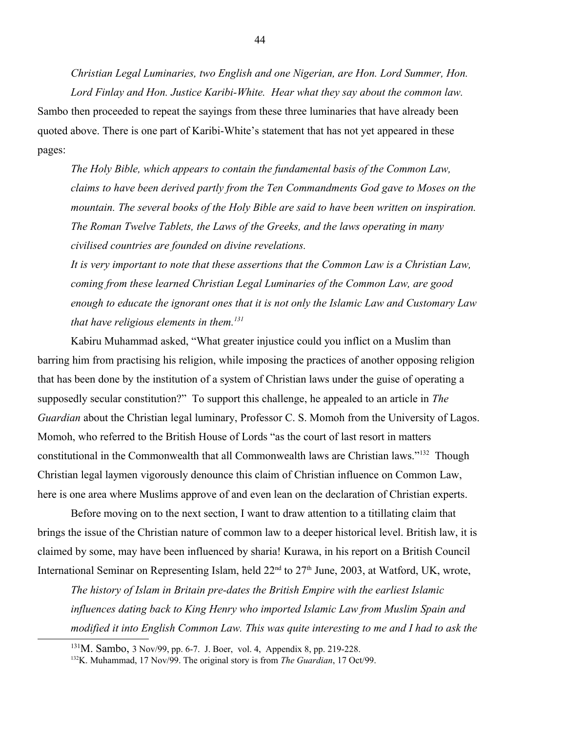*Christian Legal Luminaries, two English and one Nigerian, are Hon. Lord Summer, Hon. Lord Finlay and Hon. Justice Karibi-White. Hear what they say about the common law.* Sambo then proceeded to repeat the sayings from these three luminaries that have already been quoted above. There is one part of Karibi-White's statement that has not yet appeared in these pages:

*The Holy Bible, which appears to contain the fundamental basis of the Common Law, claims to have been derived partly from the Ten Commandments God gave to Moses on the mountain. The several books of the Holy Bible are said to have been written on inspiration. The Roman Twelve Tablets, the Laws of the Greeks, and the laws operating in many civilised countries are founded on divine revelations.*

*It is very important to note that these assertions that the Common Law is a Christian Law, coming from these learned Christian Legal Luminaries of the Common Law, are good enough to educate the ignorant ones that it is not only the Islamic Law and Customary Law that have religious elements in them.[131](#page-43-0)*

Kabiru Muhammad asked, "What greater injustice could you inflict on a Muslim than barring him from practising his religion, while imposing the practices of another opposing religion that has been done by the institution of a system of Christian laws under the guise of operating a supposedly secular constitution?" To support this challenge, he appealed to an article in *The Guardian* about the Christian legal luminary, Professor C. S. Momoh from the University of Lagos. Momoh, who referred to the British House of Lords "as the court of last resort in matters constitutional in the Commonwealth that all Commonwealth laws are Christian laws."[132](#page-43-1) Though Christian legal laymen vigorously denounce this claim of Christian influence on Common Law, here is one area where Muslims approve of and even lean on the declaration of Christian experts.

Before moving on to the next section, I want to draw attention to a titillating claim that brings the issue of the Christian nature of common law to a deeper historical level. British law, it is claimed by some, may have been influenced by sharia! Kurawa, in his report on a British Council International Seminar on Representing Islam, held  $22<sup>nd</sup>$  to  $27<sup>th</sup>$  June, 2003, at Watford, UK, wrote,

*The history of Islam in Britain pre-dates the British Empire with the earliest Islamic influences dating back to King Henry who imported Islamic Law from Muslim Spain and modified it into English Common Law. This was quite interesting to me and I had to ask the* 

<span id="page-43-0"></span><sup>131</sup>M. Sambo, 3 Nov/99, pp. 6-7. J. Boer, vol. 4, Appendix 8, pp. 219-228.

<span id="page-43-1"></span><sup>132</sup>K. Muhammad, 17 Nov/99. The original story is from *The Guardian*, 17 Oct/99.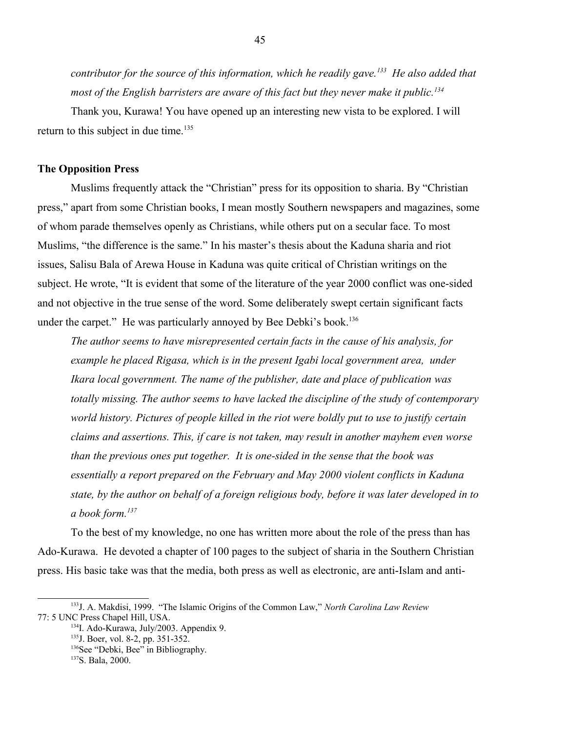*contributor for the source of this information, which he readily gave.[133](#page-44-0) He also added that most of the English barristers are aware of this fact but they never make it public.[134](#page-44-1)* 

Thank you, Kurawa! You have opened up an interesting new vista to be explored. I will return to this subject in due time.<sup>[135](#page-44-2)</sup>

#### **The Opposition Press**

Muslims frequently attack the "Christian" press for its opposition to sharia. By "Christian press," apart from some Christian books, I mean mostly Southern newspapers and magazines, some of whom parade themselves openly as Christians, while others put on a secular face. To most Muslims, "the difference is the same." In his master's thesis about the Kaduna sharia and riot issues, Salisu Bala of Arewa House in Kaduna was quite critical of Christian writings on the subject. He wrote, "It is evident that some of the literature of the year 2000 conflict was one-sided and not objective in the true sense of the word. Some deliberately swept certain significant facts under the carpet." He was particularly annoyed by Bee Debki's book.<sup>[136](#page-44-3)</sup>

*The author seems to have misrepresented certain facts in the cause of his analysis, for example he placed Rigasa, which is in the present Igabi local government area, under Ikara local government. The name of the publisher, date and place of publication was totally missing. The author seems to have lacked the discipline of the study of contemporary world history. Pictures of people killed in the riot were boldly put to use to justify certain claims and assertions. This, if care is not taken, may result in another mayhem even worse than the previous ones put together. It is one-sided in the sense that the book was essentially a report prepared on the February and May 2000 violent conflicts in Kaduna state, by the author on behalf of a foreign religious body, before it was later developed in to a book form.[137](#page-44-4)* 

To the best of my knowledge, no one has written more about the role of the press than has Ado-Kurawa. He devoted a chapter of 100 pages to the subject of sharia in the Southern Christian press. His basic take was that the media, both press as well as electronic, are anti-Islam and anti-

<sup>133</sup>J. A. Makdisi, 1999. "The Islamic Origins of the Common Law," *North Carolina Law Review* 77: 5 UNC Press Chapel Hill, USA.

<span id="page-44-1"></span><span id="page-44-0"></span><sup>&</sup>lt;sup>134</sup>I. Ado-Kurawa, July/2003. Appendix 9.

<span id="page-44-2"></span><sup>135</sup>J. Boer, vol. 8-2, pp. 351-352.

<span id="page-44-3"></span><sup>&</sup>lt;sup>136</sup>See "Debki, Bee" in Bibliography.

<span id="page-44-4"></span><sup>137</sup>S. Bala, 2000.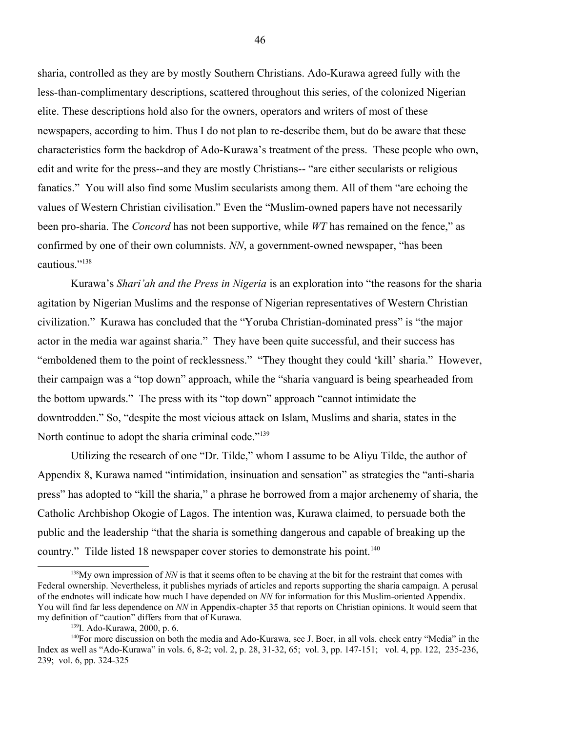sharia, controlled as they are by mostly Southern Christians. Ado-Kurawa agreed fully with the less-than-complimentary descriptions, scattered throughout this series, of the colonized Nigerian elite. These descriptions hold also for the owners, operators and writers of most of these newspapers, according to him. Thus I do not plan to re-describe them, but do be aware that these characteristics form the backdrop of Ado-Kurawa's treatment of the press. These people who own, edit and write for the press--and they are mostly Christians-- "are either secularists or religious fanatics." You will also find some Muslim secularists among them. All of them "are echoing the values of Western Christian civilisation." Even the "Muslim-owned papers have not necessarily been pro-sharia. The *Concord* has not been supportive, while *WT* has remained on the fence," as confirmed by one of their own columnists. *NN*, a government-owned newspaper, "has been cautious."[138](#page-45-0)

Kurawa's *Shari'ah and the Press in Nigeria* is an exploration into "the reasons for the sharia agitation by Nigerian Muslims and the response of Nigerian representatives of Western Christian civilization." Kurawa has concluded that the "Yoruba Christian-dominated press" is "the major actor in the media war against sharia." They have been quite successful, and their success has "emboldened them to the point of recklessness." "They thought they could 'kill' sharia." However, their campaign was a "top down" approach, while the "sharia vanguard is being spearheaded from the bottom upwards." The press with its "top down" approach "cannot intimidate the downtrodden." So, "despite the most vicious attack on Islam, Muslims and sharia, states in the North continue to adopt the sharia criminal code."<sup>[139](#page-45-1)</sup>

Utilizing the research of one "Dr. Tilde," whom I assume to be Aliyu Tilde, the author of Appendix 8, Kurawa named "intimidation, insinuation and sensation" as strategies the "anti-sharia press" has adopted to "kill the sharia," a phrase he borrowed from a major archenemy of sharia, the Catholic Archbishop Okogie of Lagos. The intention was, Kurawa claimed, to persuade both the public and the leadership "that the sharia is something dangerous and capable of breaking up the country." Tilde listed 18 newspaper cover stories to demonstrate his point.<sup>[140](#page-45-2)</sup>

<span id="page-45-0"></span><sup>&</sup>lt;sup>138</sup>My own impression of *NN* is that it seems often to be chaving at the bit for the restraint that comes with Federal ownership. Nevertheless, it publishes myriads of articles and reports supporting the sharia campaign. A perusal of the endnotes will indicate how much I have depended on *NN* for information for this Muslim-oriented Appendix. You will find far less dependence on *NN* in Appendix-chapter 35 that reports on Christian opinions. It would seem that my definition of "caution" differs from that of Kurawa.

<span id="page-45-2"></span><span id="page-45-1"></span><sup>139</sup>I. Ado-Kurawa, 2000, p. 6.

<sup>140</sup>For more discussion on both the media and Ado-Kurawa, see J. Boer, in all vols. check entry "Media" in the Index as well as "Ado-Kurawa" in vols. 6, 8-2; vol. 2, p. 28, 31-32, 65; vol. 3, pp. 147-151; vol. 4, pp. 122, 235-236, 239; vol. 6, pp. 324-325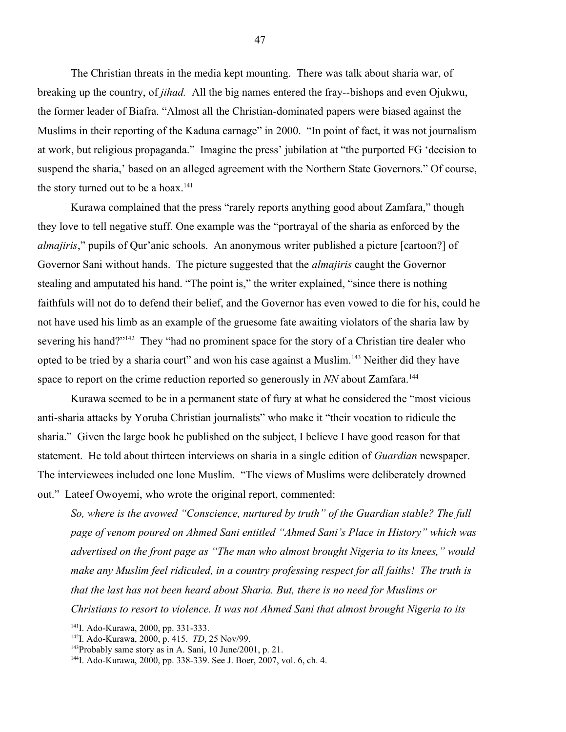The Christian threats in the media kept mounting. There was talk about sharia war, of breaking up the country, of *jihad.* All the big names entered the fray--bishops and even Ojukwu, the former leader of Biafra. "Almost all the Christian-dominated papers were biased against the Muslims in their reporting of the Kaduna carnage" in 2000. "In point of fact, it was not journalism at work, but religious propaganda." Imagine the press' jubilation at "the purported FG 'decision to suspend the sharia,' based on an alleged agreement with the Northern State Governors." Of course, the story turned out to be a hoax.<sup>[141](#page-46-0)</sup>

Kurawa complained that the press "rarely reports anything good about Zamfara," though they love to tell negative stuff. One example was the "portrayal of the sharia as enforced by the *almajiris*," pupils of Qur'anic schools. An anonymous writer published a picture [cartoon?] of Governor Sani without hands. The picture suggested that the *almajiris* caught the Governor stealing and amputated his hand. "The point is," the writer explained, "since there is nothing faithfuls will not do to defend their belief, and the Governor has even vowed to die for his, could he not have used his limb as an example of the gruesome fate awaiting violators of the sharia law by severing his hand?"<sup>[142](#page-46-1)</sup> They "had no prominent space for the story of a Christian tire dealer who opted to be tried by a sharia court" and won his case against a Muslim.<sup>[143](#page-46-2)</sup> Neither did they have space to report on the crime reduction reported so generously in *NN* about Zamfara.<sup>[144](#page-46-3)</sup>

Kurawa seemed to be in a permanent state of fury at what he considered the "most vicious anti-sharia attacks by Yoruba Christian journalists" who make it "their vocation to ridicule the sharia." Given the large book he published on the subject, I believe I have good reason for that statement. He told about thirteen interviews on sharia in a single edition of *Guardian* newspaper. The interviewees included one lone Muslim. "The views of Muslims were deliberately drowned out." Lateef Owoyemi, who wrote the original report, commented:

*So, where is the avowed "Conscience, nurtured by truth" of the Guardian stable? The full page of venom poured on Ahmed Sani entitled "Ahmed Sani's Place in History" which was advertised on the front page as "The man who almost brought Nigeria to its knees," would make any Muslim feel ridiculed, in a country professing respect for all faiths! The truth is that the last has not been heard about Sharia. But, there is no need for Muslims or Christians to resort to violence. It was not Ahmed Sani that almost brought Nigeria to its* 

<span id="page-46-0"></span><sup>&</sup>lt;sup>141</sup>I. Ado-Kurawa, 2000, pp. 331-333.

<span id="page-46-1"></span><sup>142</sup>I. Ado-Kurawa, 2000, p. 415. *TD*, 25 Nov/99.

<span id="page-46-2"></span><sup>&</sup>lt;sup>143</sup>Probably same story as in A. Sani, 10 June/2001, p. 21.

<span id="page-46-3"></span><sup>144</sup>I. Ado-Kurawa, 2000, pp. 338-339. See J. Boer, 2007, vol. 6, ch. 4.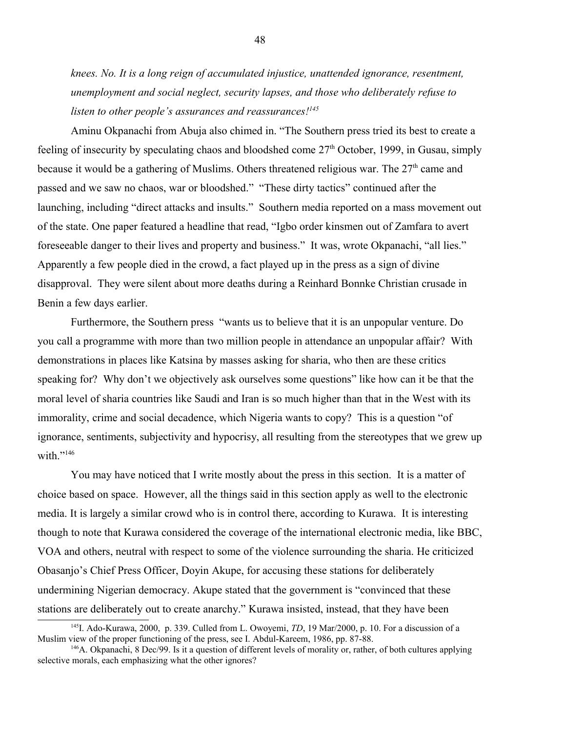*knees. No. It is a long reign of accumulated injustice, unattended ignorance, resentment, unemployment and social neglect, security lapses, and those who deliberately refuse to listen to other people's assurances and reassurances![145](#page-47-0)*

Aminu Okpanachi from Abuja also chimed in. "The Southern press tried its best to create a feeling of insecurity by speculating chaos and bloodshed come  $27<sup>th</sup>$  October, 1999, in Gusau, simply because it would be a gathering of Muslims. Others threatened religious war. The  $27<sup>th</sup>$  came and passed and we saw no chaos, war or bloodshed." "These dirty tactics" continued after the launching, including "direct attacks and insults." Southern media reported on a mass movement out of the state. One paper featured a headline that read, "Igbo order kinsmen out of Zamfara to avert foreseeable danger to their lives and property and business." It was, wrote Okpanachi, "all lies." Apparently a few people died in the crowd, a fact played up in the press as a sign of divine disapproval. They were silent about more deaths during a Reinhard Bonnke Christian crusade in Benin a few days earlier.

Furthermore, the Southern press "wants us to believe that it is an unpopular venture. Do you call a programme with more than two million people in attendance an unpopular affair? With demonstrations in places like Katsina by masses asking for sharia, who then are these critics speaking for? Why don't we objectively ask ourselves some questions" like how can it be that the moral level of sharia countries like Saudi and Iran is so much higher than that in the West with its immorality, crime and social decadence, which Nigeria wants to copy? This is a question "of ignorance, sentiments, subjectivity and hypocrisy, all resulting from the stereotypes that we grew up with." $146$ 

You may have noticed that I write mostly about the press in this section. It is a matter of choice based on space. However, all the things said in this section apply as well to the electronic media. It is largely a similar crowd who is in control there, according to Kurawa. It is interesting though to note that Kurawa considered the coverage of the international electronic media, like BBC, VOA and others, neutral with respect to some of the violence surrounding the sharia. He criticized Obasanjo's Chief Press Officer, Doyin Akupe, for accusing these stations for deliberately undermining Nigerian democracy. Akupe stated that the government is "convinced that these stations are deliberately out to create anarchy." Kurawa insisted, instead, that they have been

<span id="page-47-0"></span><sup>145</sup>I. Ado-Kurawa, 2000, p. 339. Culled from L. Owoyemi, *TD*, 19 Mar/2000, p. 10. For a discussion of a Muslim view of the proper functioning of the press, see I. Abdul-Kareem, 1986, pp. 87-88.

<span id="page-47-1"></span> $146A$ . Okpanachi, 8 Dec/99. Is it a question of different levels of morality or, rather, of both cultures applying selective morals, each emphasizing what the other ignores?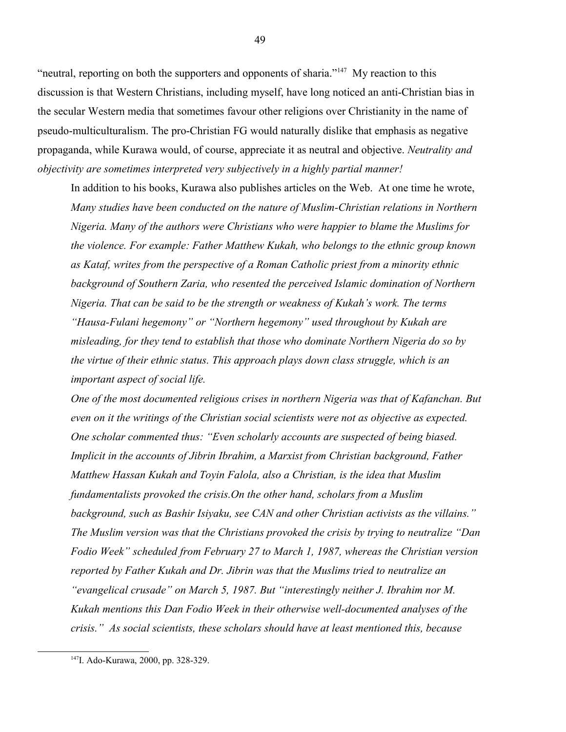"neutral, reporting on both the supporters and opponents of sharia."<sup>[147](#page-48-0)</sup> My reaction to this discussion is that Western Christians, including myself, have long noticed an anti-Christian bias in the secular Western media that sometimes favour other religions over Christianity in the name of pseudo-multiculturalism. The pro-Christian FG would naturally dislike that emphasis as negative propaganda, while Kurawa would, of course, appreciate it as neutral and objective. *Neutrality and objectivity are sometimes interpreted very subjectively in a highly partial manner!* 

In addition to his books, Kurawa also publishes articles on the Web. At one time he wrote, *Many studies have been conducted on the nature of Muslim-Christian relations in Northern Nigeria. Many of the authors were Christians who were happier to blame the Muslims for the violence. For example: Father Matthew Kukah, who belongs to the ethnic group known as Kataf, writes from the perspective of a Roman Catholic priest from a minority ethnic background of Southern Zaria, who resented the perceived Islamic domination of Northern Nigeria. That can be said to be the strength or weakness of Kukah's work. The terms "Hausa-Fulani hegemony" or "Northern hegemony" used throughout by Kukah are misleading, for they tend to establish that those who dominate Northern Nigeria do so by the virtue of their ethnic status. This approach plays down class struggle, which is an important aspect of social life.*

*One of the most documented religious crises in northern Nigeria was that of Kafanchan. But even on it the writings of the Christian social scientists were not as objective as expected. One scholar commented thus: "Even scholarly accounts are suspected of being biased. Implicit in the accounts of Jibrin Ibrahim, a Marxist from Christian background, Father Matthew Hassan Kukah and Toyin Falola, also a Christian, is the idea that Muslim fundamentalists provoked the crisis.On the other hand, scholars from a Muslim background, such as Bashir Isiyaku, see CAN and other Christian activists as the villains." The Muslim version was that the Christians provoked the crisis by trying to neutralize "Dan Fodio Week" scheduled from February 27 to March 1, 1987, whereas the Christian version reported by Father Kukah and Dr. Jibrin was that the Muslims tried to neutralize an "evangelical crusade" on March 5, 1987. But "interestingly neither J. Ibrahim nor M. Kukah mentions this Dan Fodio Week in their otherwise well-documented analyses of the crisis." As social scientists, these scholars should have at least mentioned this, because* 

<span id="page-48-0"></span><sup>147</sup>I. Ado-Kurawa, 2000, pp. 328-329.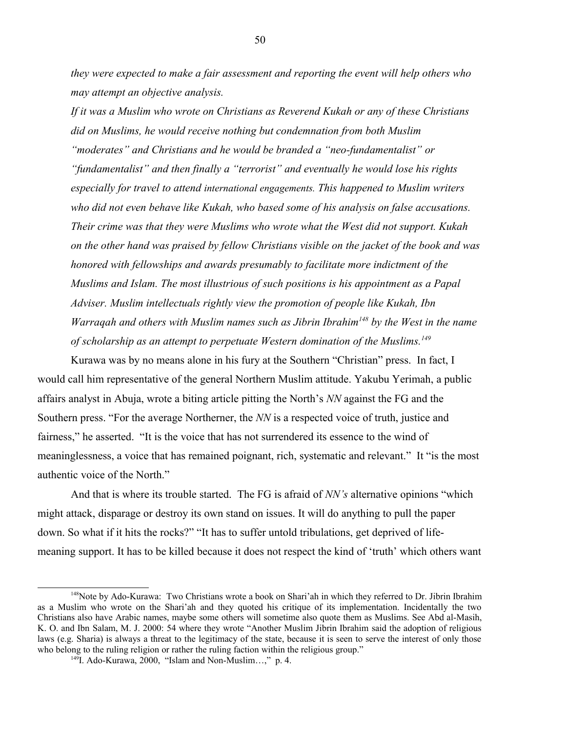*they were expected to make a fair assessment and reporting the event will help others who may attempt an objective analysis.*

*If it was a Muslim who wrote on Christians as Reverend Kukah or any of these Christians did on Muslims, he would receive nothing but condemnation from both Muslim "moderates" and Christians and he would be branded a "neo-fundamentalist" or "fundamentalist" and then finally a "terrorist" and eventually he would lose his rights especially for travel to attend international engagements. This happened to Muslim writers who did not even behave like Kukah, who based some of his analysis on false accusations. Their crime was that they were Muslims who wrote what the West did not support. Kukah on the other hand was praised by fellow Christians visible on the jacket of the book and was honored with fellowships and awards presumably to facilitate more indictment of the Muslims and Islam. The most illustrious of such positions is his appointment as a Papal Adviser. Muslim intellectuals rightly view the promotion of people like Kukah, Ibn Warraqah and others with Muslim names such as Jibrin Ibrahim[148](#page-49-0) by the West in the name of scholarship as an attempt to perpetuate Western domination of the Muslims.[149](#page-49-1)*

Kurawa was by no means alone in his fury at the Southern "Christian" press. In fact, I would call him representative of the general Northern Muslim attitude. Yakubu Yerimah, a public affairs analyst in Abuja, wrote a biting article pitting the North's *NN* against the FG and the Southern press. "For the average Northerner, the *NN* is a respected voice of truth, justice and fairness," he asserted. "It is the voice that has not surrendered its essence to the wind of meaninglessness, a voice that has remained poignant, rich, systematic and relevant." It "is the most authentic voice of the North."

And that is where its trouble started. The FG is afraid of *NN's* alternative opinions "which might attack, disparage or destroy its own stand on issues. It will do anything to pull the paper down. So what if it hits the rocks?" "It has to suffer untold tribulations, get deprived of lifemeaning support. It has to be killed because it does not respect the kind of 'truth' which others want

<span id="page-49-0"></span><sup>&</sup>lt;sup>148</sup>Note by Ado-Kurawa: Two Christians wrote a book on Shari'ah in which they referred to Dr. Jibrin Ibrahim as a Muslim who wrote on the Shari'ah and they quoted his critique of its implementation. Incidentally the two Christians also have Arabic names, maybe some others will sometime also quote them as Muslims. See Abd al-Masih, K. O. and Ibn Salam, M. J. 2000: 54 where they wrote "Another Muslim Jibrin Ibrahim said the adoption of religious laws (e.g. Sharia) is always a threat to the legitimacy of the state, because it is seen to serve the interest of only those who belong to the ruling religion or rather the ruling faction within the religious group."

<span id="page-49-1"></span><sup>149</sup>I. Ado-Kurawa, 2000, "Islam and Non-Muslim…," p. 4.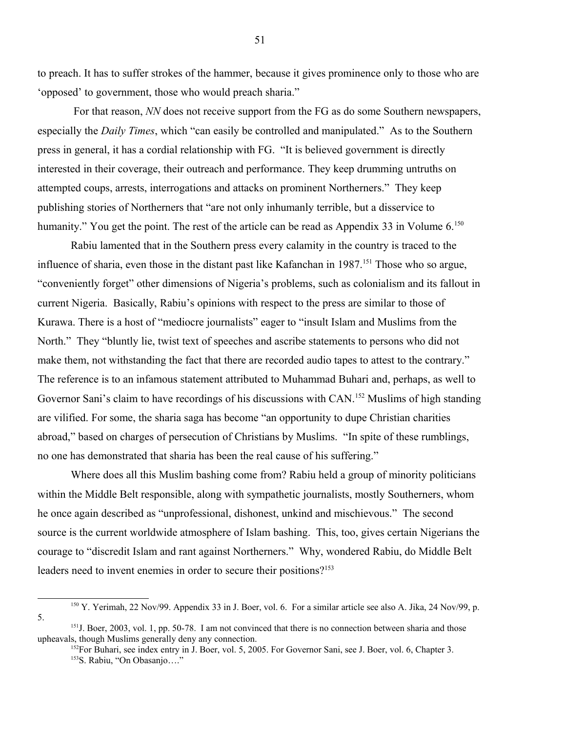to preach. It has to suffer strokes of the hammer, because it gives prominence only to those who are 'opposed' to government, those who would preach sharia."

 For that reason, *NN* does not receive support from the FG as do some Southern newspapers, especially the *Daily Times*, which "can easily be controlled and manipulated." As to the Southern press in general, it has a cordial relationship with FG. "It is believed government is directly interested in their coverage, their outreach and performance. They keep drumming untruths on attempted coups, arrests, interrogations and attacks on prominent Northerners." They keep publishing stories of Northerners that "are not only inhumanly terrible, but a disservice to humanity." You get the point. The rest of the article can be read as Appendix 33 in Volume 6.<sup>[150](#page-50-0)</sup>

Rabiu lamented that in the Southern press every calamity in the country is traced to the influence of sharia, even those in the distant past like Kafanchan in 1987.<sup>[151](#page-50-1)</sup> Those who so argue, "conveniently forget" other dimensions of Nigeria's problems, such as colonialism and its fallout in current Nigeria. Basically, Rabiu's opinions with respect to the press are similar to those of Kurawa. There is a host of "mediocre journalists" eager to "insult Islam and Muslims from the North." They "bluntly lie, twist text of speeches and ascribe statements to persons who did not make them, not withstanding the fact that there are recorded audio tapes to attest to the contrary." The reference is to an infamous statement attributed to Muhammad Buhari and, perhaps, as well to Governor Sani's claim to have recordings of his discussions with CAN.<sup>[152](#page-50-2)</sup> Muslims of high standing are vilified. For some, the sharia saga has become "an opportunity to dupe Christian charities abroad," based on charges of persecution of Christians by Muslims. "In spite of these rumblings, no one has demonstrated that sharia has been the real cause of his suffering."

Where does all this Muslim bashing come from? Rabiu held a group of minority politicians within the Middle Belt responsible, along with sympathetic journalists, mostly Southerners, whom he once again described as "unprofessional, dishonest, unkind and mischievous." The second source is the current worldwide atmosphere of Islam bashing. This, too, gives certain Nigerians the courage to "discredit Islam and rant against Northerners." Why, wondered Rabiu, do Middle Belt leaders need to invent enemies in order to secure their positions?<sup>[153](#page-50-3)</sup>

<span id="page-50-0"></span><sup>&</sup>lt;sup>150</sup> Y. Yerimah, 22 Nov/99. Appendix 33 in J. Boer, vol. 6. For a similar article see also A. Jika, 24 Nov/99, p. 5.

<sup>&</sup>lt;sup>151</sup>J. Boer, 2003, vol. 1, pp. 50-78. I am not convinced that there is no connection between sharia and those upheavals, though Muslims generally deny any connection.

<span id="page-50-3"></span><span id="page-50-2"></span><span id="page-50-1"></span><sup>&</sup>lt;sup>152</sup>For Buhari, see index entry in J. Boer, vol. 5, 2005. For Governor Sani, see J. Boer, vol. 6, Chapter 3. <sup>153</sup>S. Rabiu, "On Obasanjo…."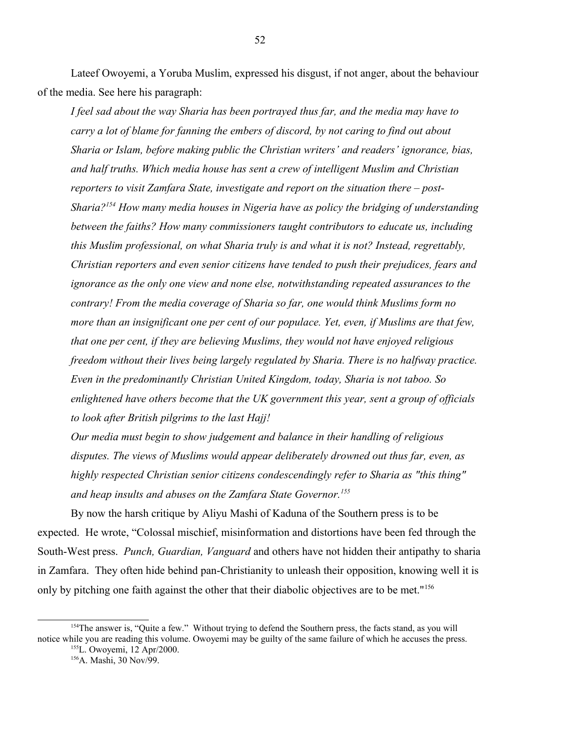Lateef Owoyemi, a Yoruba Muslim, expressed his disgust, if not anger, about the behaviour of the media. See here his paragraph:

*I feel sad about the way Sharia has been portrayed thus far, and the media may have to carry a lot of blame for fanning the embers of discord, by not caring to find out about Sharia or Islam, before making public the Christian writers' and readers' ignorance, bias, and half truths. Which media house has sent a crew of intelligent Muslim and Christian reporters to visit Zamfara State, investigate and report on the situation there – post-Sharia?[154](#page-51-0) How many media houses in Nigeria have as policy the bridging of understanding between the faiths? How many commissioners taught contributors to educate us, including this Muslim professional, on what Sharia truly is and what it is not? Instead, regrettably, Christian reporters and even senior citizens have tended to push their prejudices, fears and ignorance as the only one view and none else, notwithstanding repeated assurances to the contrary! From the media coverage of Sharia so far, one would think Muslims form no more than an insignificant one per cent of our populace. Yet, even, if Muslims are that few, that one per cent, if they are believing Muslims, they would not have enjoyed religious freedom without their lives being largely regulated by Sharia. There is no halfway practice. Even in the predominantly Christian United Kingdom, today, Sharia is not taboo. So enlightened have others become that the UK government this year, sent a group of officials to look after British pilgrims to the last Hajj!*

*Our media must begin to show judgement and balance in their handling of religious disputes. The views of Muslims would appear deliberately drowned out thus far, even, as highly respected Christian senior citizens condescendingly refer to Sharia as "this thing" and heap insults and abuses on the Zamfara State Governor.[155](#page-51-1)*

By now the harsh critique by Aliyu Mashi of Kaduna of the Southern press is to be expected. He wrote, "Colossal mischief, misinformation and distortions have been fed through the South-West press. *Punch, Guardian, Vanguard* and others have not hidden their antipathy to sharia in Zamfara. They often hide behind pan-Christianity to unleash their opposition, knowing well it is only by pitching one faith against the other that their diabolic objectives are to be met."<sup>[156](#page-51-2)</sup>

<sup>&</sup>lt;sup>154</sup>The answer is, "Quite a few." Without trying to defend the Southern press, the facts stand, as you will notice while you are reading this volume. Owoyemi may be guilty of the same failure of which he accuses the press.

<span id="page-51-2"></span><span id="page-51-1"></span><span id="page-51-0"></span><sup>155</sup>L. Owoyemi, 12 Apr/2000. <sup>156</sup>A. Mashi, 30 Nov/99.

<sup>52</sup>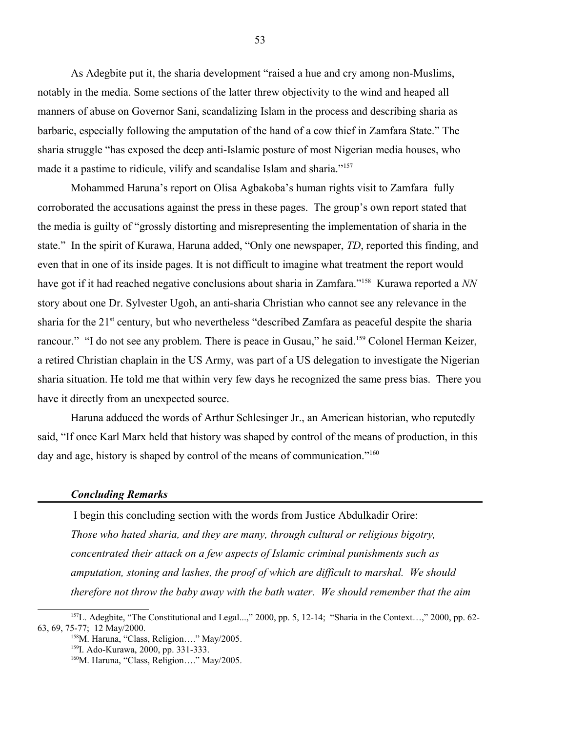As Adegbite put it, the sharia development "raised a hue and cry among non-Muslims, notably in the media. Some sections of the latter threw objectivity to the wind and heaped all manners of abuse on Governor Sani, scandalizing Islam in the process and describing sharia as barbaric, especially following the amputation of the hand of a cow thief in Zamfara State." The sharia struggle "has exposed the deep anti-Islamic posture of most Nigerian media houses, who made it a pastime to ridicule, vilify and scandalise Islam and sharia."<sup>[157](#page-52-0)</sup>

Mohammed Haruna's report on Olisa Agbakoba's human rights visit to Zamfara fully corroborated the accusations against the press in these pages. The group's own report stated that the media is guilty of "grossly distorting and misrepresenting the implementation of sharia in the state." In the spirit of Kurawa, Haruna added, "Only one newspaper, *TD*, reported this finding, and even that in one of its inside pages. It is not difficult to imagine what treatment the report would have got if it had reached negative conclusions about sharia in Zamfara."[158](#page-52-1) Kurawa reported a *NN* story about one Dr. Sylvester Ugoh, an anti-sharia Christian who cannot see any relevance in the sharia for the 21<sup>st</sup> century, but who nevertheless "described Zamfara as peaceful despite the sharia rancour." "I do not see any problem. There is peace in Gusau," he said.<sup>[159](#page-52-2)</sup> Colonel Herman Keizer, a retired Christian chaplain in the US Army, was part of a US delegation to investigate the Nigerian sharia situation. He told me that within very few days he recognized the same press bias. There you have it directly from an unexpected source.

Haruna adduced the words of Arthur Schlesinger Jr., an American historian, who reputedly said, "If once Karl Marx held that history was shaped by control of the means of production, in this day and age, history is shaped by control of the means of communication."<sup>[160](#page-52-3)</sup>

#### *Concluding Remarks*

 I begin this concluding section with the words from Justice Abdulkadir Orire: *Those who hated sharia, and they are many, through cultural or religious bigotry, concentrated their attack on a few aspects of Islamic criminal punishments such as amputation, stoning and lashes, the proof of which are difficult to marshal. We should therefore not throw the baby away with the bath water. We should remember that the aim* 

<sup>157</sup>L. Adegbite, "The Constitutional and Legal...," 2000, pp. 5, 12-14; "Sharia in the Context…," 2000, pp. 62- 63, 69, 75-77; 12 May/2000.

<span id="page-52-1"></span><span id="page-52-0"></span><sup>158</sup>M. Haruna, "Class, Religion...." May/2005.

<span id="page-52-2"></span><sup>159</sup>I. Ado-Kurawa, 2000, pp. 331-333.

<span id="page-52-3"></span><sup>&</sup>lt;sup>160</sup>M. Haruna, "Class, Religion...." May/2005.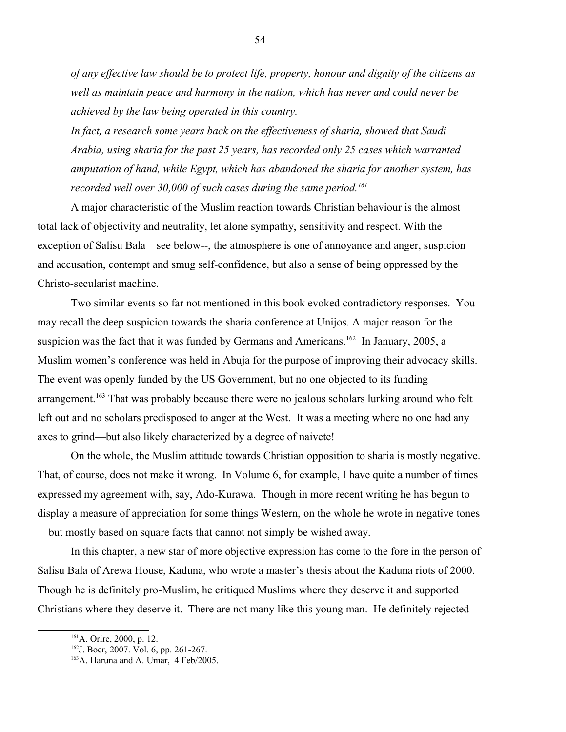*of any effective law should be to protect life, property, honour and dignity of the citizens as well as maintain peace and harmony in the nation, which has never and could never be achieved by the law being operated in this country.*

*In fact, a research some years back on the effectiveness of sharia, showed that Saudi Arabia, using sharia for the past 25 years, has recorded only 25 cases which warranted amputation of hand, while Egypt, which has abandoned the sharia for another system, has recorded well over 30,000 of such cases during the same period.[161](#page-53-0)*

A major characteristic of the Muslim reaction towards Christian behaviour is the almost total lack of objectivity and neutrality, let alone sympathy, sensitivity and respect. With the exception of Salisu Bala—see below--, the atmosphere is one of annoyance and anger, suspicion and accusation, contempt and smug self-confidence, but also a sense of being oppressed by the Christo-secularist machine.

Two similar events so far not mentioned in this book evoked contradictory responses. You may recall the deep suspicion towards the sharia conference at Unijos. A major reason for the suspicion was the fact that it was funded by Germans and Americans.<sup>[162](#page-53-1)</sup> In January, 2005, a Muslim women's conference was held in Abuja for the purpose of improving their advocacy skills. The event was openly funded by the US Government, but no one objected to its funding arrangement.<sup>[163](#page-53-2)</sup> That was probably because there were no jealous scholars lurking around who felt left out and no scholars predisposed to anger at the West. It was a meeting where no one had any axes to grind—but also likely characterized by a degree of naivete!

On the whole, the Muslim attitude towards Christian opposition to sharia is mostly negative. That, of course, does not make it wrong. In Volume 6, for example, I have quite a number of times expressed my agreement with, say, Ado-Kurawa. Though in more recent writing he has begun to display a measure of appreciation for some things Western, on the whole he wrote in negative tones —but mostly based on square facts that cannot not simply be wished away.

In this chapter, a new star of more objective expression has come to the fore in the person of Salisu Bala of Arewa House, Kaduna, who wrote a master's thesis about the Kaduna riots of 2000. Though he is definitely pro-Muslim, he critiqued Muslims where they deserve it and supported Christians where they deserve it. There are not many like this young man. He definitely rejected

<span id="page-53-0"></span><sup>&</sup>lt;sup>161</sup>A. Orire, 2000, p. 12.

<span id="page-53-1"></span><sup>162</sup>J. Boer, 2007. Vol. 6, pp. 261-267.

<span id="page-53-2"></span><sup>&</sup>lt;sup>163</sup>A. Haruna and A. Umar, 4 Feb/2005.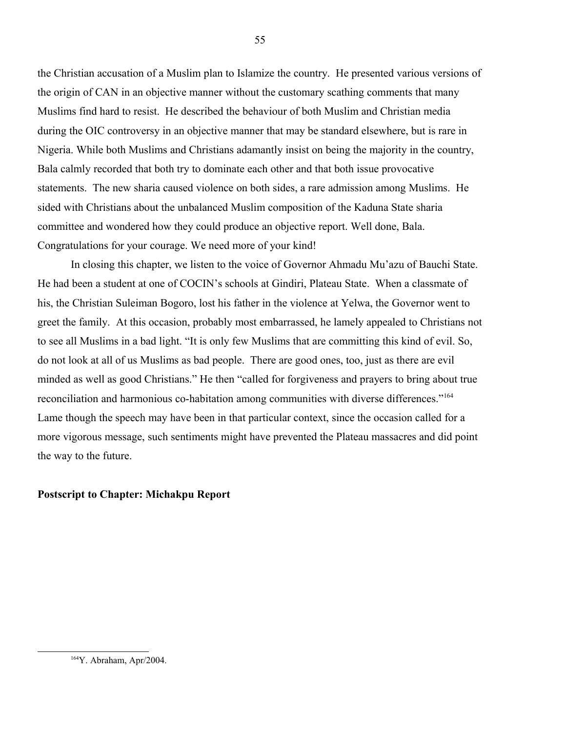the Christian accusation of a Muslim plan to Islamize the country. He presented various versions of the origin of CAN in an objective manner without the customary scathing comments that many Muslims find hard to resist. He described the behaviour of both Muslim and Christian media during the OIC controversy in an objective manner that may be standard elsewhere, but is rare in Nigeria. While both Muslims and Christians adamantly insist on being the majority in the country, Bala calmly recorded that both try to dominate each other and that both issue provocative statements. The new sharia caused violence on both sides, a rare admission among Muslims. He sided with Christians about the unbalanced Muslim composition of the Kaduna State sharia committee and wondered how they could produce an objective report. Well done, Bala. Congratulations for your courage. We need more of your kind!

In closing this chapter, we listen to the voice of Governor Ahmadu Mu'azu of Bauchi State. He had been a student at one of COCIN's schools at Gindiri, Plateau State. When a classmate of his, the Christian Suleiman Bogoro, lost his father in the violence at Yelwa, the Governor went to greet the family. At this occasion, probably most embarrassed, he lamely appealed to Christians not to see all Muslims in a bad light. "It is only few Muslims that are committing this kind of evil. So, do not look at all of us Muslims as bad people. There are good ones, too, just as there are evil minded as well as good Christians." He then "called for forgiveness and prayers to bring about true reconciliation and harmonious co-habitation among communities with diverse differences."<sup>[164](#page-54-0)</sup> Lame though the speech may have been in that particular context, since the occasion called for a more vigorous message, such sentiments might have prevented the Plateau massacres and did point the way to the future.

### **Postscript to Chapter: Michakpu Report**

<span id="page-54-0"></span><sup>164</sup>Y. Abraham, Apr/2004.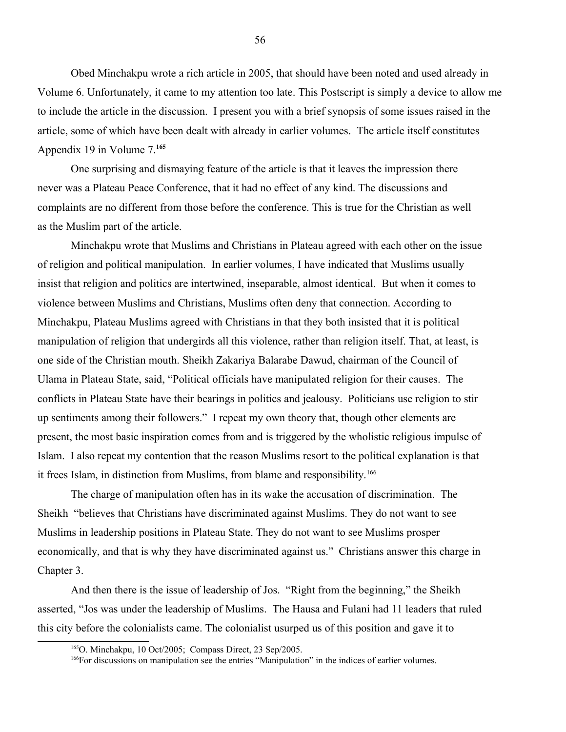Obed Minchakpu wrote a rich article in 2005, that should have been noted and used already in Volume 6. Unfortunately, it came to my attention too late. This Postscript is simply a device to allow me to include the article in the discussion. I present you with a brief synopsis of some issues raised in the article, some of which have been dealt with already in earlier volumes. The article itself constitutes Appendix 19 in Volume 7.**[165](#page-55-0)**

One surprising and dismaying feature of the article is that it leaves the impression there never was a Plateau Peace Conference, that it had no effect of any kind. The discussions and complaints are no different from those before the conference. This is true for the Christian as well as the Muslim part of the article.

Minchakpu wrote that Muslims and Christians in Plateau agreed with each other on the issue of religion and political manipulation. In earlier volumes, I have indicated that Muslims usually insist that religion and politics are intertwined, inseparable, almost identical. But when it comes to violence between Muslims and Christians, Muslims often deny that connection. According to Minchakpu, Plateau Muslims agreed with Christians in that they both insisted that it is political manipulation of religion that undergirds all this violence, rather than religion itself. That, at least, is one side of the Christian mouth. Sheikh Zakariya Balarabe Dawud, chairman of the Council of Ulama in Plateau State, said, "Political officials have manipulated religion for their causes. The conflicts in Plateau State have their bearings in politics and jealousy. Politicians use religion to stir up sentiments among their followers." I repeat my own theory that, though other elements are present, the most basic inspiration comes from and is triggered by the wholistic religious impulse of Islam. I also repeat my contention that the reason Muslims resort to the political explanation is that it frees Islam, in distinction from Muslims, from blame and responsibility.<sup>[166](#page-55-1)</sup>

The charge of manipulation often has in its wake the accusation of discrimination. The Sheikh "believes that Christians have discriminated against Muslims. They do not want to see Muslims in leadership positions in Plateau State. They do not want to see Muslims prosper economically, and that is why they have discriminated against us." Christians answer this charge in Chapter 3.

And then there is the issue of leadership of Jos. "Right from the beginning," the Sheikh asserted, "Jos was under the leadership of Muslims. The Hausa and Fulani had 11 leaders that ruled this city before the colonialists came. The colonialist usurped us of this position and gave it to

<span id="page-55-0"></span><sup>165</sup>O. Minchakpu, 10 Oct/2005; Compass Direct, 23 Sep/2005.

<span id="page-55-1"></span><sup>166</sup>For discussions on manipulation see the entries "Manipulation" in the indices of earlier volumes.